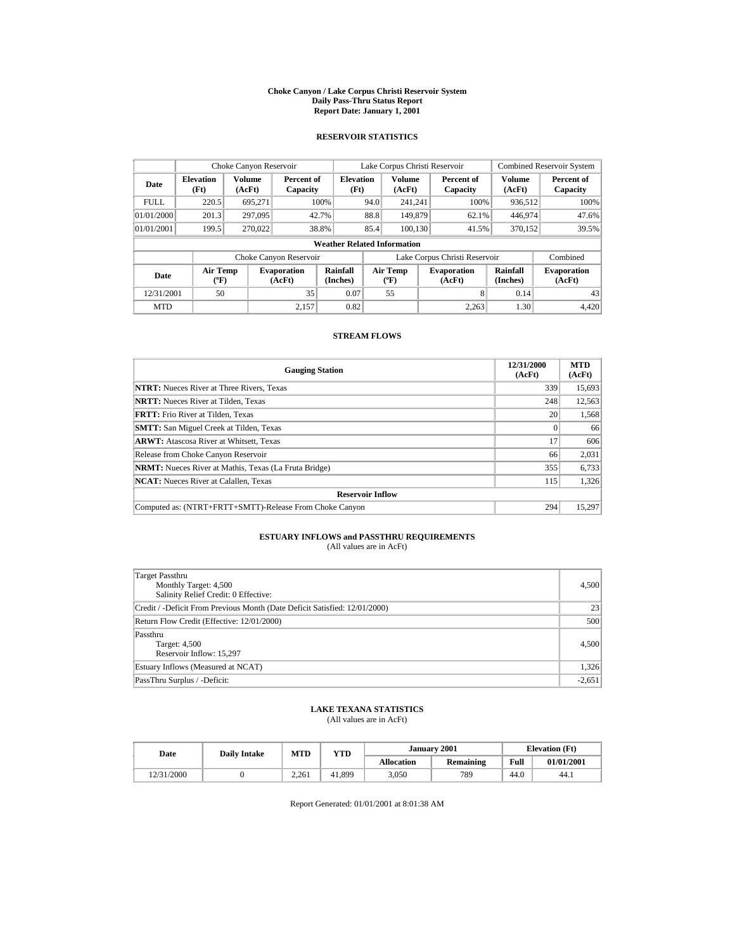#### **Choke Canyon / Lake Corpus Christi Reservoir System Daily Pass-Thru Status Report Report Date: January 1, 2001**

## **RESERVOIR STATISTICS**

|             | Choke Canyon Reservoir                      |                  |                              |                          |      | Lake Corpus Christi Reservoir            |  |                               | <b>Combined Reservoir System</b> |                        |  |  |  |
|-------------|---------------------------------------------|------------------|------------------------------|--------------------------|------|------------------------------------------|--|-------------------------------|----------------------------------|------------------------|--|--|--|
| Date        | <b>Elevation</b><br>(Ft)                    | Volume<br>(AcFt) | Percent of<br>Capacity       | <b>Elevation</b><br>(Ft) |      | <b>Volume</b><br>(AcFt)                  |  | Percent of<br>Capacity        | Volume<br>(AcFt)                 | Percent of<br>Capacity |  |  |  |
| <b>FULL</b> | 220.5                                       | 695.271          |                              | 100%                     | 94.0 | 241.241                                  |  | 100%                          | 936.512                          | 100%                   |  |  |  |
| 01/01/2000  | 201.3                                       | 297,095          |                              | 42.7%                    | 88.8 | 149,879                                  |  | 62.1%                         | 446,974                          | 47.6%                  |  |  |  |
| 01/01/2001  | 199.5                                       | 270,022          |                              | 38.8%                    | 85.4 | 100.130                                  |  | 41.5%                         | 370,152                          | 39.5%                  |  |  |  |
|             | <b>Weather Related Information</b>          |                  |                              |                          |      |                                          |  |                               |                                  |                        |  |  |  |
|             |                                             |                  | Choke Canyon Reservoir       |                          |      |                                          |  | Lake Corpus Christi Reservoir |                                  | Combined               |  |  |  |
| Date        | <b>Air Temp</b><br>$({}^{\circ}\mathrm{F})$ |                  | <b>Evaporation</b><br>(AcFt) | Rainfall<br>(Inches)     |      | <b>Air Temp</b><br>$({}^{\circ}{\rm F})$ |  | <b>Evaporation</b><br>(AcFt)  | Rainfall<br>(Inches)             |                        |  |  |  |
| 12/31/2001  | 50                                          |                  | 35                           | 0.07                     |      | 55                                       |  | 8                             | 0.14                             | 43                     |  |  |  |
| <b>MTD</b>  |                                             |                  | 2.157                        | 0.82                     |      |                                          |  | 2.263                         | 1.30                             | 4.420                  |  |  |  |

## **STREAM FLOWS**

| <b>Gauging Station</b>                                       | 12/31/2000<br>(AcFt) | <b>MTD</b><br>(AcFt) |
|--------------------------------------------------------------|----------------------|----------------------|
| <b>NTRT:</b> Nueces River at Three Rivers, Texas             | 339                  | 15,693               |
| <b>NRTT:</b> Nueces River at Tilden, Texas                   | 248                  | 12,563               |
| <b>FRTT:</b> Frio River at Tilden. Texas                     | 20                   | 1.568                |
| <b>SMTT:</b> San Miguel Creek at Tilden, Texas               |                      | 66                   |
| <b>ARWT:</b> Atascosa River at Whitsett, Texas               | 17                   | 606                  |
| Release from Choke Canyon Reservoir                          | 66                   | 2,031                |
| <b>NRMT:</b> Nueces River at Mathis, Texas (La Fruta Bridge) | 355                  | 6,733                |
| <b>NCAT:</b> Nueces River at Calallen, Texas                 | 115                  | 1,326                |
| <b>Reservoir Inflow</b>                                      |                      |                      |
| Computed as: (NTRT+FRTT+SMTT)-Release From Choke Canyon      | 294                  | 15,297               |

# **ESTUARY INFLOWS and PASSTHRU REQUIREMENTS**<br>(All values are in AcFt)

| Target Passthru<br>Monthly Target: 4,500<br>Salinity Relief Credit: 0 Effective: | 4,500    |
|----------------------------------------------------------------------------------|----------|
| Credit / -Deficit From Previous Month (Date Deficit Satisfied: 12/01/2000)       | 23       |
| Return Flow Credit (Effective: 12/01/2000)                                       | 500      |
| Passthru<br>Target: 4,500<br>Reservoir Inflow: 15,297                            | 4,500    |
| Estuary Inflows (Measured at NCAT)                                               | 1,326    |
| PassThru Surplus / -Deficit:                                                     | $-2,651$ |

## **LAKE TEXANA STATISTICS**

(All values are in AcFt)

| Date       | <b>Daily Intake</b> | MTD   | YTD    |                   | <b>January 2001</b> | <b>Elevation</b> (Ft) |            |
|------------|---------------------|-------|--------|-------------------|---------------------|-----------------------|------------|
|            |                     |       |        | <b>Allocation</b> | <b>Remaining</b>    | Full                  | 01/01/2001 |
| 12/31/2000 |                     | 2.261 | 41.899 | 3.050             | 789                 | 44.0                  | 44.1       |

Report Generated: 01/01/2001 at 8:01:38 AM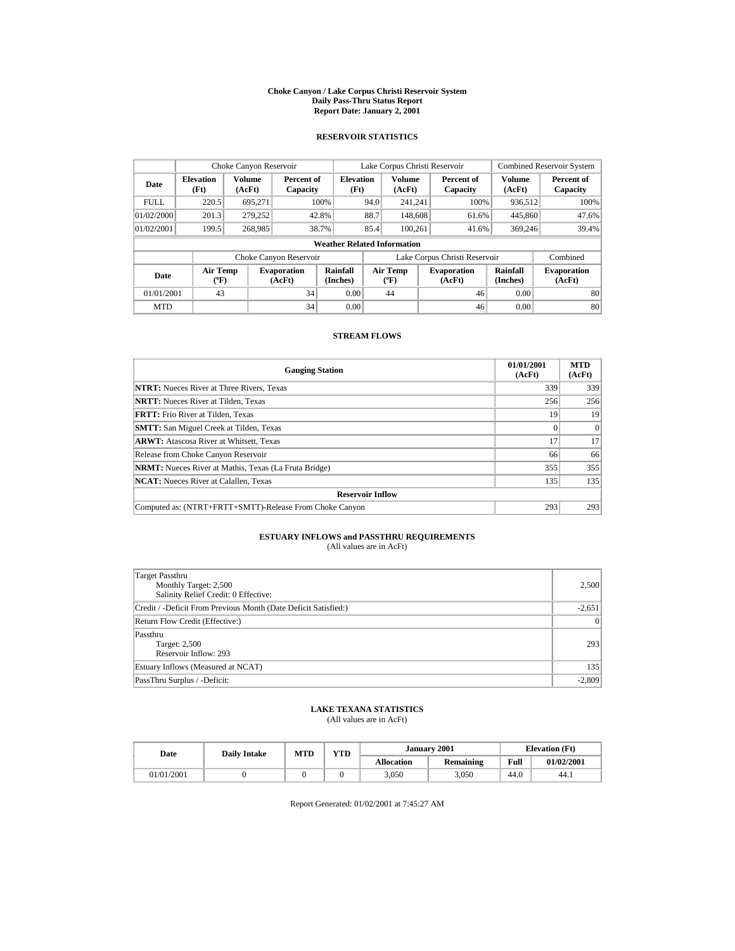#### **Choke Canyon / Lake Corpus Christi Reservoir System Daily Pass-Thru Status Report Report Date: January 2, 2001**

## **RESERVOIR STATISTICS**

|             | Choke Canyon Reservoir                      |                         |                              |                                    |      | Lake Corpus Christi Reservoir            |                                                      |                         | <b>Combined Reservoir System</b> |
|-------------|---------------------------------------------|-------------------------|------------------------------|------------------------------------|------|------------------------------------------|------------------------------------------------------|-------------------------|----------------------------------|
| Date        | <b>Elevation</b><br>(Ft)                    | <b>Volume</b><br>(AcFt) | Percent of<br>Capacity       | <b>Elevation</b><br>(Ft)           |      | <b>Volume</b><br>(AcFt)                  | Percent of<br>Capacity                               | <b>Volume</b><br>(AcFt) | Percent of<br>Capacity           |
| <b>FULL</b> | 220.5                                       | 695,271                 |                              | 100%                               | 94.0 | 241.241                                  | 100%                                                 | 936.512                 | 100%                             |
| 01/02/2000  | 201.3                                       | 279.252                 |                              | 42.8%                              | 88.7 | 148,608                                  | 61.6%                                                | 445,860                 | 47.6%                            |
| 01/02/2001  | 199.5                                       | 268,985                 |                              | 38.7%                              | 85.4 | 100.261                                  | 41.6%                                                | 369,246                 | 39.4%                            |
|             |                                             |                         |                              | <b>Weather Related Information</b> |      |                                          |                                                      |                         |                                  |
|             |                                             |                         | Choke Canyon Reservoir       |                                    |      |                                          | Lake Corpus Christi Reservoir                        |                         | Combined                         |
| Date        | <b>Air Temp</b><br>$({}^{\circ}\mathrm{F})$ |                         | <b>Evaporation</b><br>(AcFt) | Rainfall<br>(Inches)               |      | <b>Air Temp</b><br>$({}^{\circ}{\rm F})$ | Rainfall<br><b>Evaporation</b><br>(Inches)<br>(AcFt) |                         | <b>Evaporation</b><br>(AcFt)     |
| 01/01/2001  | 43                                          |                         | 34                           | 0.00                               |      | 44                                       | 46                                                   | 0.00                    | 80                               |
| <b>MTD</b>  |                                             |                         | 34                           | 0.00                               |      |                                          | 46                                                   | 0.00                    | 80                               |

## **STREAM FLOWS**

| <b>Gauging Station</b>                                       | 01/01/2001<br>(AcFt) | <b>MTD</b><br>(AcFt) |
|--------------------------------------------------------------|----------------------|----------------------|
| <b>NTRT:</b> Nueces River at Three Rivers, Texas             | 339                  | 339                  |
| <b>NRTT:</b> Nueces River at Tilden, Texas                   | 256                  | 256                  |
| <b>FRTT:</b> Frio River at Tilden, Texas                     | 19                   | 19                   |
| <b>SMTT:</b> San Miguel Creek at Tilden, Texas               |                      | $\Omega$             |
| <b>ARWT:</b> Atascosa River at Whitsett, Texas               | 17                   | 17                   |
| Release from Choke Canyon Reservoir                          | 66                   | 66                   |
| <b>NRMT:</b> Nueces River at Mathis, Texas (La Fruta Bridge) | 355                  | 355                  |
| <b>NCAT:</b> Nueces River at Calallen, Texas                 | 135                  | 135                  |
| <b>Reservoir Inflow</b>                                      |                      |                      |
| Computed as: (NTRT+FRTT+SMTT)-Release From Choke Canyon      | 293                  | 293                  |

# **ESTUARY INFLOWS and PASSTHRU REQUIREMENTS**<br>(All values are in AcFt)

| Target Passthru<br>Monthly Target: 2,500<br>Salinity Relief Credit: 0 Effective: | 2,500           |
|----------------------------------------------------------------------------------|-----------------|
| Credit / -Deficit From Previous Month (Date Deficit Satisfied:)                  | $-2,651$        |
| Return Flow Credit (Effective:)                                                  | $\vert 0 \vert$ |
| Passthru<br>Target: 2,500<br>Reservoir Inflow: 293                               | 293             |
| Estuary Inflows (Measured at NCAT)                                               | 135             |
| PassThru Surplus / -Deficit:                                                     | $-2,809$        |

## **LAKE TEXANA STATISTICS**

(All values are in AcFt)

| Date       | <b>Daily Intake</b> | MTD | VTD | January 2001      |                  |      | <b>Elevation</b> (Ft) |  |
|------------|---------------------|-----|-----|-------------------|------------------|------|-----------------------|--|
|            |                     |     |     | <b>Allocation</b> | <b>Remaining</b> | Full | 01/02/2001            |  |
| 01/01/2001 |                     |     |     | 3,050             | 3,050            | 44.0 | 44.1                  |  |

Report Generated: 01/02/2001 at 7:45:27 AM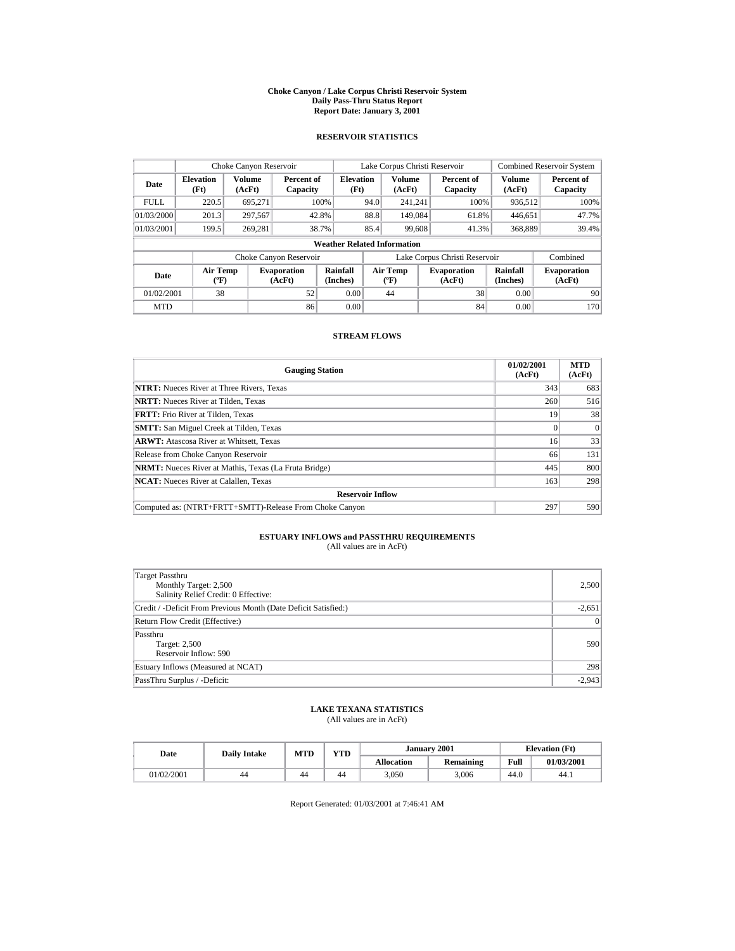#### **Choke Canyon / Lake Corpus Christi Reservoir System Daily Pass-Thru Status Report Report Date: January 3, 2001**

## **RESERVOIR STATISTICS**

| Choke Canyon Reservoir |                                             |                  |                              |                                    |      | Lake Corpus Christi Reservoir            |                               | <b>Combined Reservoir System</b> |                              |
|------------------------|---------------------------------------------|------------------|------------------------------|------------------------------------|------|------------------------------------------|-------------------------------|----------------------------------|------------------------------|
| Date                   | <b>Elevation</b><br>(Ft)                    | Volume<br>(AcFt) | Percent of<br>Capacity       | <b>Elevation</b><br>(Ft)           |      | <b>Volume</b><br>(AcFt)                  | Percent of<br>Capacity        | <b>Volume</b><br>(AcFt)          | Percent of<br>Capacity       |
| <b>FULL</b>            | 220.5                                       | 695,271          |                              | 100%                               | 94.0 | 241.241                                  | 100%                          | 936.512                          | 100%                         |
| 01/03/2000             | 201.3                                       | 297.567          |                              | 42.8%                              | 88.8 | 149,084                                  | 61.8%                         | 446.651                          | 47.7%                        |
| 01/03/2001             | 199.5                                       | 269.281          |                              | 38.7%                              | 85.4 | 99,608                                   | 41.3%                         | 368,889                          | 39.4%                        |
|                        |                                             |                  |                              | <b>Weather Related Information</b> |      |                                          |                               |                                  |                              |
|                        |                                             |                  | Choke Canyon Reservoir       |                                    |      |                                          | Lake Corpus Christi Reservoir |                                  | Combined                     |
| Date                   | <b>Air Temp</b><br>$({}^{\circ}\mathrm{F})$ |                  | <b>Evaporation</b><br>(AcFt) | Rainfall<br>(Inches)               |      | <b>Air Temp</b><br>$({}^{\circ}{\rm F})$ | <b>Evaporation</b><br>(AcFt)  | Rainfall<br>(Inches)             | <b>Evaporation</b><br>(AcFt) |
| 01/02/2001             | 38                                          |                  | 52                           | 0.00                               |      | 44                                       | 38                            | 0.00                             | 90                           |
| <b>MTD</b>             |                                             |                  | 86                           | 0.00                               |      |                                          | 84                            | 0.00                             | 170                          |

## **STREAM FLOWS**

| <b>Gauging Station</b>                                       | 01/02/2001<br>(AcFt) | <b>MTD</b><br>(AcFt) |
|--------------------------------------------------------------|----------------------|----------------------|
| <b>NTRT:</b> Nueces River at Three Rivers, Texas             | 343                  | 683                  |
| <b>NRTT:</b> Nueces River at Tilden, Texas                   | 260                  | 516                  |
| <b>FRTT:</b> Frio River at Tilden, Texas                     | 19                   | 38                   |
| <b>SMTT:</b> San Miguel Creek at Tilden, Texas               |                      | $\Omega$             |
| <b>ARWT:</b> Atascosa River at Whitsett, Texas               | 16                   | 33                   |
| Release from Choke Canyon Reservoir                          | 66                   | 131                  |
| <b>NRMT:</b> Nueces River at Mathis, Texas (La Fruta Bridge) | 445                  | 800                  |
| <b>NCAT:</b> Nueces River at Calallen, Texas                 | 163                  | 298                  |
| <b>Reservoir Inflow</b>                                      |                      |                      |
| Computed as: (NTRT+FRTT+SMTT)-Release From Choke Canyon      | 297                  | 590                  |

# **ESTUARY INFLOWS and PASSTHRU REQUIREMENTS**<br>(All values are in AcFt)

| Target Passthru<br>Monthly Target: 2,500<br>Salinity Relief Credit: 0 Effective: | 2,500    |
|----------------------------------------------------------------------------------|----------|
| Credit / -Deficit From Previous Month (Date Deficit Satisfied:)                  | $-2,651$ |
| Return Flow Credit (Effective:)                                                  | 0        |
| Passthru<br><b>Target: 2,500</b><br>Reservoir Inflow: 590                        | 590      |
| Estuary Inflows (Measured at NCAT)                                               | 298      |
| PassThru Surplus / -Deficit:                                                     | $-2,943$ |

## **LAKE TEXANA STATISTICS**

(All values are in AcFt)

| Date       | <b>Daily Intake</b> | <b>MTD</b> | YTD |                   | January 2001 | <b>Elevation</b> (Ft) |            |
|------------|---------------------|------------|-----|-------------------|--------------|-----------------------|------------|
|            |                     |            |     | <b>Allocation</b> | Remaining    | Full                  | 01/03/2001 |
| 01/02/2001 | 44                  | 44         | 44  | ۔050              | 3.006        | 44.0                  | 44.1       |

Report Generated: 01/03/2001 at 7:46:41 AM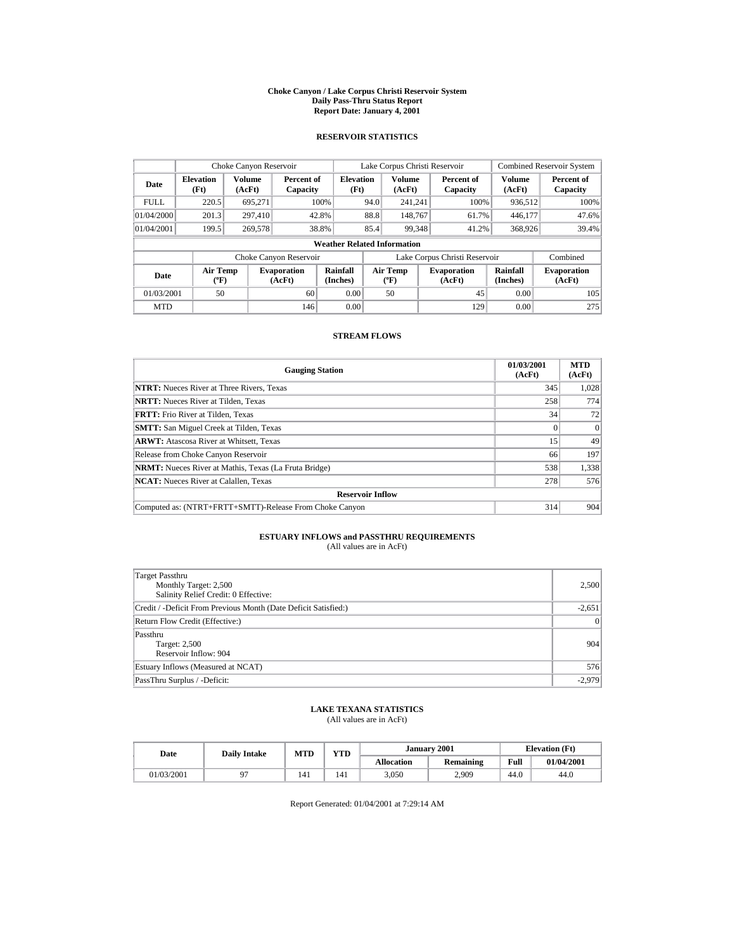#### **Choke Canyon / Lake Corpus Christi Reservoir System Daily Pass-Thru Status Report Report Date: January 4, 2001**

## **RESERVOIR STATISTICS**

| Choke Canyon Reservoir                                                                   |       |         |                        |                                    |                                           |                              | Lake Corpus Christi Reservoir |                      |                              | <b>Combined Reservoir System</b> |
|------------------------------------------------------------------------------------------|-------|---------|------------------------|------------------------------------|-------------------------------------------|------------------------------|-------------------------------|----------------------|------------------------------|----------------------------------|
| <b>Volume</b><br><b>Elevation</b><br>Date<br>(AcFt)<br>(Ft)                              |       |         | Percent of<br>Capacity | <b>Elevation</b><br>(Ft)           |                                           | <b>Volume</b><br>(AcFt)      | Percent of<br>Capacity        |                      | <b>Volume</b><br>(AcFt)      | Percent of<br>Capacity           |
| <b>FULL</b>                                                                              | 220.5 | 695.271 |                        | 100%                               | 94.0                                      | 241.241                      |                               | 100%                 | 936.512                      | 100%                             |
| 01/04/2000                                                                               | 201.3 | 297.410 |                        | 42.8%                              | 88.8                                      | 148,767                      |                               | 61.7%                | 446.177                      | 47.6%                            |
| 01/04/2001                                                                               | 199.5 | 269,578 |                        | 38.8%                              | 85.4                                      | 99,348                       |                               | 41.2%                | 368,926                      | 39.4%                            |
|                                                                                          |       |         |                        | <b>Weather Related Information</b> |                                           |                              |                               |                      |                              |                                  |
|                                                                                          |       |         | Choke Canyon Reservoir |                                    | Lake Corpus Christi Reservoir             |                              |                               |                      |                              | Combined                         |
| <b>Air Temp</b><br><b>Evaporation</b><br>Date<br>(AcFt)<br>$({}^{\mathrm{o}}\mathbf{F})$ |       |         | Rainfall<br>(Inches)   |                                    | Air Temp<br>$({}^{\mathrm{o}}\mathrm{F})$ | <b>Evaporation</b><br>(AcFt) |                               | Rainfall<br>(Inches) | <b>Evaporation</b><br>(AcFt) |                                  |
| 01/03/2001<br>50<br>60                                                                   |       |         | 0.00                   |                                    | 50                                        |                              | 45                            | 0.00                 | 105                          |                                  |
| <b>MTD</b>                                                                               |       |         | 146                    | 0.00                               |                                           |                              |                               | 129                  | 0.00                         | 275                              |

## **STREAM FLOWS**

| <b>Gauging Station</b>                                       | 01/03/2001<br>(AcFt) | <b>MTD</b><br>(AcFt) |
|--------------------------------------------------------------|----------------------|----------------------|
| <b>NTRT:</b> Nueces River at Three Rivers, Texas             | 345                  | 1,028                |
| <b>NRTT:</b> Nueces River at Tilden. Texas                   | 258                  | 774                  |
| <b>FRTT:</b> Frio River at Tilden. Texas                     | 34                   | 72                   |
| <b>SMTT:</b> San Miguel Creek at Tilden, Texas               |                      | $\Omega$             |
| <b>ARWT:</b> Atascosa River at Whitsett, Texas               | 15                   | 49                   |
| Release from Choke Canyon Reservoir                          | 66                   | 197                  |
| <b>NRMT:</b> Nueces River at Mathis, Texas (La Fruta Bridge) | 538                  | 1,338                |
| <b>NCAT:</b> Nueces River at Calallen, Texas                 | 278                  | 576                  |
| <b>Reservoir Inflow</b>                                      |                      |                      |
| Computed as: (NTRT+FRTT+SMTT)-Release From Choke Canyon      | 314                  | 904                  |

# **ESTUARY INFLOWS and PASSTHRU REQUIREMENTS**<br>(All values are in AcFt)

| Target Passthru<br>Monthly Target: 2,500<br>Salinity Relief Credit: 0 Effective: | 2,500    |
|----------------------------------------------------------------------------------|----------|
| Credit / -Deficit From Previous Month (Date Deficit Satisfied:)                  | $-2,651$ |
| Return Flow Credit (Effective:)                                                  | 0        |
| Passthru<br><b>Target: 2,500</b><br>Reservoir Inflow: 904                        | 904      |
| Estuary Inflows (Measured at NCAT)                                               | 576      |
| PassThru Surplus / -Deficit:                                                     | $-2.979$ |

## **LAKE TEXANA STATISTICS**

(All values are in AcFt)

| Date       | <b>Daily Intake</b> | <b>MTD</b> | YTD |                   | January 2001     |      | <b>Elevation</b> (Ft) |
|------------|---------------------|------------|-----|-------------------|------------------|------|-----------------------|
|            |                     |            |     | <b>Allocation</b> | <b>Remaining</b> | Full | 01/04/2001            |
| 01/03/2001 | ገግ                  | 141        | 141 | 3,050             | 2,909            | 44.0 | 44.0                  |

Report Generated: 01/04/2001 at 7:29:14 AM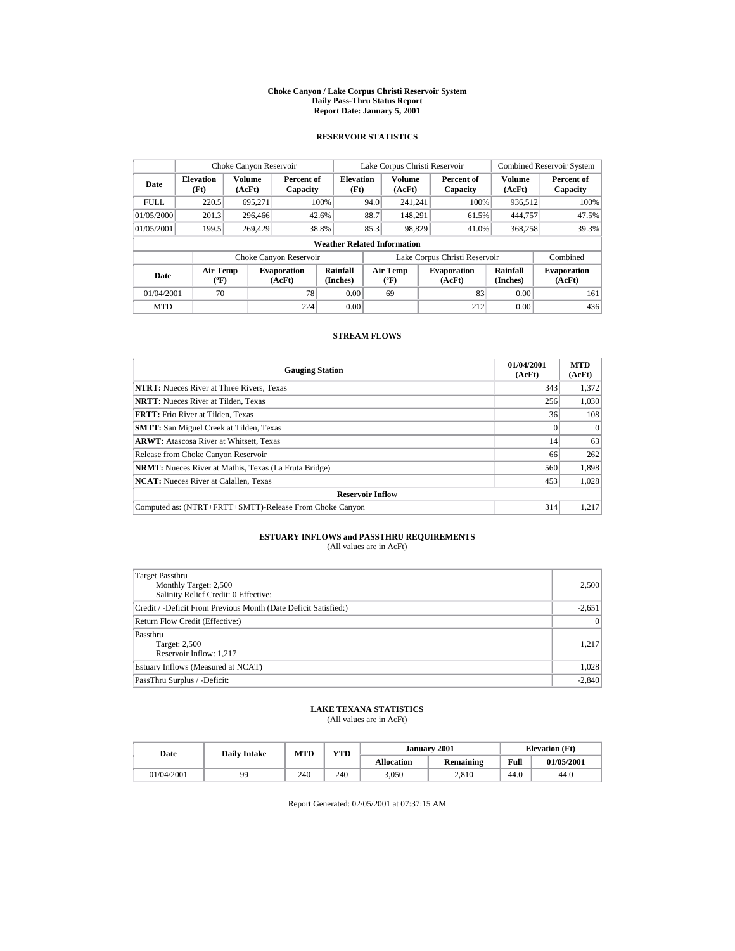#### **Choke Canyon / Lake Corpus Christi Reservoir System Daily Pass-Thru Status Report Report Date: January 5, 2001**

## **RESERVOIR STATISTICS**

| Choke Canyon Reservoir                                                              |       |                         |                        |                                    |                                          | Lake Corpus Christi Reservoir |                               |                              | <b>Combined Reservoir System</b> |
|-------------------------------------------------------------------------------------|-------|-------------------------|------------------------|------------------------------------|------------------------------------------|-------------------------------|-------------------------------|------------------------------|----------------------------------|
| <b>Elevation</b><br>Date<br>(Ft)                                                    |       | <b>Volume</b><br>(AcFt) | Percent of<br>Capacity | <b>Elevation</b><br>(Ft)           |                                          | Volume<br>(AcFt)              | Percent of<br>Capacity        | <b>Volume</b><br>(AcFt)      | Percent of<br>Capacity           |
| <b>FULL</b>                                                                         | 220.5 | 695,271                 |                        | 100%                               | 94.0                                     | 241.241                       | 100%                          | 936.512                      | 100%                             |
| 01/05/2000                                                                          | 201.3 | 296,466                 |                        | 42.6%                              | 88.7                                     | 148.291                       | 61.5%                         | 444,757                      | 47.5%                            |
| 01/05/2001                                                                          | 199.5 | 269,429                 |                        | 38.8%                              | 85.3                                     | 98.829                        | 41.0%                         | 368,258                      | 39.3%                            |
|                                                                                     |       |                         |                        | <b>Weather Related Information</b> |                                          |                               |                               |                              |                                  |
|                                                                                     |       |                         | Choke Canyon Reservoir |                                    |                                          |                               | Lake Corpus Christi Reservoir |                              | Combined                         |
| <b>Air Temp</b><br><b>Evaporation</b><br>Date<br>$({}^{\circ}\mathrm{F})$<br>(AcFt) |       |                         | Rainfall<br>(Inches)   |                                    | <b>Air Temp</b><br>$({}^{\circ}{\rm F})$ | <b>Evaporation</b><br>(AcFt)  | Rainfall<br>(Inches)          | <b>Evaporation</b><br>(AcFt) |                                  |
| 70<br>78<br>01/04/2001                                                              |       |                         | 0.00                   |                                    | 69                                       | 83                            | 0.00                          | 161                          |                                  |
| <b>MTD</b>                                                                          |       |                         | 224                    | 0.00                               |                                          |                               | 212                           | 0.00                         | 436                              |

## **STREAM FLOWS**

| <b>Gauging Station</b>                                       | 01/04/2001<br>(AcFt) | <b>MTD</b><br>(AcFt) |
|--------------------------------------------------------------|----------------------|----------------------|
| <b>NTRT:</b> Nueces River at Three Rivers, Texas             | 343                  | 1,372                |
| <b>NRTT:</b> Nueces River at Tilden, Texas                   | 256                  | 1.030                |
| <b>FRTT:</b> Frio River at Tilden, Texas                     | 36                   | 108                  |
| <b>SMTT:</b> San Miguel Creek at Tilden, Texas               |                      | $\Omega$             |
| <b>ARWT:</b> Atascosa River at Whitsett, Texas               | 14                   | 63                   |
| Release from Choke Canyon Reservoir                          | 66                   | 262                  |
| <b>NRMT:</b> Nueces River at Mathis, Texas (La Fruta Bridge) | 560                  | 1,898                |
| <b>NCAT:</b> Nueces River at Calallen, Texas                 | 453                  | 1.028                |
| <b>Reservoir Inflow</b>                                      |                      |                      |
| Computed as: (NTRT+FRTT+SMTT)-Release From Choke Canyon      | 314                  | 1.217                |

# **ESTUARY INFLOWS and PASSTHRU REQUIREMENTS**<br>(All values are in AcFt)

| Target Passthru<br>Monthly Target: 2,500<br>Salinity Relief Credit: 0 Effective: | 2,500           |
|----------------------------------------------------------------------------------|-----------------|
| Credit / -Deficit From Previous Month (Date Deficit Satisfied:)                  | $-2,651$        |
| Return Flow Credit (Effective:)                                                  | $\vert 0 \vert$ |
| Passthru<br>Target: 2,500<br>Reservoir Inflow: 1,217                             | 1,217           |
| Estuary Inflows (Measured at NCAT)                                               | 1,028           |
| PassThru Surplus / -Deficit:                                                     | $-2,840$        |

## **LAKE TEXANA STATISTICS**

(All values are in AcFt)

| Date       | <b>Daily Intake</b> | <b>MTD</b> | YTD |                   | January 2001 | <b>Elevation</b> (Ft) |            |
|------------|---------------------|------------|-----|-------------------|--------------|-----------------------|------------|
|            |                     |            |     | <b>Allocation</b> | Remaining    | Full                  | 01/05/2001 |
| 01/04/2001 | gg                  | 240        | 240 | 3,050             | 2.810        | 44.0                  | 44.0       |

Report Generated: 02/05/2001 at 07:37:15 AM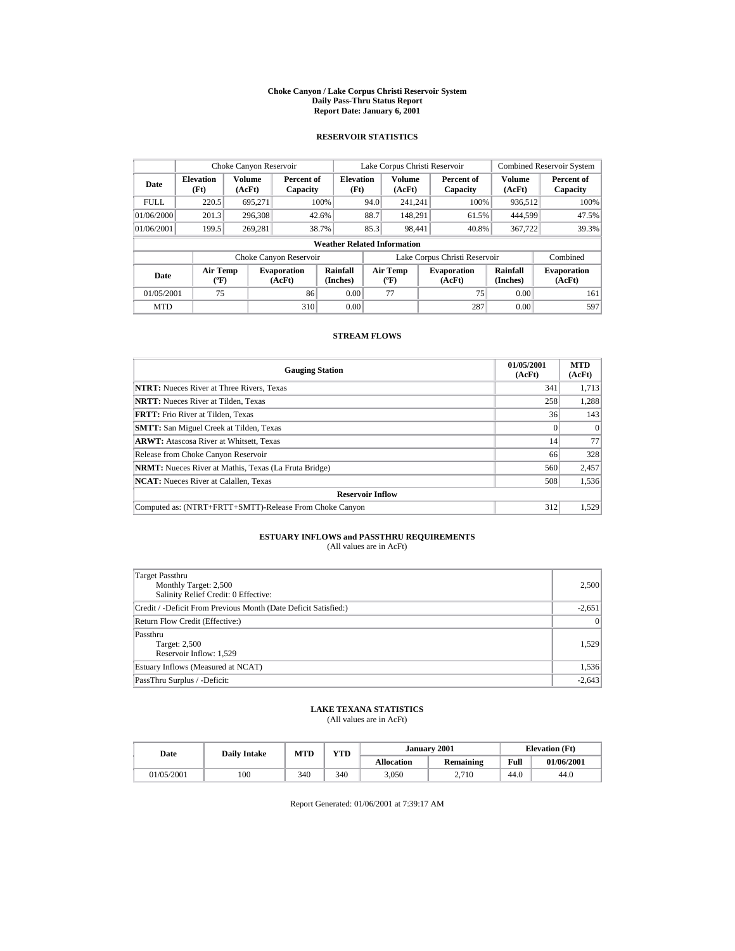#### **Choke Canyon / Lake Corpus Christi Reservoir System Daily Pass-Thru Status Report Report Date: January 6, 2001**

## **RESERVOIR STATISTICS**

| Choke Canyon Reservoir                                                              |                          |                         |                        |                                    |                                          | Lake Corpus Christi Reservoir |                               |                              | <b>Combined Reservoir System</b> |
|-------------------------------------------------------------------------------------|--------------------------|-------------------------|------------------------|------------------------------------|------------------------------------------|-------------------------------|-------------------------------|------------------------------|----------------------------------|
| Date                                                                                | <b>Elevation</b><br>(Ft) | <b>Volume</b><br>(AcFt) | Percent of<br>Capacity | <b>Elevation</b><br>(Ft)           |                                          | Volume<br>(AcFt)              | Percent of<br>Capacity        | <b>Volume</b><br>(AcFt)      | Percent of<br>Capacity           |
| <b>FULL</b>                                                                         | 220.5                    | 695.271                 |                        | 100%                               | 94.0                                     | 241.241                       | 100%                          | 936.512                      | 100%                             |
| 01/06/2000                                                                          | 201.3                    | 296,308                 |                        | 42.6%                              | 88.7                                     | 148.291                       | 61.5%                         | 444.599                      | 47.5%                            |
| 01/06/2001                                                                          | 199.5                    | 269.281                 |                        | 38.7%                              | 85.3                                     | 98.441                        | 40.8%                         | 367,722                      | 39.3%                            |
|                                                                                     |                          |                         |                        | <b>Weather Related Information</b> |                                          |                               |                               |                              |                                  |
|                                                                                     |                          |                         | Choke Canyon Reservoir |                                    |                                          |                               | Lake Corpus Christi Reservoir |                              | Combined                         |
| <b>Air Temp</b><br><b>Evaporation</b><br>Date<br>$({}^{\circ}\mathrm{F})$<br>(AcFt) |                          |                         | Rainfall<br>(Inches)   |                                    | <b>Air Temp</b><br>$({}^{\circ}{\rm F})$ | <b>Evaporation</b><br>(AcFt)  | Rainfall<br>(Inches)          | <b>Evaporation</b><br>(AcFt) |                                  |
| 75<br>01/05/2001<br>86                                                              |                          |                         |                        | 0.00                               |                                          | 77                            | 75                            | 0.00                         | 161                              |
| <b>MTD</b>                                                                          |                          |                         | 310                    | 0.00                               |                                          |                               | 287                           | 0.00                         | 597                              |

## **STREAM FLOWS**

| <b>Gauging Station</b>                                       | 01/05/2001<br>(AcFt) | <b>MTD</b><br>(AcFt) |
|--------------------------------------------------------------|----------------------|----------------------|
| <b>NTRT:</b> Nueces River at Three Rivers, Texas             | 341                  | 1,713                |
| <b>NRTT:</b> Nueces River at Tilden. Texas                   | 258                  | 1,288                |
| <b>FRTT:</b> Frio River at Tilden. Texas                     | 36                   | 143                  |
| <b>SMTT:</b> San Miguel Creek at Tilden, Texas               |                      | $\Omega$             |
| <b>ARWT:</b> Atascosa River at Whitsett, Texas               | 14                   | 77                   |
| Release from Choke Canyon Reservoir                          | 66                   | 328                  |
| <b>NRMT:</b> Nueces River at Mathis, Texas (La Fruta Bridge) | 560                  | 2,457                |
| <b>NCAT:</b> Nueces River at Calallen, Texas                 | 508                  | 1,536                |
| <b>Reservoir Inflow</b>                                      |                      |                      |
| Computed as: (NTRT+FRTT+SMTT)-Release From Choke Canyon      | 312                  | 1,529                |

# **ESTUARY INFLOWS and PASSTHRU REQUIREMENTS**<br>(All values are in AcFt)

| Target Passthru<br>Monthly Target: 2,500<br>Salinity Relief Credit: 0 Effective: | 2,500    |
|----------------------------------------------------------------------------------|----------|
| Credit / -Deficit From Previous Month (Date Deficit Satisfied:)                  | $-2,651$ |
| Return Flow Credit (Effective:)                                                  | 0        |
| Passthru<br>Target: 2,500<br>Reservoir Inflow: 1,529                             | 1,529    |
| Estuary Inflows (Measured at NCAT)                                               | 1,536    |
| PassThru Surplus / -Deficit:                                                     | $-2,643$ |

## **LAKE TEXANA STATISTICS**

(All values are in AcFt)

| Date       | <b>Daily Intake</b> | <b>MTD</b> | YTD |                   | January 2001     | <b>Elevation</b> (Ft) |            |
|------------|---------------------|------------|-----|-------------------|------------------|-----------------------|------------|
|            |                     |            |     | <b>Allocation</b> | <b>Remaining</b> | Full                  | 01/06/2001 |
| 01/05/2001 | 100                 | 340        | 340 | 3,050             | 2.710            | 44.0                  | 44.0       |

Report Generated: 01/06/2001 at 7:39:17 AM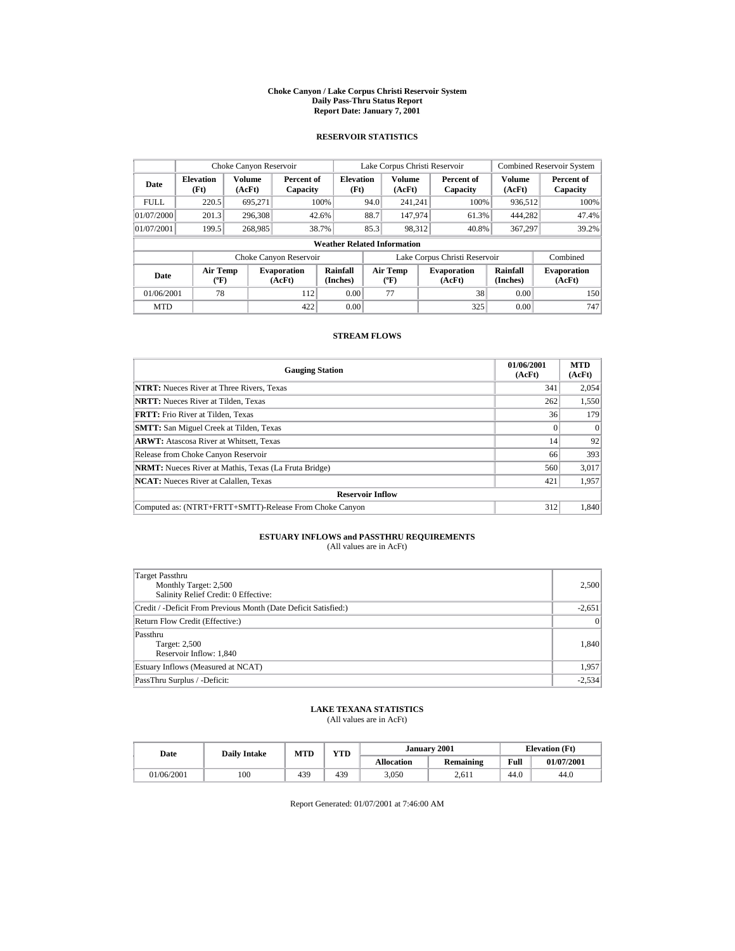#### **Choke Canyon / Lake Corpus Christi Reservoir System Daily Pass-Thru Status Report Report Date: January 7, 2001**

## **RESERVOIR STATISTICS**

| Choke Canyon Reservoir |                                             |                  |                              |                                    |      | Lake Corpus Christi Reservoir            |                               |                         | <b>Combined Reservoir System</b> |
|------------------------|---------------------------------------------|------------------|------------------------------|------------------------------------|------|------------------------------------------|-------------------------------|-------------------------|----------------------------------|
| Date                   | <b>Elevation</b><br>(Ft)                    | Volume<br>(AcFt) | Percent of<br>Capacity       | <b>Elevation</b><br>(Ft)           |      | Volume<br>(AcFt)                         | Percent of<br>Capacity        | <b>Volume</b><br>(AcFt) | Percent of<br>Capacity           |
| <b>FULL</b>            | 220.5                                       | 695,271          |                              | 100%                               | 94.0 | 241.241                                  | 100%                          | 936.512                 | 100%                             |
| 01/07/2000             | 201.3                                       | 296,308          |                              | 42.6%                              | 88.7 | 147.974                                  | 61.3%                         | 444.282                 | 47.4%                            |
| 01/07/2001             | 199.5                                       | 268,985          |                              | 38.7%                              | 85.3 | 98,312                                   | 40.8%                         | 367,297                 | 39.2%                            |
|                        |                                             |                  |                              | <b>Weather Related Information</b> |      |                                          |                               |                         |                                  |
|                        |                                             |                  | Choke Canyon Reservoir       |                                    |      |                                          | Lake Corpus Christi Reservoir |                         | Combined                         |
| Date                   | <b>Air Temp</b><br>$({}^{\circ}\mathrm{F})$ |                  | <b>Evaporation</b><br>(AcFt) | Rainfall<br>(Inches)               |      | <b>Air Temp</b><br>$({}^{\circ}{\rm F})$ | <b>Evaporation</b><br>(AcFt)  | Rainfall<br>(Inches)    | <b>Evaporation</b><br>(AcFt)     |
| 01/06/2001             | 78                                          |                  | 112                          | 0.00                               |      | 77                                       | 38                            | 0.00                    | 150                              |
| <b>MTD</b>             |                                             |                  | 422                          | 0.00                               |      |                                          | 325                           | 0.00                    | 747                              |

## **STREAM FLOWS**

| <b>Gauging Station</b>                                       | 01/06/2001<br>(AcFt) | <b>MTD</b><br>(AcFt) |
|--------------------------------------------------------------|----------------------|----------------------|
| <b>NTRT:</b> Nueces River at Three Rivers, Texas             | 341                  | 2.054                |
| <b>NRTT:</b> Nueces River at Tilden, Texas                   | 262                  | 1,550                |
| <b>FRTT:</b> Frio River at Tilden, Texas                     | 36                   | 179                  |
| <b>SMTT:</b> San Miguel Creek at Tilden, Texas               |                      | $\Omega$             |
| <b>ARWT:</b> Atascosa River at Whitsett, Texas               | 14                   | 92                   |
| Release from Choke Canyon Reservoir                          | 66                   | 393                  |
| <b>NRMT:</b> Nueces River at Mathis, Texas (La Fruta Bridge) | 560                  | 3,017                |
| <b>NCAT:</b> Nueces River at Calallen, Texas                 | 421                  | 1,957                |
| <b>Reservoir Inflow</b>                                      |                      |                      |
| Computed as: (NTRT+FRTT+SMTT)-Release From Choke Canyon      | 312                  | 1,840                |

# **ESTUARY INFLOWS and PASSTHRU REQUIREMENTS**<br>(All values are in AcFt)

| Target Passthru<br>Monthly Target: 2,500<br>Salinity Relief Credit: 0 Effective: | 2,500    |
|----------------------------------------------------------------------------------|----------|
| Credit / -Deficit From Previous Month (Date Deficit Satisfied:)                  | $-2,651$ |
| Return Flow Credit (Effective:)                                                  | 0        |
| Passthru<br>Target: 2,500<br>Reservoir Inflow: 1,840                             | 1,840    |
| Estuary Inflows (Measured at NCAT)                                               | 1,957    |
| PassThru Surplus / -Deficit:                                                     | $-2,534$ |

## **LAKE TEXANA STATISTICS**

(All values are in AcFt)

| Date       | MTD<br><b>Daily Intake</b> |     | YTD |                   | January 2001     | <b>Elevation</b> (Ft) |            |  |
|------------|----------------------------|-----|-----|-------------------|------------------|-----------------------|------------|--|
|            |                            |     |     | <b>Allocation</b> | <b>Remaining</b> | Full                  | 01/07/2001 |  |
| 01/06/2001 | 100                        | 439 | 439 | 3,050             | 2.611            | 44.0                  | 44.0       |  |

Report Generated: 01/07/2001 at 7:46:00 AM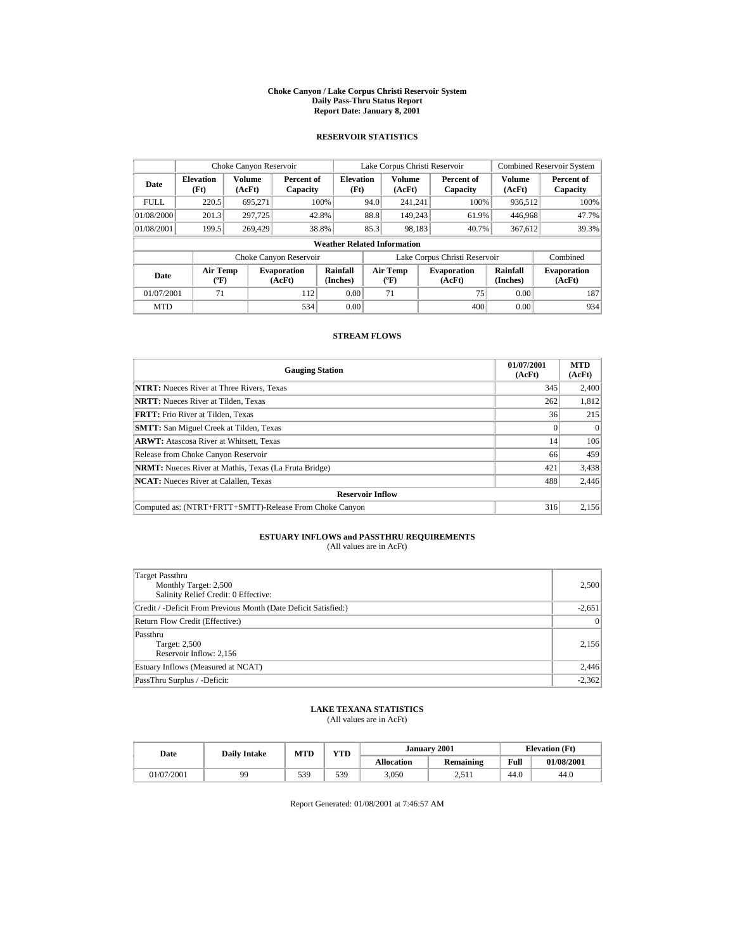#### **Choke Canyon / Lake Corpus Christi Reservoir System Daily Pass-Thru Status Report Report Date: January 8, 2001**

## **RESERVOIR STATISTICS**

| Choke Canyon Reservoir |                                             |                  |                              |                                    |      | Lake Corpus Christi Reservoir            |                               |                         | <b>Combined Reservoir System</b> |
|------------------------|---------------------------------------------|------------------|------------------------------|------------------------------------|------|------------------------------------------|-------------------------------|-------------------------|----------------------------------|
| Date                   | <b>Elevation</b><br>(Ft)                    | Volume<br>(AcFt) | Percent of<br>Capacity       | <b>Elevation</b><br>(Ft)           |      | <b>Volume</b><br>(AcFt)                  | Percent of<br>Capacity        | <b>Volume</b><br>(AcFt) | Percent of<br>Capacity           |
| <b>FULL</b>            | 220.5                                       | 695,271          |                              | 100%                               | 94.0 | 241.241                                  | 100%                          | 936.512                 | 100%                             |
| 01/08/2000             | 201.3                                       | 297.725          |                              | 42.8%                              | 88.8 | 149.243                                  | 61.9%                         | 446,968                 | 47.7%                            |
| 01/08/2001             | 199.5                                       | 269,429          |                              | 38.8%                              | 85.3 | 98.183                                   | 40.7%                         | 367,612                 | 39.3%                            |
|                        |                                             |                  |                              | <b>Weather Related Information</b> |      |                                          |                               |                         |                                  |
|                        |                                             |                  | Choke Canyon Reservoir       |                                    |      |                                          | Lake Corpus Christi Reservoir |                         | Combined                         |
| Date                   | <b>Air Temp</b><br>$({}^{\circ}\mathrm{F})$ |                  | <b>Evaporation</b><br>(AcFt) | Rainfall<br>(Inches)               |      | <b>Air Temp</b><br>$({}^{\circ}{\rm F})$ | <b>Evaporation</b><br>(AcFt)  | Rainfall<br>(Inches)    | <b>Evaporation</b><br>(AcFt)     |
| 01/07/2001             | 71                                          |                  | 112                          | 0.00                               |      | 71                                       | 75                            | 0.00                    | 187                              |
| <b>MTD</b>             |                                             |                  | 534                          | 0.00                               |      |                                          | 400                           | 0.00                    | 934                              |

## **STREAM FLOWS**

| <b>Gauging Station</b>                                       | 01/07/2001<br>(AcFt) | <b>MTD</b><br>(AcFt) |
|--------------------------------------------------------------|----------------------|----------------------|
| <b>NTRT:</b> Nueces River at Three Rivers, Texas             | 345                  | 2,400                |
| <b>NRTT:</b> Nueces River at Tilden. Texas                   | 262                  | 1,812                |
| <b>FRTT:</b> Frio River at Tilden. Texas                     | 36                   | 215                  |
| <b>SMTT:</b> San Miguel Creek at Tilden, Texas               |                      | $\Omega$             |
| <b>ARWT:</b> Atascosa River at Whitsett, Texas               | 14                   | 106                  |
| Release from Choke Canyon Reservoir                          | 66                   | 459                  |
| <b>NRMT:</b> Nueces River at Mathis, Texas (La Fruta Bridge) | 421                  | 3,438                |
| <b>NCAT:</b> Nueces River at Calallen, Texas                 | 488                  | 2,446                |
| <b>Reservoir Inflow</b>                                      |                      |                      |
| Computed as: (NTRT+FRTT+SMTT)-Release From Choke Canyon      | 316                  | 2,156                |

# **ESTUARY INFLOWS and PASSTHRU REQUIREMENTS**<br>(All values are in AcFt)

| Target Passthru<br>Monthly Target: 2,500<br>Salinity Relief Credit: 0 Effective: | 2,500           |
|----------------------------------------------------------------------------------|-----------------|
| Credit / -Deficit From Previous Month (Date Deficit Satisfied:)                  | $-2,651$        |
| Return Flow Credit (Effective:)                                                  | $\vert 0 \vert$ |
| Passthru<br>Target: 2,500<br>Reservoir Inflow: 2,156                             | 2,156           |
| Estuary Inflows (Measured at NCAT)                                               | 2,446           |
| PassThru Surplus / -Deficit:                                                     | $-2,362$        |

## **LAKE TEXANA STATISTICS**

(All values are in AcFt)

| Date       | <b>Daily Intake</b> | <b>MTD</b> | YTD |                   | January 2001     | <b>Elevation</b> (Ft) |            |
|------------|---------------------|------------|-----|-------------------|------------------|-----------------------|------------|
|            |                     |            |     | <b>Allocation</b> | <b>Remaining</b> | Full                  | 01/08/2001 |
| 01/07/2001 | 99                  | 539        | 539 | 3,050             | 2.511            | 44.0                  | 44.0       |

Report Generated: 01/08/2001 at 7:46:57 AM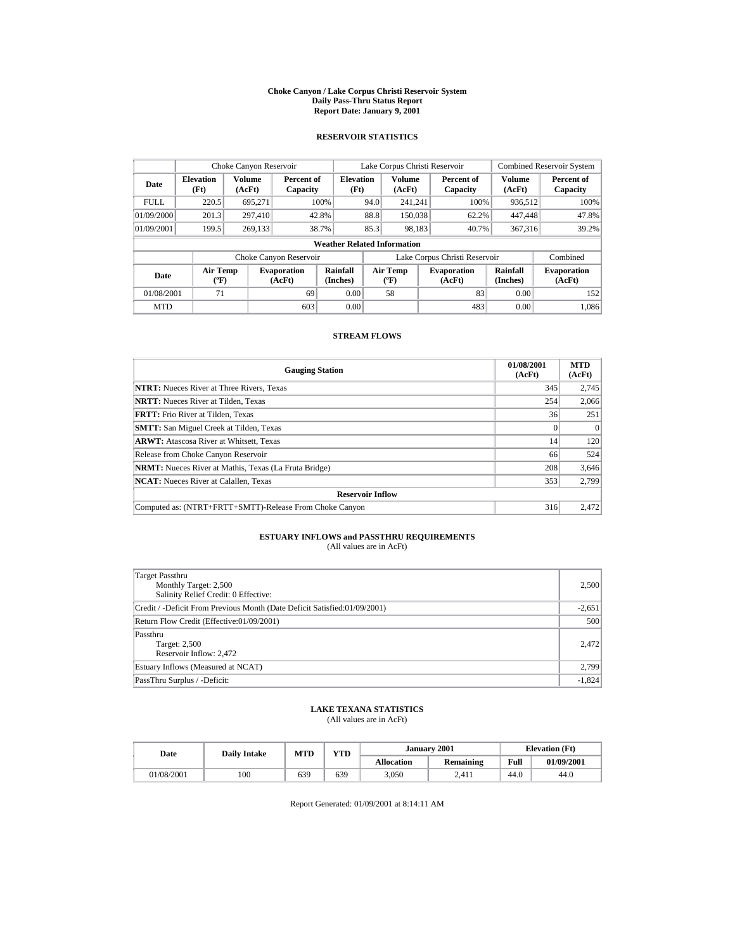#### **Choke Canyon / Lake Corpus Christi Reservoir System Daily Pass-Thru Status Report Report Date: January 9, 2001**

## **RESERVOIR STATISTICS**

| Choke Canyon Reservoir |                                       |                         |                              |                          |      | Lake Corpus Christi Reservoir             |  |                               |                         | <b>Combined Reservoir System</b> |
|------------------------|---------------------------------------|-------------------------|------------------------------|--------------------------|------|-------------------------------------------|--|-------------------------------|-------------------------|----------------------------------|
| Date                   | <b>Elevation</b><br>(Ft)              | <b>Volume</b><br>(AcFt) | Percent of<br>Capacity       | <b>Elevation</b><br>(Ft) |      | Volume<br>(AcFt)                          |  | Percent of<br>Capacity        | <b>Volume</b><br>(AcFt) | Percent of<br>Capacity           |
| <b>FULL</b>            | 220.5                                 | 695.271                 |                              | 100%                     | 94.0 | 241.241                                   |  | 100%                          | 936.512                 | 100%                             |
| 01/09/2000             | 201.3                                 | 297.410                 |                              | 42.8%                    | 88.8 | 150,038                                   |  | 62.2%                         | 447,448                 | 47.8%                            |
| 01/09/2001             | 199.5                                 | 269.133                 |                              | 38.7%                    | 85.3 | 98.183                                    |  | 40.7%                         | 367,316                 | 39.2%                            |
|                        | <b>Weather Related Information</b>    |                         |                              |                          |      |                                           |  |                               |                         |                                  |
|                        |                                       |                         | Choke Canyon Reservoir       |                          |      |                                           |  | Lake Corpus Christi Reservoir |                         | Combined                         |
| Date                   | <b>Air Temp</b><br>$({}^o\mathrm{F})$ |                         | <b>Evaporation</b><br>(AcFt) | Rainfall<br>(Inches)     |      | Air Temp<br>$({}^{\mathrm{o}}\mathrm{F})$ |  | <b>Evaporation</b><br>(AcFt)  | Rainfall<br>(Inches)    | <b>Evaporation</b><br>(AcFt)     |
| 01/08/2001             | 71                                    |                         | 69                           | 0.00                     |      | 58                                        |  | 83                            | 0.00                    | 152                              |
| <b>MTD</b>             |                                       |                         | 603                          | 0.00                     |      |                                           |  | 483                           | 0.00                    | 1.086                            |

## **STREAM FLOWS**

| <b>Gauging Station</b>                                       | 01/08/2001<br>(AcFt) | <b>MTD</b><br>(AcFt) |
|--------------------------------------------------------------|----------------------|----------------------|
| <b>NTRT:</b> Nueces River at Three Rivers, Texas             | 345                  | 2,745                |
| <b>NRTT:</b> Nueces River at Tilden, Texas                   | 254                  | 2.066                |
| <b>FRTT:</b> Frio River at Tilden, Texas                     | 36                   | 251                  |
| <b>SMTT:</b> San Miguel Creek at Tilden, Texas               |                      | $\Omega$             |
| <b>ARWT:</b> Atascosa River at Whitsett, Texas               | 14                   | 120                  |
| Release from Choke Canyon Reservoir                          | 66                   | 524                  |
| <b>NRMT:</b> Nueces River at Mathis, Texas (La Fruta Bridge) | 208                  | 3,646                |
| <b>NCAT:</b> Nueces River at Calallen, Texas                 | 353                  | 2.799                |
| <b>Reservoir Inflow</b>                                      |                      |                      |
| Computed as: (NTRT+FRTT+SMTT)-Release From Choke Canyon      | 316                  | 2.472                |

# **ESTUARY INFLOWS and PASSTHRU REQUIREMENTS**<br>(All values are in AcFt)

| Target Passthru<br>Monthly Target: 2,500<br>Salinity Relief Credit: 0 Effective: | 2,500    |
|----------------------------------------------------------------------------------|----------|
| Credit / -Deficit From Previous Month (Date Deficit Satisfied:01/09/2001)        | $-2,651$ |
| Return Flow Credit (Effective:01/09/2001)                                        | 500      |
| Passthru<br>Target: 2,500<br>Reservoir Inflow: 2,472                             | 2.472    |
| Estuary Inflows (Measured at NCAT)                                               | 2,799    |
| PassThru Surplus / -Deficit:                                                     | $-1,824$ |

## **LAKE TEXANA STATISTICS**

(All values are in AcFt)

| Date       | <b>Daily Intake</b> | <b>MTD</b> | YTD | January           | $\cdot$ 2001     | <b>Elevation</b> (Ft) |            |
|------------|---------------------|------------|-----|-------------------|------------------|-----------------------|------------|
|            |                     |            |     | <b>Allocation</b> | <b>Remaining</b> | Full                  | 01/09/2001 |
| 01/08/2001 | 100                 | 639        | 639 | 3,050             | 2,411            | $\Omega$<br>44.0      | 44.0       |

Report Generated: 01/09/2001 at 8:14:11 AM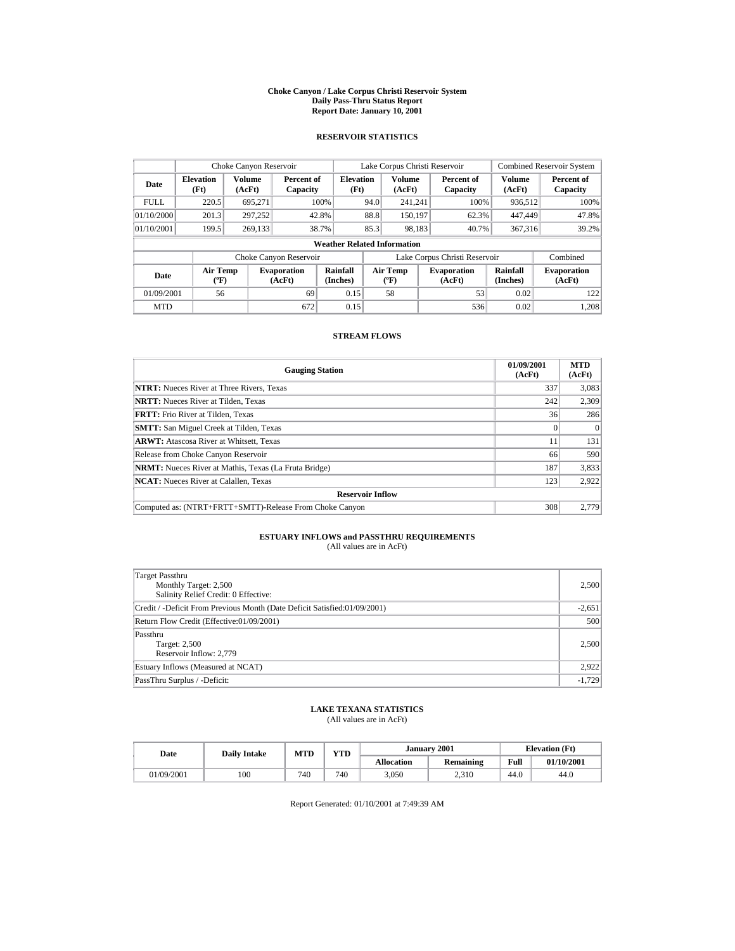#### **Choke Canyon / Lake Corpus Christi Reservoir System Daily Pass-Thru Status Report Report Date: January 10, 2001**

## **RESERVOIR STATISTICS**

|             | Choke Canyon Reservoir                      |                  |                              |                          | Lake Corpus Christi Reservoir |                                          |  |                               | <b>Combined Reservoir System</b> |                              |  |  |
|-------------|---------------------------------------------|------------------|------------------------------|--------------------------|-------------------------------|------------------------------------------|--|-------------------------------|----------------------------------|------------------------------|--|--|
| Date        | <b>Elevation</b><br>(Ft)                    | Volume<br>(AcFt) | Percent of<br>Capacity       | <b>Elevation</b><br>(Ft) |                               | <b>Volume</b><br>(AcFt)                  |  | Percent of<br>Capacity        | <b>Volume</b><br>(AcFt)          | Percent of<br>Capacity       |  |  |
| <b>FULL</b> | 220.5                                       | 695.271          |                              | 100%                     | 94.0                          | 241.241                                  |  | 100%                          | 936.512                          | 100%                         |  |  |
| 01/10/2000  | 201.3                                       | 297.252          |                              | 42.8%                    | 88.8                          | 150.197                                  |  | 62.3%                         | 447,449                          | 47.8%                        |  |  |
| 01/10/2001  | 199.5                                       | 269.133          |                              | 38.7%                    | 85.3                          | 98,183                                   |  | 40.7%                         | 367,316                          | 39.2%                        |  |  |
|             | <b>Weather Related Information</b>          |                  |                              |                          |                               |                                          |  |                               |                                  |                              |  |  |
|             |                                             |                  | Choke Canyon Reservoir       |                          |                               |                                          |  | Lake Corpus Christi Reservoir |                                  | Combined                     |  |  |
| Date        | <b>Air Temp</b><br>$({}^{\circ}\mathrm{F})$ |                  | <b>Evaporation</b><br>(AcFt) | Rainfall<br>(Inches)     |                               | <b>Air Temp</b><br>$({}^{\circ}{\rm F})$ |  | <b>Evaporation</b><br>(AcFt)  | Rainfall<br>(Inches)             | <b>Evaporation</b><br>(AcFt) |  |  |
| 01/09/2001  | 56                                          |                  | 69                           | 0.15                     |                               | 58                                       |  | 53                            | 0.02                             | 122                          |  |  |
| <b>MTD</b>  |                                             |                  | 672                          | 0.15                     |                               |                                          |  | 536                           | 0.02                             | 1.208                        |  |  |

## **STREAM FLOWS**

| <b>Gauging Station</b>                                       | 01/09/2001<br>(AcFt) | <b>MTD</b><br>(AcFt) |
|--------------------------------------------------------------|----------------------|----------------------|
| <b>NTRT:</b> Nueces River at Three Rivers, Texas             | 337                  | 3,083                |
| <b>NRTT:</b> Nueces River at Tilden, Texas                   | 242                  | 2,309                |
| <b>FRTT:</b> Frio River at Tilden, Texas                     | 36                   | 286                  |
| <b>SMTT:</b> San Miguel Creek at Tilden, Texas               |                      | $\Omega$             |
| <b>ARWT:</b> Atascosa River at Whitsett, Texas               | 11                   | 131                  |
| Release from Choke Canyon Reservoir                          | 66                   | 590                  |
| <b>NRMT:</b> Nueces River at Mathis, Texas (La Fruta Bridge) | 187                  | 3,833                |
| <b>NCAT:</b> Nueces River at Calallen, Texas                 | 123                  | 2,922                |
| <b>Reservoir Inflow</b>                                      |                      |                      |
| Computed as: (NTRT+FRTT+SMTT)-Release From Choke Canyon      | 308                  | 2.779                |

# **ESTUARY INFLOWS and PASSTHRU REQUIREMENTS**<br>(All values are in AcFt)

| Target Passthru<br>Monthly Target: 2,500<br>Salinity Relief Credit: 0 Effective: | 2,500    |
|----------------------------------------------------------------------------------|----------|
| Credit / -Deficit From Previous Month (Date Deficit Satisfied:01/09/2001)        | $-2,651$ |
| Return Flow Credit (Effective:01/09/2001)                                        | 500      |
| Passthru<br>Target: 2,500<br>Reservoir Inflow: 2,779                             | 2,500    |
| Estuary Inflows (Measured at NCAT)                                               | 2,922    |
| PassThru Surplus / -Deficit:                                                     | $-1,729$ |

## **LAKE TEXANA STATISTICS**

(All values are in AcFt)

| Date       | Dailv Intake | <b>MTD</b> | YTD |                   | January 2001 | <b>Elevation</b> (Ft) |            |
|------------|--------------|------------|-----|-------------------|--------------|-----------------------|------------|
|            |              |            |     | <b>Allocation</b> | Remaining    | Full                  | 01/10/2001 |
| 01/09/2001 | 100          | 740        | 740 | 3,050             | 2.310        | 44.0                  | 44.0       |

Report Generated: 01/10/2001 at 7:49:39 AM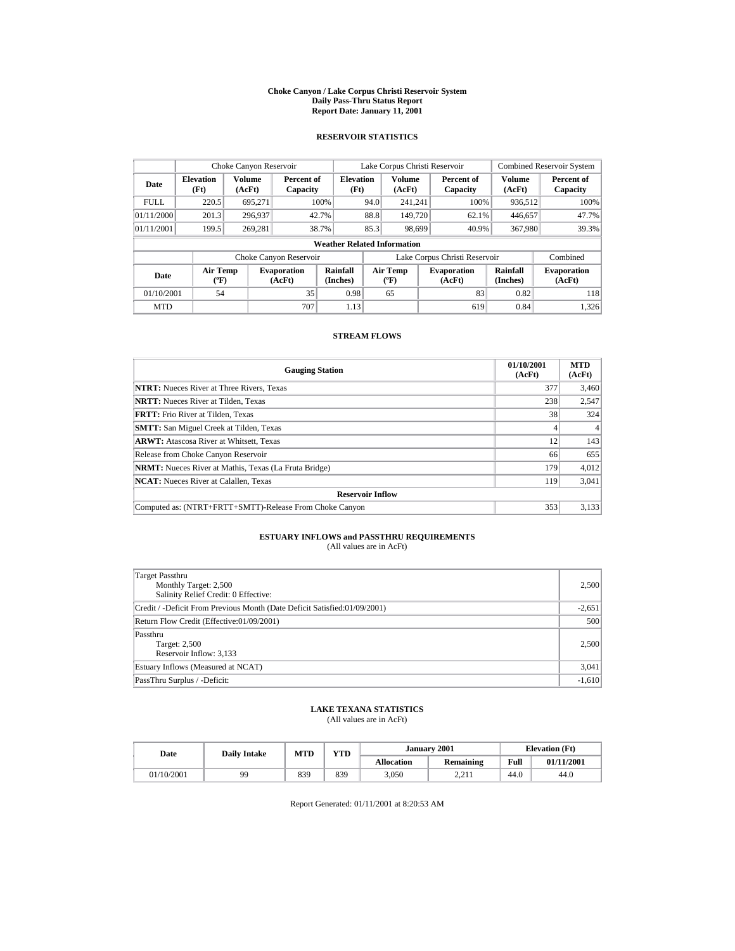#### **Choke Canyon / Lake Corpus Christi Reservoir System Daily Pass-Thru Status Report Report Date: January 11, 2001**

## **RESERVOIR STATISTICS**

|             | Choke Canyon Reservoir                      |                  |                              |                          | Lake Corpus Christi Reservoir |                                          |  |                               | <b>Combined Reservoir System</b> |                              |  |  |
|-------------|---------------------------------------------|------------------|------------------------------|--------------------------|-------------------------------|------------------------------------------|--|-------------------------------|----------------------------------|------------------------------|--|--|
| Date        | <b>Elevation</b><br>(Ft)                    | Volume<br>(AcFt) | Percent of<br>Capacity       | <b>Elevation</b><br>(Ft) |                               | <b>Volume</b><br>(AcFt)                  |  | Percent of<br>Capacity        | <b>Volume</b><br>(AcFt)          | Percent of<br>Capacity       |  |  |
| <b>FULL</b> | 220.5                                       | 695.271          |                              | 100%                     | 94.0                          | 241.241                                  |  | 100%                          | 936.512                          | 100%                         |  |  |
| 01/11/2000  | 201.3                                       | 296.937          |                              | 42.7%                    | 88.8                          | 149,720                                  |  | 62.1%                         | 446,657                          | 47.7%                        |  |  |
| 01/11/2001  | 199.5                                       | 269.281          |                              | 38.7%                    | 85.3                          | 98.699                                   |  | 40.9%                         | 367,980                          | 39.3%                        |  |  |
|             | <b>Weather Related Information</b>          |                  |                              |                          |                               |                                          |  |                               |                                  |                              |  |  |
|             |                                             |                  | Choke Canyon Reservoir       |                          |                               |                                          |  | Lake Corpus Christi Reservoir |                                  | Combined                     |  |  |
| Date        | <b>Air Temp</b><br>$({}^{\circ}\mathrm{F})$ |                  | <b>Evaporation</b><br>(AcFt) | Rainfall<br>(Inches)     |                               | <b>Air Temp</b><br>$({}^{\circ}{\rm F})$ |  | <b>Evaporation</b><br>(AcFt)  | Rainfall<br>(Inches)             | <b>Evaporation</b><br>(AcFt) |  |  |
| 01/10/2001  | 54                                          |                  | 35                           | 0.98                     |                               | 65                                       |  | 83                            | 0.82                             | 118                          |  |  |
| <b>MTD</b>  |                                             |                  | 707                          | 1.13                     |                               |                                          |  | 619                           | 0.84                             | 1.326                        |  |  |

## **STREAM FLOWS**

| <b>Gauging Station</b>                                       | 01/10/2001<br>(AcFt) | <b>MTD</b><br>(AcFt) |
|--------------------------------------------------------------|----------------------|----------------------|
| <b>NTRT:</b> Nueces River at Three Rivers, Texas             | 377                  | 3,460                |
| <b>NRTT:</b> Nueces River at Tilden. Texas                   | 238                  | 2,547                |
| <b>FRTT:</b> Frio River at Tilden. Texas                     | 38                   | 324                  |
| <b>SMTT:</b> San Miguel Creek at Tilden, Texas               |                      | 4                    |
| <b>ARWT:</b> Atascosa River at Whitsett, Texas               | 12                   | 143                  |
| Release from Choke Canyon Reservoir                          | 66                   | 655                  |
| <b>NRMT:</b> Nueces River at Mathis, Texas (La Fruta Bridge) | 179                  | 4,012                |
| <b>NCAT:</b> Nueces River at Calallen, Texas                 | 119                  | 3,041                |
| <b>Reservoir Inflow</b>                                      |                      |                      |
| Computed as: (NTRT+FRTT+SMTT)-Release From Choke Canyon      | 353                  | 3,133                |

# **ESTUARY INFLOWS and PASSTHRU REQUIREMENTS**<br>(All values are in AcFt)

| Target Passthru<br>Monthly Target: 2,500<br>Salinity Relief Credit: 0 Effective: | 2,500    |
|----------------------------------------------------------------------------------|----------|
| Credit / -Deficit From Previous Month (Date Deficit Satisfied:01/09/2001)        | $-2,651$ |
| Return Flow Credit (Effective:01/09/2001)                                        | 500      |
| Passthru<br>Target: 2,500<br>Reservoir Inflow: 3,133                             | 2,500    |
| Estuary Inflows (Measured at NCAT)                                               | 3,041    |
| PassThru Surplus / -Deficit:                                                     | $-1,610$ |

## **LAKE TEXANA STATISTICS**

(All values are in AcFt)

| Date       | <b>Daily Intake</b> | <b>MTD</b> | YTD |                   | January 2001 | <b>Elevation</b> (Ft) |            |
|------------|---------------------|------------|-----|-------------------|--------------|-----------------------|------------|
|            |                     |            |     | <b>Allocation</b> | Remaining    | Full                  | 01/11/2001 |
| 01/10/2001 | 99                  | 839        | 839 | 3,050             | 2.211        | 44.0                  | 44.0       |

Report Generated: 01/11/2001 at 8:20:53 AM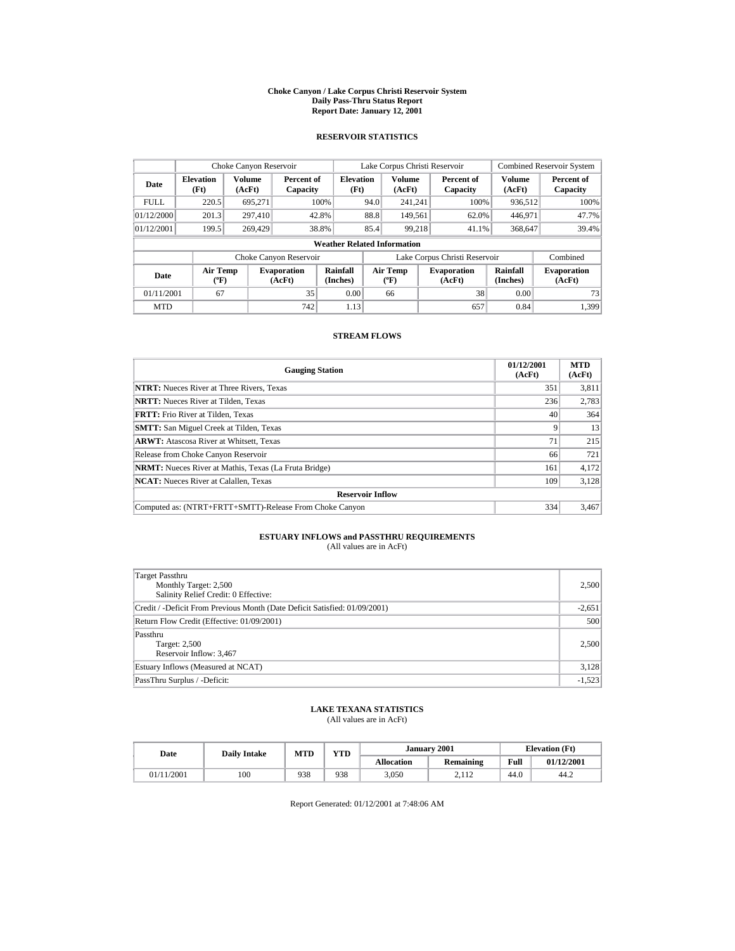#### **Choke Canyon / Lake Corpus Christi Reservoir System Daily Pass-Thru Status Report Report Date: January 12, 2001**

## **RESERVOIR STATISTICS**

|             | Choke Canyon Reservoir             |                         |                              |                          | Lake Corpus Christi Reservoir               |                         |  |                               | <b>Combined Reservoir System</b> |                              |  |  |
|-------------|------------------------------------|-------------------------|------------------------------|--------------------------|---------------------------------------------|-------------------------|--|-------------------------------|----------------------------------|------------------------------|--|--|
| Date        | <b>Elevation</b><br>(Ft)           | <b>Volume</b><br>(AcFt) | Percent of<br>Capacity       | <b>Elevation</b><br>(Ft) |                                             | <b>Volume</b><br>(AcFt) |  | Percent of<br>Capacity        | Volume<br>(AcFt)                 | Percent of<br>Capacity       |  |  |
| <b>FULL</b> | 220.5                              | 695.271                 |                              | 100%                     | 94.0                                        | 241.241                 |  | 100%                          | 936.512                          | 100%                         |  |  |
| 01/12/2000  | 201.3                              | 297,410                 | 42.8%                        |                          | 88.8                                        | 149.561                 |  | 62.0%                         | 446,971                          | 47.7%                        |  |  |
| 01/12/2001  | 199.5                              | 269,429                 |                              | 38.8%                    | 85.4                                        | 99,218                  |  | 41.1%                         | 368,647                          | 39.4%                        |  |  |
|             | <b>Weather Related Information</b> |                         |                              |                          |                                             |                         |  |                               |                                  |                              |  |  |
|             |                                    |                         | Choke Canyon Reservoir       |                          |                                             |                         |  | Lake Corpus Christi Reservoir |                                  | Combined                     |  |  |
| Date        | <b>Air Temp</b><br>$(^{\circ}F)$   |                         | <b>Evaporation</b><br>(AcFt) | Rainfall<br>(Inches)     | <b>Air Temp</b><br>$({}^{\circ}\mathbf{F})$ |                         |  | <b>Evaporation</b><br>(AcFt)  | <b>Rainfall</b><br>(Inches)      | <b>Evaporation</b><br>(AcFt) |  |  |
| 01/11/2001  | 67                                 |                         | 35                           | 0.00                     |                                             | 66                      |  | 38                            | 0.00                             | 73                           |  |  |
| <b>MTD</b>  |                                    |                         | 742                          | 1.13                     |                                             |                         |  | 657                           | 0.84                             | 1.399                        |  |  |

## **STREAM FLOWS**

| <b>Gauging Station</b>                                       | 01/12/2001<br>(AcFt) | <b>MTD</b><br>(AcFt) |
|--------------------------------------------------------------|----------------------|----------------------|
| <b>NTRT:</b> Nueces River at Three Rivers, Texas             | 351                  | 3,811                |
| <b>NRTT:</b> Nueces River at Tilden, Texas                   | 236                  | 2,783                |
| <b>FRTT:</b> Frio River at Tilden, Texas                     | 40                   | 364                  |
| <b>SMTT:</b> San Miguel Creek at Tilden, Texas               | Q                    | 13                   |
| <b>ARWT:</b> Atascosa River at Whitsett, Texas               | 71                   | 215                  |
| Release from Choke Canyon Reservoir                          | 66                   | 721                  |
| <b>NRMT:</b> Nueces River at Mathis, Texas (La Fruta Bridge) | 161                  | 4,172                |
| <b>NCAT:</b> Nueces River at Calallen, Texas                 | 109                  | 3.128                |
| <b>Reservoir Inflow</b>                                      |                      |                      |
| Computed as: (NTRT+FRTT+SMTT)-Release From Choke Canyon      | 334                  | 3,467                |

# **ESTUARY INFLOWS and PASSTHRU REQUIREMENTS**<br>(All values are in AcFt)

| Target Passthru<br>Monthly Target: 2,500<br>Salinity Relief Credit: 0 Effective: | 2,500    |
|----------------------------------------------------------------------------------|----------|
| Credit / -Deficit From Previous Month (Date Deficit Satisfied: 01/09/2001)       | $-2,651$ |
| Return Flow Credit (Effective: 01/09/2001)                                       | 500      |
| Passthru<br>Target: 2,500<br>Reservoir Inflow: 3,467                             | 2,500    |
| Estuary Inflows (Measured at NCAT)                                               | 3,128    |
| PassThru Surplus / -Deficit:                                                     | $-1,523$ |

## **LAKE TEXANA STATISTICS**

(All values are in AcFt)

| Date       | <b>Daily Intake</b> | <b>MTD</b> | YTD |                   | January 2001 | <b>Elevation</b> (Ft) |            |
|------------|---------------------|------------|-----|-------------------|--------------|-----------------------|------------|
|            |                     |            |     | <b>Allocation</b> | Remaining    | Full                  | 01/12/2001 |
| 01/11/2001 | 100                 | 938        | 938 | 3,050             | 2.112        | 44.0                  | 44.2       |

Report Generated: 01/12/2001 at 7:48:06 AM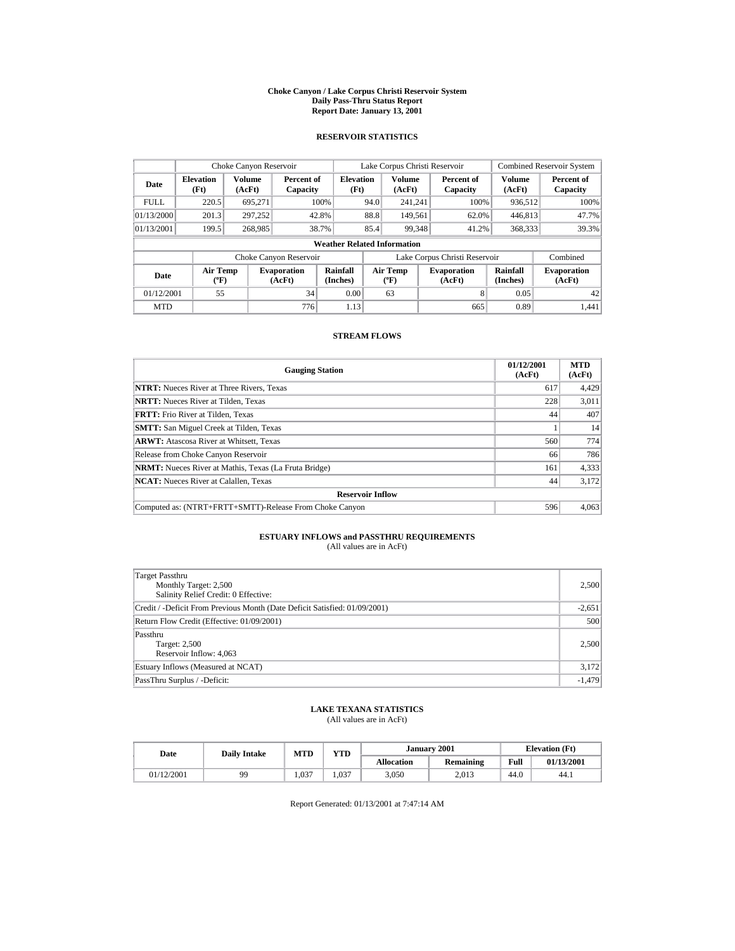#### **Choke Canyon / Lake Corpus Christi Reservoir System Daily Pass-Thru Status Report Report Date: January 13, 2001**

## **RESERVOIR STATISTICS**

|             | Choke Canyon Reservoir                |                         |                              |                          | Lake Corpus Christi Reservoir |                                                  |  |                               |                         | <b>Combined Reservoir System</b> |  |  |
|-------------|---------------------------------------|-------------------------|------------------------------|--------------------------|-------------------------------|--------------------------------------------------|--|-------------------------------|-------------------------|----------------------------------|--|--|
| Date        | <b>Elevation</b><br>(Ft)              | <b>Volume</b><br>(AcFt) | Percent of<br>Capacity       | <b>Elevation</b><br>(Ft) |                               | <b>Volume</b><br>(AcFt)                          |  | Percent of<br>Capacity        | <b>Volume</b><br>(AcFt) | Percent of<br>Capacity           |  |  |
| <b>FULL</b> | 220.5                                 | 695.271                 |                              | 100%                     | 94.0                          | 241.241                                          |  | 100%                          | 936,512                 | 100%                             |  |  |
| 01/13/2000  | 201.3                                 | 297.252                 |                              | 42.8%                    | 88.8                          | 149.561                                          |  | 62.0%                         | 446,813                 | 47.7%                            |  |  |
| 01/13/2001  | 199.5                                 | 268,985                 |                              | 38.7%                    | 85.4                          | 99,348                                           |  | 41.2%                         | 368,333                 | 39.3%                            |  |  |
|             | <b>Weather Related Information</b>    |                         |                              |                          |                               |                                                  |  |                               |                         |                                  |  |  |
|             |                                       |                         | Choke Canyon Reservoir       |                          |                               |                                                  |  | Lake Corpus Christi Reservoir |                         | Combined                         |  |  |
| Date        | <b>Air Temp</b><br>$({}^o\mathrm{F})$ |                         | <b>Evaporation</b><br>(AcFt) | Rainfall<br>(Inches)     |                               | <b>Air Temp</b><br>$({}^{\mathrm{o}}\mathrm{F})$ |  | <b>Evaporation</b><br>(AcFt)  | Rainfall<br>(Inches)    | <b>Evaporation</b><br>(AcFt)     |  |  |
| 01/12/2001  | 55                                    |                         | 34                           | 0.00                     |                               | 63                                               |  | 8                             | 0.05                    | 42                               |  |  |
| <b>MTD</b>  |                                       |                         | 776                          | 1.13                     |                               |                                                  |  | 665                           | 0.89                    | 1.441                            |  |  |

## **STREAM FLOWS**

| <b>Gauging Station</b>                                       | 01/12/2001<br>(AcFt) | <b>MTD</b><br>(AcFt) |
|--------------------------------------------------------------|----------------------|----------------------|
| <b>NTRT:</b> Nueces River at Three Rivers, Texas             | 617                  | 4,429                |
| <b>NRTT:</b> Nueces River at Tilden. Texas                   | 228                  | 3,011                |
| <b>FRTT:</b> Frio River at Tilden. Texas                     | 44                   | 407                  |
| <b>SMTT:</b> San Miguel Creek at Tilden, Texas               |                      | 14                   |
| <b>ARWT:</b> Atascosa River at Whitsett, Texas               | 560                  | 774                  |
| Release from Choke Canyon Reservoir                          | 66                   | 786                  |
| <b>NRMT:</b> Nueces River at Mathis, Texas (La Fruta Bridge) | 161                  | 4,333                |
| <b>NCAT:</b> Nueces River at Calallen, Texas                 | 44                   | 3.172                |
| <b>Reservoir Inflow</b>                                      |                      |                      |
| Computed as: (NTRT+FRTT+SMTT)-Release From Choke Canyon      | 596                  | 4,063                |

# **ESTUARY INFLOWS and PASSTHRU REQUIREMENTS**<br>(All values are in AcFt)

| Target Passthru<br>Monthly Target: 2,500<br>Salinity Relief Credit: 0 Effective: | 2,500    |
|----------------------------------------------------------------------------------|----------|
| Credit / -Deficit From Previous Month (Date Deficit Satisfied: 01/09/2001)       | $-2,651$ |
| Return Flow Credit (Effective: 01/09/2001)                                       | 500      |
| Passthru<br>Target: 2,500<br>Reservoir Inflow: 4,063                             | 2,500    |
| Estuary Inflows (Measured at NCAT)                                               | 3,172    |
| PassThru Surplus / -Deficit:                                                     | $-1,479$ |

## **LAKE TEXANA STATISTICS**

(All values are in AcFt)

| Date       | <b>Daily Intake</b> | <b>MTD</b> | VTD- |                   | <b>January 2001</b> | <b>Elevation</b> (Ft) |            |
|------------|---------------------|------------|------|-------------------|---------------------|-----------------------|------------|
|            |                     |            |      | <b>Allocation</b> | Remaining           | Full                  | 01/13/2001 |
| 01/12/2001 | 99                  | .037       | .037 | 3,050             | 2.013               | 44.0                  | 44.1       |

Report Generated: 01/13/2001 at 7:47:14 AM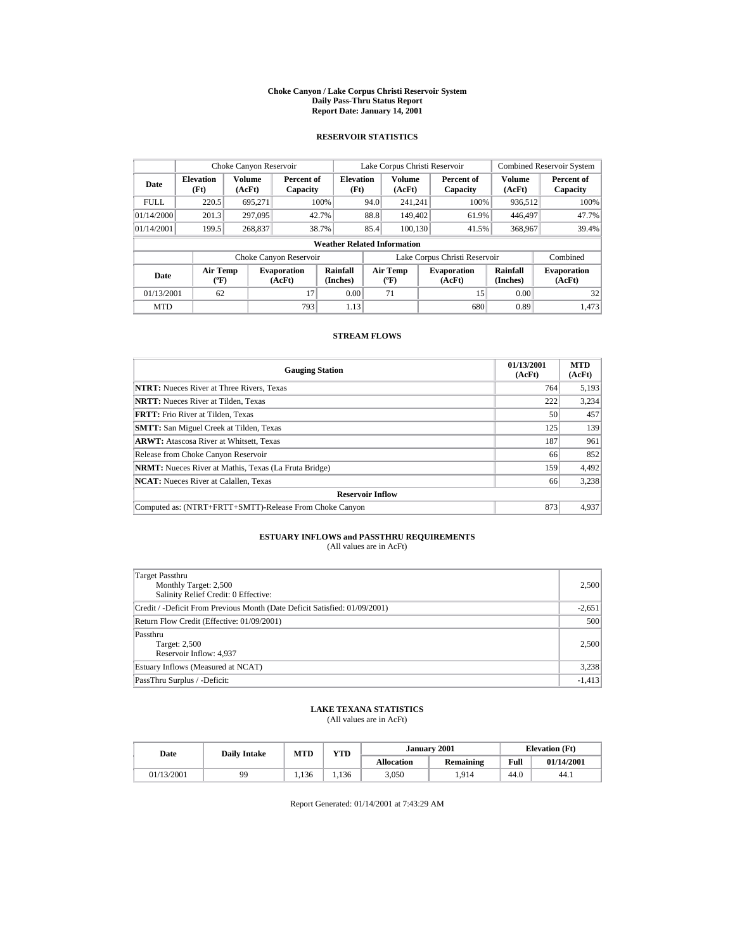#### **Choke Canyon / Lake Corpus Christi Reservoir System Daily Pass-Thru Status Report Report Date: January 14, 2001**

## **RESERVOIR STATISTICS**

|             | Choke Canyon Reservoir                      |                  |                              |                          | Lake Corpus Christi Reservoir            |                         |  |                               | <b>Combined Reservoir System</b> |                              |  |  |
|-------------|---------------------------------------------|------------------|------------------------------|--------------------------|------------------------------------------|-------------------------|--|-------------------------------|----------------------------------|------------------------------|--|--|
| Date        | <b>Elevation</b><br>(Ft)                    | Volume<br>(AcFt) | Percent of<br>Capacity       | <b>Elevation</b><br>(Ft) |                                          | <b>Volume</b><br>(AcFt) |  | Percent of<br>Capacity        | <b>Volume</b><br>(AcFt)          | Percent of<br>Capacity       |  |  |
| <b>FULL</b> | 220.5                                       | 695.271          |                              | 100%                     | 94.0                                     | 241.241                 |  | 100%                          | 936.512                          | 100%                         |  |  |
| 01/14/2000  | 201.3                                       | 297,095          |                              | 42.7%                    | 88.8                                     | 149.402                 |  | 61.9%                         | 446,497                          | 47.7%                        |  |  |
| 01/14/2001  | 199.5                                       | 268,837          |                              | 38.7%                    | 85.4                                     | 100.130                 |  | 41.5%                         | 368,967                          | 39.4%                        |  |  |
|             | <b>Weather Related Information</b>          |                  |                              |                          |                                          |                         |  |                               |                                  |                              |  |  |
|             |                                             |                  | Choke Canyon Reservoir       |                          |                                          |                         |  | Lake Corpus Christi Reservoir |                                  | Combined                     |  |  |
| Date        | <b>Air Temp</b><br>$({}^{\circ}\mathrm{F})$ |                  | <b>Evaporation</b><br>(AcFt) | Rainfall<br>(Inches)     | <b>Air Temp</b><br>$({}^{\circ}{\rm F})$ |                         |  | <b>Evaporation</b><br>(AcFt)  | Rainfall<br>(Inches)             | <b>Evaporation</b><br>(AcFt) |  |  |
| 01/13/2001  | 62                                          |                  | 17                           | 0.00                     |                                          | 71                      |  | 15                            | 0.00                             | 32                           |  |  |
| <b>MTD</b>  |                                             |                  | 793                          | 1.13                     |                                          |                         |  | 680                           | 0.89                             | 1.473                        |  |  |

## **STREAM FLOWS**

| <b>Gauging Station</b>                                       | 01/13/2001<br>(AcFt) | <b>MTD</b><br>(AcFt) |
|--------------------------------------------------------------|----------------------|----------------------|
| <b>NTRT:</b> Nueces River at Three Rivers, Texas             | 764                  | 5,193                |
| <b>NRTT:</b> Nueces River at Tilden. Texas                   | 222                  | 3,234                |
| <b>FRTT:</b> Frio River at Tilden. Texas                     | 50                   | 457                  |
| <b>SMTT:</b> San Miguel Creek at Tilden, Texas               | 125                  | 139                  |
| <b>ARWT:</b> Atascosa River at Whitsett, Texas               | 187                  | 961                  |
| Release from Choke Canyon Reservoir                          | 66                   | 852                  |
| <b>NRMT:</b> Nueces River at Mathis, Texas (La Fruta Bridge) | 159                  | 4,492                |
| <b>NCAT:</b> Nueces River at Calallen, Texas                 | 66                   | 3,238                |
| <b>Reservoir Inflow</b>                                      |                      |                      |
| Computed as: (NTRT+FRTT+SMTT)-Release From Choke Canyon      | 873                  | 4,937                |

# **ESTUARY INFLOWS and PASSTHRU REQUIREMENTS**<br>(All values are in AcFt)

| Target Passthru<br>Monthly Target: 2,500<br>Salinity Relief Credit: 0 Effective: | 2,500    |
|----------------------------------------------------------------------------------|----------|
| Credit / -Deficit From Previous Month (Date Deficit Satisfied: 01/09/2001)       | $-2,651$ |
| Return Flow Credit (Effective: 01/09/2001)                                       | 500      |
| Passthru<br>Target: 2,500<br>Reservoir Inflow: 4,937                             | 2,500    |
| Estuary Inflows (Measured at NCAT)                                               | 3,238    |
| PassThru Surplus / -Deficit:                                                     | $-1,413$ |

## **LAKE TEXANA STATISTICS**

(All values are in AcFt)

| Date       | <b>Daily Intake</b> | <b>MTD</b> | VTD   |                   | January 2001 | <b>Elevation</b> (Ft) |            |
|------------|---------------------|------------|-------|-------------------|--------------|-----------------------|------------|
|            |                     |            |       | <b>Allocation</b> | Remaining    | Full                  | 01/14/2001 |
| 01/13/2001 | gg                  | 1.136      | . 136 | 3,050             | .914         | 44.0                  | 44.1       |

Report Generated: 01/14/2001 at 7:43:29 AM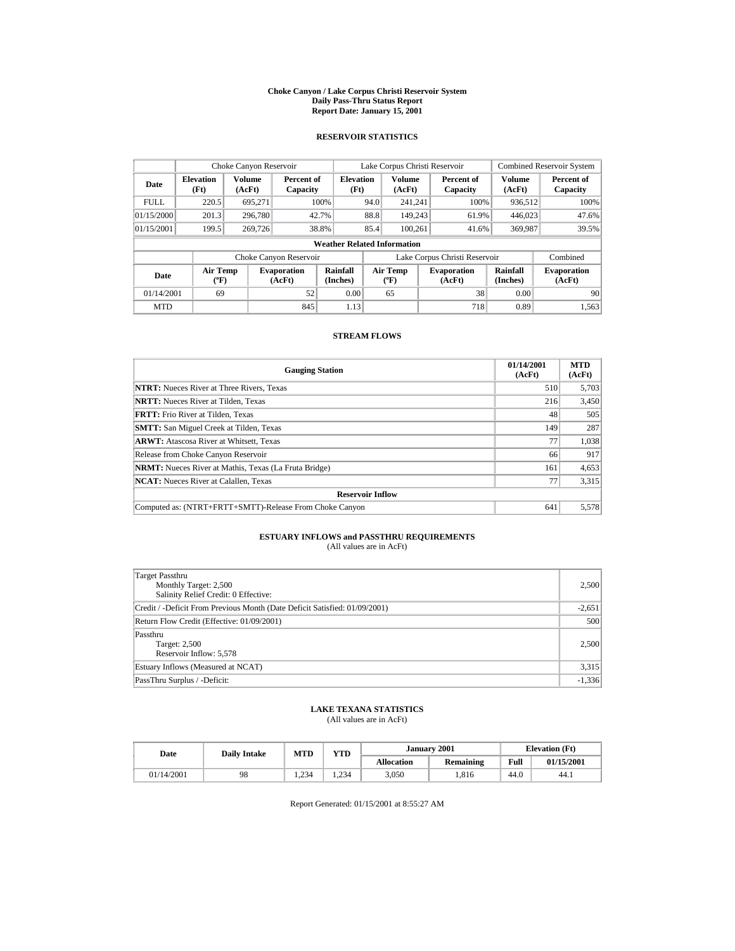#### **Choke Canyon / Lake Corpus Christi Reservoir System Daily Pass-Thru Status Report Report Date: January 15, 2001**

## **RESERVOIR STATISTICS**

|             | Choke Canyon Reservoir             |                         |                              |                          | Lake Corpus Christi Reservoir |                                  |  |                               | <b>Combined Reservoir System</b> |                              |  |  |
|-------------|------------------------------------|-------------------------|------------------------------|--------------------------|-------------------------------|----------------------------------|--|-------------------------------|----------------------------------|------------------------------|--|--|
| Date        | <b>Elevation</b><br>(Ft)           | <b>Volume</b><br>(AcFt) | Percent of<br>Capacity       | <b>Elevation</b><br>(Ft) |                               | <b>Volume</b><br>(AcFt)          |  | Percent of<br>Capacity        | Volume<br>(AcFt)                 | Percent of<br>Capacity       |  |  |
| <b>FULL</b> | 220.5                              | 695.271                 |                              | 100%                     | 94.0                          | 241.241                          |  | 100%                          | 936.512                          | 100%                         |  |  |
| 01/15/2000  | 201.3                              | 296,780                 |                              | 42.7%                    | 88.8                          | 149,243                          |  | 61.9%                         | 446,023                          | 47.6%                        |  |  |
| 01/15/2001  | 199.5                              | 269,726                 |                              | 38.8%                    | 85.4                          | 100.261                          |  | 41.6%                         | 369,987                          | 39.5%                        |  |  |
|             | <b>Weather Related Information</b> |                         |                              |                          |                               |                                  |  |                               |                                  |                              |  |  |
|             |                                    |                         | Choke Canyon Reservoir       |                          |                               |                                  |  | Lake Corpus Christi Reservoir |                                  | Combined                     |  |  |
| Date        | <b>Air Temp</b><br>$(^{\circ}F)$   |                         | <b>Evaporation</b><br>(AcFt) | Rainfall<br>(Inches)     |                               | <b>Air Temp</b><br>$(^{\circ}F)$ |  | <b>Evaporation</b><br>(AcFt)  | <b>Rainfall</b><br>(Inches)      | <b>Evaporation</b><br>(AcFt) |  |  |
| 01/14/2001  | 69                                 |                         | 52                           | 0.00                     |                               | 65                               |  | 38                            | 0.00                             | 90                           |  |  |
| <b>MTD</b>  |                                    |                         | 845                          | 1.13                     |                               |                                  |  | 718                           | 0.89                             | 1.563                        |  |  |

## **STREAM FLOWS**

| <b>Gauging Station</b>                                       | 01/14/2001<br>(AcFt) | <b>MTD</b><br>(AcFt) |
|--------------------------------------------------------------|----------------------|----------------------|
| <b>NTRT:</b> Nueces River at Three Rivers, Texas             | 510                  | 5,703                |
| <b>NRTT:</b> Nueces River at Tilden, Texas                   | 216                  | 3,450                |
| <b>FRTT:</b> Frio River at Tilden, Texas                     | 48                   | 505                  |
| <b>SMTT:</b> San Miguel Creek at Tilden, Texas               | 149                  | 287                  |
| <b>ARWT:</b> Atascosa River at Whitsett, Texas               | 77                   | 1,038                |
| Release from Choke Canyon Reservoir                          | 66                   | 917                  |
| <b>NRMT:</b> Nueces River at Mathis, Texas (La Fruta Bridge) | 161                  | 4,653                |
| <b>NCAT:</b> Nueces River at Calallen, Texas                 | 77                   | 3,315                |
| <b>Reservoir Inflow</b>                                      |                      |                      |
| Computed as: (NTRT+FRTT+SMTT)-Release From Choke Canyon      | 641                  | 5,578                |

# **ESTUARY INFLOWS and PASSTHRU REQUIREMENTS**<br>(All values are in AcFt)

| Target Passthru<br>Monthly Target: 2,500<br>Salinity Relief Credit: 0 Effective: | 2,500    |
|----------------------------------------------------------------------------------|----------|
| Credit / -Deficit From Previous Month (Date Deficit Satisfied: 01/09/2001)       | $-2,651$ |
| Return Flow Credit (Effective: 01/09/2001)                                       | 500      |
| Passthru<br>Target: 2,500<br>Reservoir Inflow: 5,578                             | 2,500    |
| Estuary Inflows (Measured at NCAT)                                               | 3,315    |
| PassThru Surplus / -Deficit:                                                     | $-1,336$ |

## **LAKE TEXANA STATISTICS**

(All values are in AcFt)

| Date       | <b>Daily Intake</b> | <b>MTD</b> | VTD- |                   | January 2001 | <b>Elevation</b> (Ft) |            |
|------------|---------------------|------------|------|-------------------|--------------|-----------------------|------------|
|            |                     |            |      | <b>Allocation</b> | Remaining    | Full                  | 01/15/2001 |
| 01/14/2001 | 98                  | . 234      | .234 | 3,050             | .816         | 44.0                  | 44.1       |

Report Generated: 01/15/2001 at 8:55:27 AM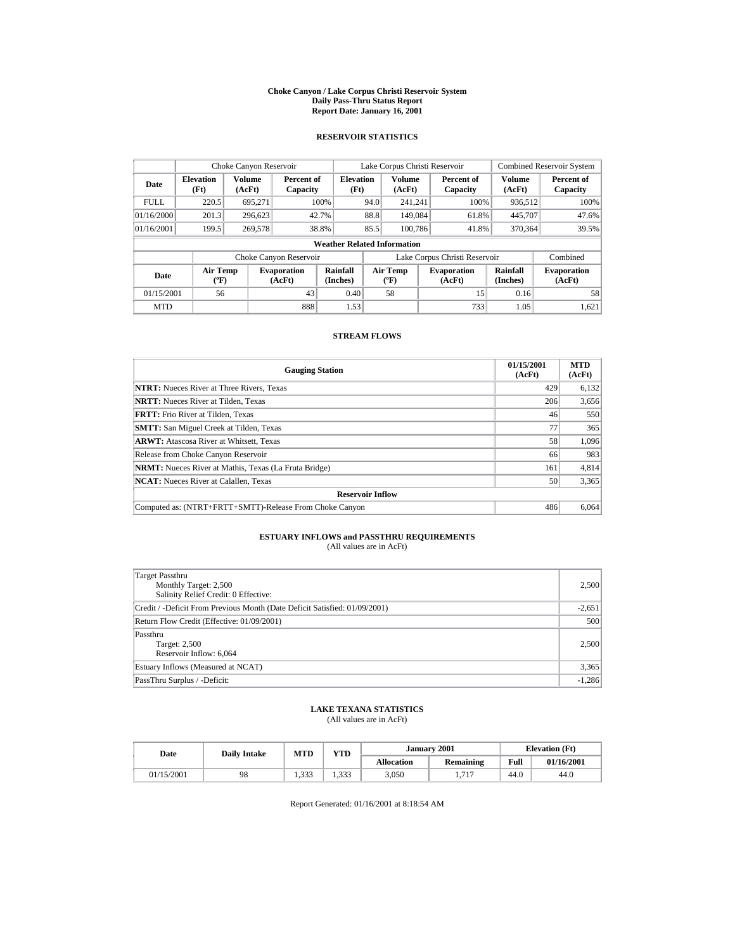#### **Choke Canyon / Lake Corpus Christi Reservoir System Daily Pass-Thru Status Report Report Date: January 16, 2001**

## **RESERVOIR STATISTICS**

|                                                                                          | Choke Canyon Reservoir |                  |                        |                                    |      | Lake Corpus Christi Reservoir             |                               |                         | <b>Combined Reservoir System</b> |
|------------------------------------------------------------------------------------------|------------------------|------------------|------------------------|------------------------------------|------|-------------------------------------------|-------------------------------|-------------------------|----------------------------------|
| <b>Elevation</b><br>Date<br>(Ft)                                                         |                        | Volume<br>(AcFt) | Percent of<br>Capacity | <b>Elevation</b><br>(Ft)           |      | <b>Volume</b><br>(AcFt)                   | Percent of<br>Capacity        | <b>Volume</b><br>(AcFt) | Percent of<br>Capacity           |
| <b>FULL</b>                                                                              | 220.5                  | 695.271          |                        | 100%                               | 94.0 | 241.241                                   | 100%                          | 936.512                 | 100%                             |
| 01/16/2000                                                                               | 201.3                  | 296.623          |                        | 42.7%                              | 88.8 | 149,084                                   | 61.8%                         | 445,707                 | 47.6%                            |
| 01/16/2001                                                                               | 199.5                  | 269,578          |                        | 38.8%                              | 85.5 | 100.786                                   | 41.8%                         | 370,364                 | 39.5%                            |
|                                                                                          |                        |                  |                        | <b>Weather Related Information</b> |      |                                           |                               |                         |                                  |
|                                                                                          |                        |                  | Choke Canyon Reservoir |                                    |      |                                           | Lake Corpus Christi Reservoir |                         | Combined                         |
| <b>Air Temp</b><br><b>Evaporation</b><br>Date<br>(AcFt)<br>$({}^{\mathrm{o}}\mathbf{F})$ |                        |                  |                        | Rainfall<br>(Inches)               |      | Air Temp<br>$({}^{\mathrm{o}}\mathrm{F})$ | <b>Evaporation</b><br>(AcFt)  | Rainfall<br>(Inches)    | <b>Evaporation</b><br>(AcFt)     |
| 01/15/2001                                                                               | 56                     |                  | 43                     | 0.40                               |      | 58                                        | 15                            | 0.16                    | 58                               |
| <b>MTD</b>                                                                               |                        |                  | 888                    | 1.53                               |      |                                           | 733                           | 1.05                    | 1.621                            |

## **STREAM FLOWS**

| <b>Gauging Station</b>                                       | 01/15/2001<br>(AcFt) | <b>MTD</b><br>(AcFt) |
|--------------------------------------------------------------|----------------------|----------------------|
| <b>NTRT:</b> Nueces River at Three Rivers, Texas             | 429                  | 6,132                |
| <b>NRTT:</b> Nueces River at Tilden. Texas                   | 206                  | 3,656                |
| <b>FRTT:</b> Frio River at Tilden. Texas                     | 46                   | 550                  |
| <b>SMTT:</b> San Miguel Creek at Tilden, Texas               | 77                   | 365                  |
| <b>ARWT:</b> Atascosa River at Whitsett, Texas               | 58                   | 1,096                |
| Release from Choke Canyon Reservoir                          | 66                   | 983                  |
| <b>NRMT:</b> Nueces River at Mathis, Texas (La Fruta Bridge) | 161                  | 4,814                |
| <b>NCAT:</b> Nueces River at Calallen, Texas                 | 50                   | 3,365                |
| <b>Reservoir Inflow</b>                                      |                      |                      |
| Computed as: (NTRT+FRTT+SMTT)-Release From Choke Canyon      | 486                  | 6,064                |

# **ESTUARY INFLOWS and PASSTHRU REQUIREMENTS**<br>(All values are in AcFt)

| Target Passthru<br>Monthly Target: 2,500<br>Salinity Relief Credit: 0 Effective: | 2,500    |
|----------------------------------------------------------------------------------|----------|
| Credit / -Deficit From Previous Month (Date Deficit Satisfied: 01/09/2001)       | $-2,651$ |
| Return Flow Credit (Effective: 01/09/2001)                                       | 500      |
| Passthru<br>Target: 2,500<br>Reservoir Inflow: 6,064                             | 2,500    |
| Estuary Inflows (Measured at NCAT)                                               | 3,365    |
| PassThru Surplus / -Deficit:                                                     | $-1,286$ |

## **LAKE TEXANA STATISTICS**

(All values are in AcFt)

| Date       | <b>Daily Intake</b> | MTD  | <b>YTD</b> | January 2001      |           |      | <b>Elevation</b> (Ft) |
|------------|---------------------|------|------------|-------------------|-----------|------|-----------------------|
|            |                     |      |            | <b>Allocation</b> | Remaining | Full | 01/16/2001            |
| 01/15/2001 | 98                  | .333 | 1.333      | 3,050             | 717       | 44.0 | 44.0                  |

Report Generated: 01/16/2001 at 8:18:54 AM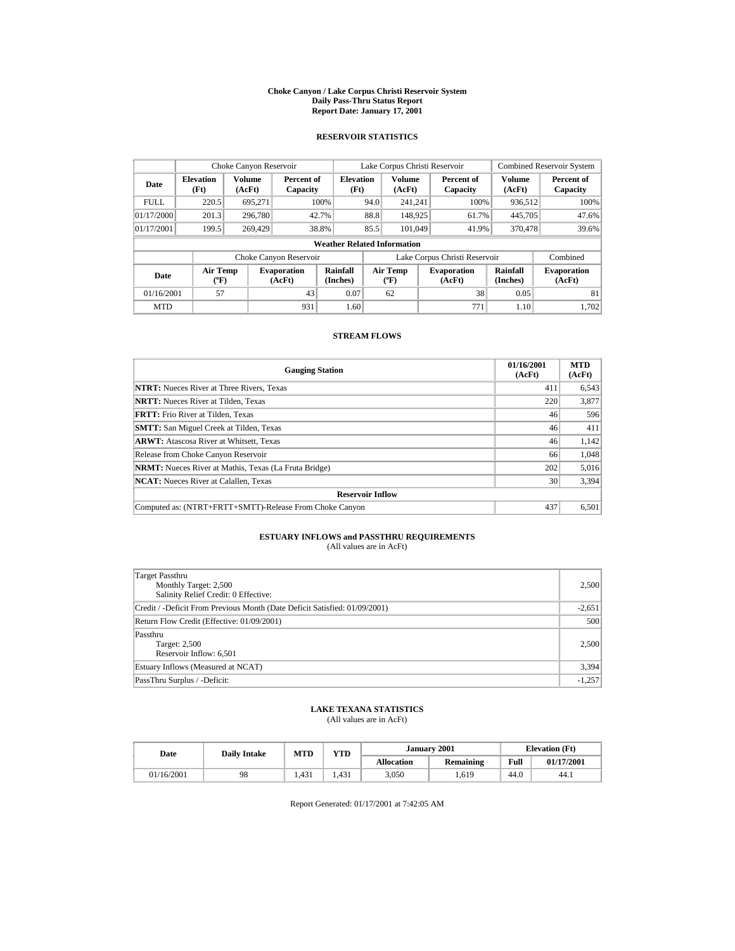#### **Choke Canyon / Lake Corpus Christi Reservoir System Daily Pass-Thru Status Report Report Date: January 17, 2001**

## **RESERVOIR STATISTICS**

|                                                                                          | Choke Canyon Reservoir |                  |                        |                                    |                                           | Lake Corpus Christi Reservoir |                               |                              | <b>Combined Reservoir System</b> |
|------------------------------------------------------------------------------------------|------------------------|------------------|------------------------|------------------------------------|-------------------------------------------|-------------------------------|-------------------------------|------------------------------|----------------------------------|
| <b>Elevation</b><br>Date<br>(Ft)                                                         |                        | Volume<br>(AcFt) | Percent of<br>Capacity | <b>Elevation</b><br>(Ft)           |                                           | <b>Volume</b><br>(AcFt)       | Percent of<br>Capacity        | <b>Volume</b><br>(AcFt)      | Percent of<br>Capacity           |
| <b>FULL</b>                                                                              | 220.5                  | 695.271          |                        | 100%                               | 94.0                                      | 241.241                       | 100%                          | 936.512                      | 100%                             |
| 01/17/2000                                                                               | 201.3                  | 296,780          |                        | 42.7%                              | 88.8                                      | 148.925                       | 61.7%                         | 445,705                      | 47.6%                            |
| 01/17/2001                                                                               | 199.5                  | 269,429          |                        | 38.8%                              | 85.5                                      | 101,049                       | 41.9%                         | 370,478                      | 39.6%                            |
|                                                                                          |                        |                  |                        | <b>Weather Related Information</b> |                                           |                               |                               |                              |                                  |
|                                                                                          |                        |                  | Choke Canyon Reservoir |                                    |                                           |                               | Lake Corpus Christi Reservoir |                              | Combined                         |
| <b>Air Temp</b><br><b>Evaporation</b><br>Date<br>(AcFt)<br>$({}^{\mathrm{o}}\mathbf{F})$ |                        |                  | Rainfall<br>(Inches)   |                                    | Air Temp<br>$({}^{\mathrm{o}}\mathrm{F})$ | <b>Evaporation</b><br>(AcFt)  | Rainfall<br>(Inches)          | <b>Evaporation</b><br>(AcFt) |                                  |
| 01/16/2001                                                                               | 57                     |                  | 43                     | 0.07                               |                                           | 62                            | 38                            | 0.05                         | 81                               |
| <b>MTD</b>                                                                               |                        |                  | 931                    | 1.60                               |                                           |                               | 771                           | 1.10                         | 1.702                            |

## **STREAM FLOWS**

| <b>Gauging Station</b>                                       | 01/16/2001<br>(AcFt) | <b>MTD</b><br>(AcFt) |
|--------------------------------------------------------------|----------------------|----------------------|
| <b>NTRT:</b> Nueces River at Three Rivers, Texas             | 411                  | 6,543                |
| <b>NRTT:</b> Nueces River at Tilden. Texas                   | 220                  | 3,877                |
| <b>FRTT:</b> Frio River at Tilden. Texas                     | 46                   | 596                  |
| <b>SMTT:</b> San Miguel Creek at Tilden, Texas               | 46                   | 411                  |
| <b>ARWT:</b> Atascosa River at Whitsett, Texas               | 46                   | 1.142                |
| Release from Choke Canyon Reservoir                          | 66                   | 1,048                |
| <b>NRMT:</b> Nueces River at Mathis, Texas (La Fruta Bridge) | 202                  | 5,016                |
| <b>NCAT:</b> Nueces River at Calallen, Texas                 | 30                   | 3,394                |
| <b>Reservoir Inflow</b>                                      |                      |                      |
| Computed as: (NTRT+FRTT+SMTT)-Release From Choke Canyon      | 437                  | 6,501                |

# **ESTUARY INFLOWS and PASSTHRU REQUIREMENTS**<br>(All values are in AcFt)

| Target Passthru<br>Monthly Target: 2,500<br>Salinity Relief Credit: 0 Effective: | 2,500    |
|----------------------------------------------------------------------------------|----------|
| Credit / -Deficit From Previous Month (Date Deficit Satisfied: 01/09/2001)       | $-2,651$ |
| Return Flow Credit (Effective: 01/09/2001)                                       | 500      |
| Passthru<br>Target: 2,500<br>Reservoir Inflow: 6,501                             | 2,500    |
| Estuary Inflows (Measured at NCAT)                                               | 3,394    |
| PassThru Surplus / -Deficit:                                                     | $-1,257$ |

## **LAKE TEXANA STATISTICS**

(All values are in AcFt)

| Date |            | <b>Daily Intake</b> | MTD  | VTD   |                   | January 2001 |      | <b>Elevation</b> (Ft) |
|------|------------|---------------------|------|-------|-------------------|--------------|------|-----------------------|
|      |            |                     |      |       | <b>Allocation</b> | Remaining    | Full | 01/17/2001            |
|      | 01/16/2001 | 98                  | .431 | l.431 | 3,050             | .619         | 44.0 | 44.)                  |

Report Generated: 01/17/2001 at 7:42:05 AM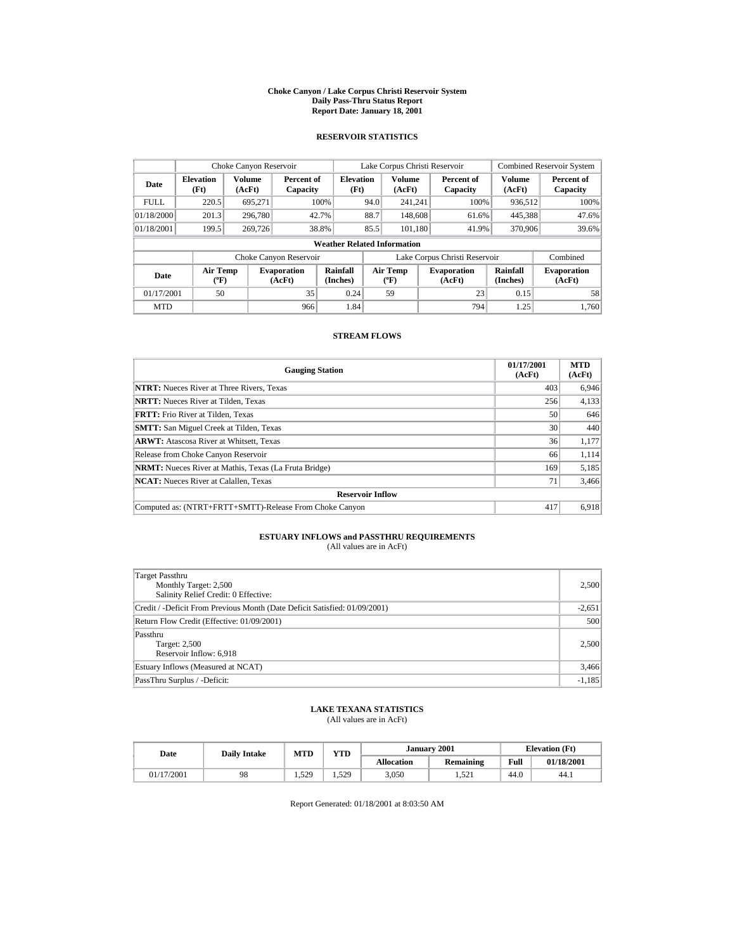#### **Choke Canyon / Lake Corpus Christi Reservoir System Daily Pass-Thru Status Report Report Date: January 18, 2001**

## **RESERVOIR STATISTICS**

|                                                                                          | Choke Canyon Reservoir |                  |                        |                                    |                               | Lake Corpus Christi Reservoir             |  |                              |                         | <b>Combined Reservoir System</b> |
|------------------------------------------------------------------------------------------|------------------------|------------------|------------------------|------------------------------------|-------------------------------|-------------------------------------------|--|------------------------------|-------------------------|----------------------------------|
| <b>Elevation</b><br>Date<br>(Ft)                                                         |                        | Volume<br>(AcFt) | Percent of<br>Capacity | <b>Elevation</b><br>(Ft)           |                               | <b>Volume</b><br>(AcFt)                   |  | Percent of<br>Capacity       | <b>Volume</b><br>(AcFt) | Percent of<br>Capacity           |
| <b>FULL</b>                                                                              | 220.5                  | 695.271          |                        | 100%                               | 94.0                          | 241.241                                   |  | 100%                         | 936.512                 | 100%                             |
| 01/18/2000                                                                               | 201.3                  | 296,780          |                        | 42.7%                              | 88.7                          | 148,608                                   |  | 61.6%                        | 445,388                 | 47.6%                            |
| 01/18/2001                                                                               | 199.5                  | 269,726          |                        | 38.8%                              | 85.5                          | 101.180                                   |  | 41.9%                        | 370,906                 | 39.6%                            |
|                                                                                          |                        |                  |                        | <b>Weather Related Information</b> |                               |                                           |  |                              |                         |                                  |
|                                                                                          |                        |                  | Choke Canyon Reservoir |                                    | Lake Corpus Christi Reservoir |                                           |  |                              |                         | Combined                         |
| <b>Air Temp</b><br><b>Evaporation</b><br>Date<br>(AcFt)<br>$({}^{\mathrm{o}}\mathbf{F})$ |                        |                  |                        | Rainfall<br>(Inches)               |                               | Air Temp<br>$({}^{\mathrm{o}}\mathrm{F})$ |  | <b>Evaporation</b><br>(AcFt) | Rainfall<br>(Inches)    | <b>Evaporation</b><br>(AcFt)     |
| 01/17/2001                                                                               | 50                     |                  | 35                     | 0.24                               |                               | 59                                        |  | 23                           | 0.15                    | 58                               |
| <b>MTD</b>                                                                               |                        |                  | 966                    | 1.84                               |                               |                                           |  | 794                          | 1.25                    | 1.760                            |

## **STREAM FLOWS**

| <b>Gauging Station</b>                                       | 01/17/2001<br>(AcFt) | <b>MTD</b><br>(AcFt) |
|--------------------------------------------------------------|----------------------|----------------------|
| <b>NTRT:</b> Nueces River at Three Rivers, Texas             | 403                  | 6,946                |
| <b>NRTT:</b> Nueces River at Tilden, Texas                   | 256                  | 4,133                |
| <b>FRTT:</b> Frio River at Tilden, Texas                     | 50                   | 646                  |
| <b>SMTT:</b> San Miguel Creek at Tilden, Texas               | 30                   | 440                  |
| <b>ARWT:</b> Atascosa River at Whitsett, Texas               | 36                   | 1,177                |
| Release from Choke Canyon Reservoir                          | 66                   | 1,114                |
| <b>NRMT:</b> Nueces River at Mathis, Texas (La Fruta Bridge) | 169                  | 5,185                |
| <b>NCAT:</b> Nueces River at Calallen, Texas                 | 71                   | 3,466                |
| <b>Reservoir Inflow</b>                                      |                      |                      |
| Computed as: (NTRT+FRTT+SMTT)-Release From Choke Canyon      | 417                  | 6,918                |

# **ESTUARY INFLOWS and PASSTHRU REQUIREMENTS**<br>(All values are in AcFt)

| Target Passthru<br>Monthly Target: 2,500<br>Salinity Relief Credit: 0 Effective: | 2,500    |
|----------------------------------------------------------------------------------|----------|
| Credit / -Deficit From Previous Month (Date Deficit Satisfied: 01/09/2001)       | $-2,651$ |
| Return Flow Credit (Effective: 01/09/2001)                                       | 500      |
| Passthru<br>Target: 2,500<br>Reservoir Inflow: 6,918                             | 2,500    |
| Estuary Inflows (Measured at NCAT)                                               | 3,466    |
| PassThru Surplus / -Deficit:                                                     | $-1,185$ |

## **LAKE TEXANA STATISTICS**

(All values are in AcFt)

| Date       | <b>Daily Intake</b> | MTD   | <b>YTD</b> |                   | January 2001 | <b>Elevation</b> (Ft) |            |
|------------|---------------------|-------|------------|-------------------|--------------|-----------------------|------------|
|            |                     |       |            | <b>Allocation</b> | Remaining    | Full                  | 01/18/2001 |
| 01/17/2001 | 98                  | 1.529 | . 529      | 3,050             | 1.521        | 44.0                  | 44.1       |

Report Generated: 01/18/2001 at 8:03:50 AM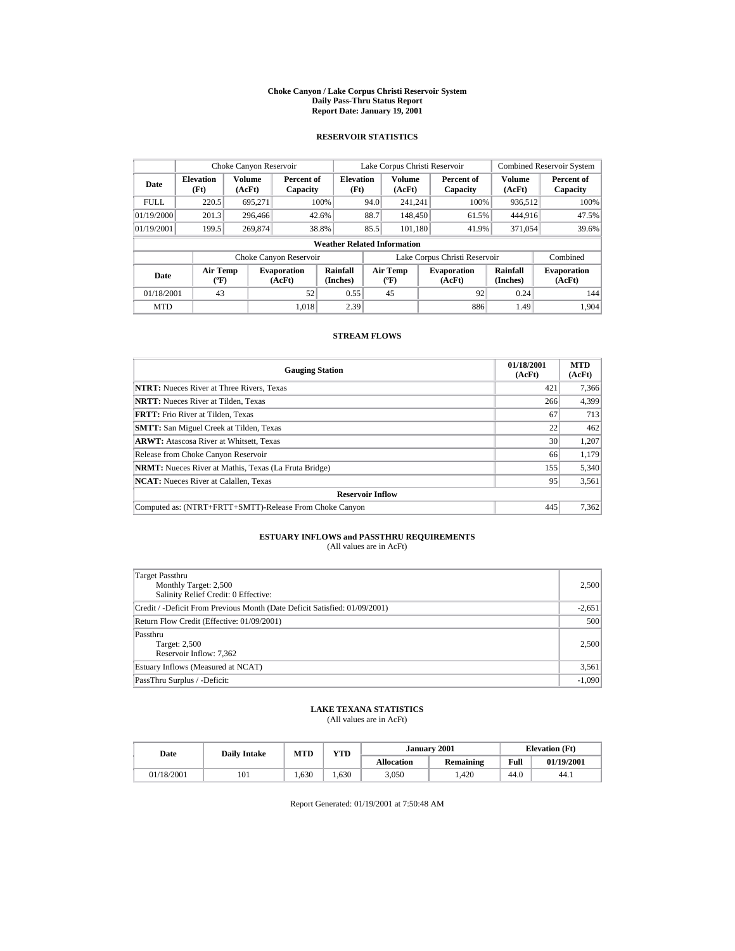#### **Choke Canyon / Lake Corpus Christi Reservoir System Daily Pass-Thru Status Report Report Date: January 19, 2001**

## **RESERVOIR STATISTICS**

|                                  | Choke Canyon Reservoir         |                         |                              |                                    |      | Lake Corpus Christi Reservoir        |                               |                      | <b>Combined Reservoir System</b> |
|----------------------------------|--------------------------------|-------------------------|------------------------------|------------------------------------|------|--------------------------------------|-------------------------------|----------------------|----------------------------------|
| <b>Elevation</b><br>Date<br>(Ft) |                                | <b>Volume</b><br>(AcFt) | Percent of<br>Capacity       | <b>Elevation</b><br>(Ft)           |      | <b>Volume</b><br>(AcFt)              | Percent of<br>Capacity        | Volume<br>(AcFt)     | Percent of<br>Capacity           |
| <b>FULL</b>                      | 220.5                          | 695,271                 |                              | 100%                               | 94.0 | 241.241                              | 100%                          | 936,512              | 100%                             |
| 01/19/2000                       | 201.3                          | 296,466                 |                              | 42.6%                              | 88.7 | 148,450                              | 61.5%                         | 444.916              | 47.5%                            |
| 01/19/2001                       | 199.5                          | 269,874                 |                              | 38.8%                              | 85.5 | 101,180                              | 41.9%                         | 371,054              | 39.6%                            |
|                                  |                                |                         |                              | <b>Weather Related Information</b> |      |                                      |                               |                      |                                  |
|                                  |                                |                         | Choke Canyon Reservoir       |                                    |      |                                      | Lake Corpus Christi Reservoir |                      | Combined                         |
| Date                             | Air Temp<br>$({}^o\mathrm{F})$ |                         | <b>Evaporation</b><br>(AcFt) | Rainfall<br>(Inches)               |      | Air Temp<br>$({}^{\circ}\mathbf{F})$ | <b>Evaporation</b><br>(AcFt)  | Rainfall<br>(Inches) | <b>Evaporation</b><br>(AcFt)     |
| 01/18/2001                       | 43                             |                         | 52                           | 0.55                               |      | 45                                   | 92                            | 0.24                 | 144                              |
| <b>MTD</b>                       |                                |                         | 1.018                        | 2.39                               |      |                                      | 886                           | 1.49                 | 1.904                            |

## **STREAM FLOWS**

| <b>Gauging Station</b>                                       | 01/18/2001<br>(AcFt) | <b>MTD</b><br>(AcFt) |
|--------------------------------------------------------------|----------------------|----------------------|
| <b>NTRT:</b> Nueces River at Three Rivers, Texas             | 421                  | 7,366                |
| <b>NRTT:</b> Nueces River at Tilden, Texas                   | 266                  | 4,399                |
| <b>FRTT:</b> Frio River at Tilden, Texas                     | 67                   | 713                  |
| <b>SMTT:</b> San Miguel Creek at Tilden, Texas               | 22                   | 462                  |
| <b>ARWT:</b> Atascosa River at Whitsett, Texas               | 30                   | 1,207                |
| Release from Choke Canyon Reservoir                          | 66                   | 1,179                |
| <b>NRMT:</b> Nueces River at Mathis, Texas (La Fruta Bridge) | 155                  | 5,340                |
| <b>NCAT:</b> Nueces River at Calallen, Texas                 | 95                   | 3,561                |
| <b>Reservoir Inflow</b>                                      |                      |                      |
| Computed as: (NTRT+FRTT+SMTT)-Release From Choke Canyon      | 445                  | 7,362                |

# **ESTUARY INFLOWS and PASSTHRU REQUIREMENTS**<br>(All values are in AcFt)

| Target Passthru<br>Monthly Target: 2,500<br>Salinity Relief Credit: 0 Effective: | 2,500    |
|----------------------------------------------------------------------------------|----------|
| Credit / -Deficit From Previous Month (Date Deficit Satisfied: 01/09/2001)       | $-2,651$ |
| Return Flow Credit (Effective: 01/09/2001)                                       | 500      |
| Passthru<br>Target: 2,500<br>Reservoir Inflow: 7,362                             | 2,500    |
| Estuary Inflows (Measured at NCAT)                                               | 3,561    |
| PassThru Surplus / -Deficit:                                                     | $-1,090$ |

## **LAKE TEXANA STATISTICS**

(All values are in AcFt)

| Date       | <b>Daily Intake</b> | <b>MTD</b> | <b>YTD</b> |                   | January 2001 | <b>Elevation</b> (Ft) |            |
|------------|---------------------|------------|------------|-------------------|--------------|-----------------------|------------|
|            |                     |            |            | <b>Allocation</b> | Remaining    | Full                  | 01/19/2001 |
| 01/18/2001 | 101                 | .630       | 630        | 3,050             | .,420        | 44.0                  | 44.1       |

Report Generated: 01/19/2001 at 7:50:48 AM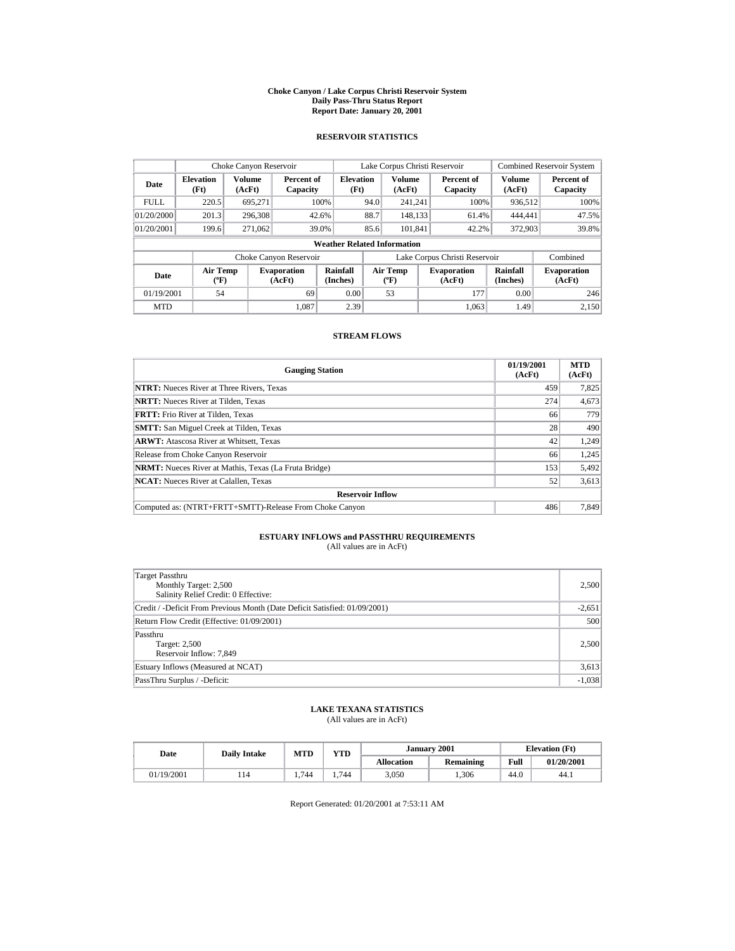#### **Choke Canyon / Lake Corpus Christi Reservoir System Daily Pass-Thru Status Report Report Date: January 20, 2001**

## **RESERVOIR STATISTICS**

| Choke Canyon Reservoir |                                             |                  |                              |                                    |      | Lake Corpus Christi Reservoir            |                               |                      | <b>Combined Reservoir System</b> |
|------------------------|---------------------------------------------|------------------|------------------------------|------------------------------------|------|------------------------------------------|-------------------------------|----------------------|----------------------------------|
| Date                   | <b>Elevation</b><br>(Ft)                    | Volume<br>(AcFt) | Percent of<br>Capacity       | <b>Elevation</b><br>(Ft)           |      | <b>Volume</b><br>(AcFt)                  | Percent of<br>Capacity        | Volume<br>(AcFt)     | Percent of<br>Capacity           |
| <b>FULL</b>            | 220.5                                       | 695.271          |                              | 100%                               | 94.0 | 241.241                                  | 100%                          | 936,512              | 100%                             |
| 01/20/2000             | 201.3                                       | 296,308          |                              | 42.6%                              | 88.7 | 148.133                                  | 61.4%                         | 444,441              | 47.5%                            |
| 01/20/2001             | 199.6                                       | 271.062          |                              | 39.0%                              | 85.6 | 101.841                                  | 42.2%                         | 372,903              | 39.8%                            |
|                        |                                             |                  |                              | <b>Weather Related Information</b> |      |                                          |                               |                      |                                  |
|                        |                                             |                  | Choke Canyon Reservoir       |                                    |      |                                          | Lake Corpus Christi Reservoir |                      | Combined                         |
| Date                   | <b>Air Temp</b><br>$({}^{\circ}\mathrm{F})$ |                  | <b>Evaporation</b><br>(AcFt) | Rainfall<br>(Inches)               |      | <b>Air Temp</b><br>$({}^{\circ}{\rm F})$ | <b>Evaporation</b><br>(AcFt)  | Rainfall<br>(Inches) | <b>Evaporation</b><br>(AcFt)     |
| 01/19/2001             | 54                                          |                  | 69                           | 0.00                               |      | 53                                       | 177                           | 0.00                 | 246                              |
| <b>MTD</b>             |                                             |                  | 1.087                        | 2.39                               |      |                                          | 1.063                         | 1.49                 | 2.150                            |

## **STREAM FLOWS**

| <b>Gauging Station</b>                                       | 01/19/2001<br>(AcFt) | <b>MTD</b><br>(AcFt) |
|--------------------------------------------------------------|----------------------|----------------------|
| <b>NTRT:</b> Nueces River at Three Rivers, Texas             | 459                  | 7,825                |
| <b>NRTT:</b> Nueces River at Tilden. Texas                   | 274                  | 4,673                |
| <b>FRTT:</b> Frio River at Tilden. Texas                     | 66                   | 779                  |
| <b>SMTT:</b> San Miguel Creek at Tilden, Texas               | 28                   | 490                  |
| <b>ARWT:</b> Atascosa River at Whitsett, Texas               | 42                   | 1,249                |
| Release from Choke Canyon Reservoir                          | 66                   | 1,245                |
| <b>NRMT:</b> Nueces River at Mathis, Texas (La Fruta Bridge) | 153                  | 5,492                |
| <b>NCAT:</b> Nueces River at Calallen, Texas                 | 52                   | 3,613                |
| <b>Reservoir Inflow</b>                                      |                      |                      |
| Computed as: (NTRT+FRTT+SMTT)-Release From Choke Canyon      | 486                  | 7.849                |

# **ESTUARY INFLOWS and PASSTHRU REQUIREMENTS**<br>(All values are in AcFt)

| Target Passthru<br>Monthly Target: 2,500<br>Salinity Relief Credit: 0 Effective: | 2,500    |
|----------------------------------------------------------------------------------|----------|
| Credit / -Deficit From Previous Month (Date Deficit Satisfied: 01/09/2001)       | $-2,651$ |
| Return Flow Credit (Effective: 01/09/2001)                                       | 500      |
| Passthru<br>Target: 2,500<br>Reservoir Inflow: 7,849                             | 2,500    |
| Estuary Inflows (Measured at NCAT)                                               | 3,613    |
| PassThru Surplus / -Deficit:                                                     | $-1,038$ |

## **LAKE TEXANA STATISTICS**

(All values are in AcFt)

| Date |            | <b>Daily Intake</b> | <b>MTD</b> | VTD- |                   | January 2001 |      | <b>Elevation</b> (Ft) |
|------|------------|---------------------|------------|------|-------------------|--------------|------|-----------------------|
|      |            |                     |            |      | <b>Allocation</b> | Remaining    | Full | 01/20/2001            |
|      | 01/19/2001 | 114                 | .744       | .744 | 3,050             | ,306         | 44.0 | 44.1                  |

Report Generated: 01/20/2001 at 7:53:11 AM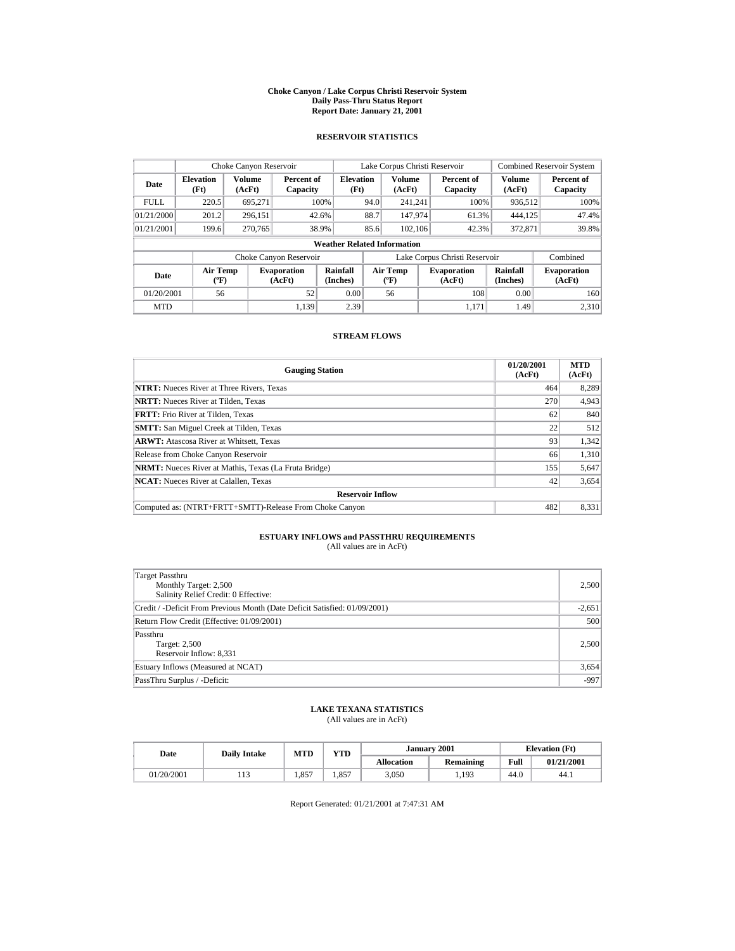#### **Choke Canyon / Lake Corpus Christi Reservoir System Daily Pass-Thru Status Report Report Date: January 21, 2001**

## **RESERVOIR STATISTICS**

|                                  | Choke Canyon Reservoir                      |                  |                                                    |                                    |                               | Lake Corpus Christi Reservoir    |  |                              |                      | <b>Combined Reservoir System</b> |
|----------------------------------|---------------------------------------------|------------------|----------------------------------------------------|------------------------------------|-------------------------------|----------------------------------|--|------------------------------|----------------------|----------------------------------|
| <b>Elevation</b><br>Date<br>(Ft) |                                             | Volume<br>(AcFt) | <b>Elevation</b><br>Percent of<br>(Ft)<br>Capacity |                                    |                               | <b>Volume</b><br>(AcFt)          |  | Percent of<br>Capacity       | Volume<br>(AcFt)     | Percent of<br>Capacity           |
| <b>FULL</b>                      | 220.5                                       | 695.271          |                                                    | 100%                               | 94.0                          | 241.241                          |  | 100%                         | 936,512              | 100%                             |
| 01/21/2000                       | 201.2                                       | 296.151          |                                                    | 42.6%                              | 88.7                          | 147,974                          |  | 61.3%                        | 444,125              | 47.4%                            |
| 01/21/2001                       | 199.6                                       | 270.765          |                                                    | 38.9%                              | 85.6                          | 102.106                          |  | 42.3%                        | 372,871              | 39.8%                            |
|                                  |                                             |                  |                                                    | <b>Weather Related Information</b> |                               |                                  |  |                              |                      |                                  |
|                                  |                                             |                  | Choke Canyon Reservoir                             |                                    | Lake Corpus Christi Reservoir |                                  |  |                              | Combined             |                                  |
| Date                             | <b>Air Temp</b><br>$({}^{\circ}\mathrm{F})$ |                  | <b>Evaporation</b><br>(AcFt)                       | Rainfall<br>(Inches)               |                               | Air Temp<br>$(^{\circ}\text{F})$ |  | <b>Evaporation</b><br>(AcFt) | Rainfall<br>(Inches) | <b>Evaporation</b><br>(AcFt)     |
| 01/20/2001                       | 56                                          |                  | 52                                                 | 0.00                               |                               | 56                               |  | 108                          | 0.00                 | 160                              |
| <b>MTD</b>                       |                                             |                  | 1.139                                              | 2.39                               |                               |                                  |  | 1.171                        | 1.49                 | 2.310                            |

## **STREAM FLOWS**

| <b>Gauging Station</b>                                       | 01/20/2001<br>(AcFt) | <b>MTD</b><br>(AcFt) |
|--------------------------------------------------------------|----------------------|----------------------|
| <b>NTRT:</b> Nueces River at Three Rivers, Texas             | 464                  | 8,289                |
| <b>NRTT:</b> Nueces River at Tilden. Texas                   | 270                  | 4,943                |
| <b>FRTT:</b> Frio River at Tilden. Texas                     | 62                   | 840                  |
| <b>SMTT:</b> San Miguel Creek at Tilden, Texas               | 22                   | 512                  |
| <b>ARWT:</b> Atascosa River at Whitsett, Texas               | 93                   | 1,342                |
| Release from Choke Canyon Reservoir                          | 66                   | 1,310                |
| <b>NRMT:</b> Nueces River at Mathis, Texas (La Fruta Bridge) | 155                  | 5,647                |
| <b>NCAT:</b> Nueces River at Calallen, Texas                 | 42                   | 3,654                |
| <b>Reservoir Inflow</b>                                      |                      |                      |
| Computed as: (NTRT+FRTT+SMTT)-Release From Choke Canyon      | 482                  | 8,331                |

# **ESTUARY INFLOWS and PASSTHRU REQUIREMENTS**<br>(All values are in AcFt)

| Target Passthru<br>Monthly Target: 2,500<br>Salinity Relief Credit: 0 Effective: | 2,500    |
|----------------------------------------------------------------------------------|----------|
| Credit / -Deficit From Previous Month (Date Deficit Satisfied: 01/09/2001)       | $-2,651$ |
| Return Flow Credit (Effective: 01/09/2001)                                       | 500      |
| Passthru<br>Target: 2,500<br>Reservoir Inflow: 8,331                             | 2,500    |
| Estuary Inflows (Measured at NCAT)                                               | 3,654    |
| PassThru Surplus / -Deficit:                                                     | $-997$   |

## **LAKE TEXANA STATISTICS**

(All values are in AcFt)

| Date       | <b>Daily Intake</b> | <b>MTD</b> | <b>YTD</b> |                   | <b>January 2001</b> |      | <b>Elevation</b> (Ft) |
|------------|---------------------|------------|------------|-------------------|---------------------|------|-----------------------|
|            |                     |            |            | <b>Allocation</b> | Remaining           | Full | 01/21/2001            |
| 01/20/2001 | .                   | 857        | .,857      | 3,050             | 1,193               | 44.0 | 44.1                  |

Report Generated: 01/21/2001 at 7:47:31 AM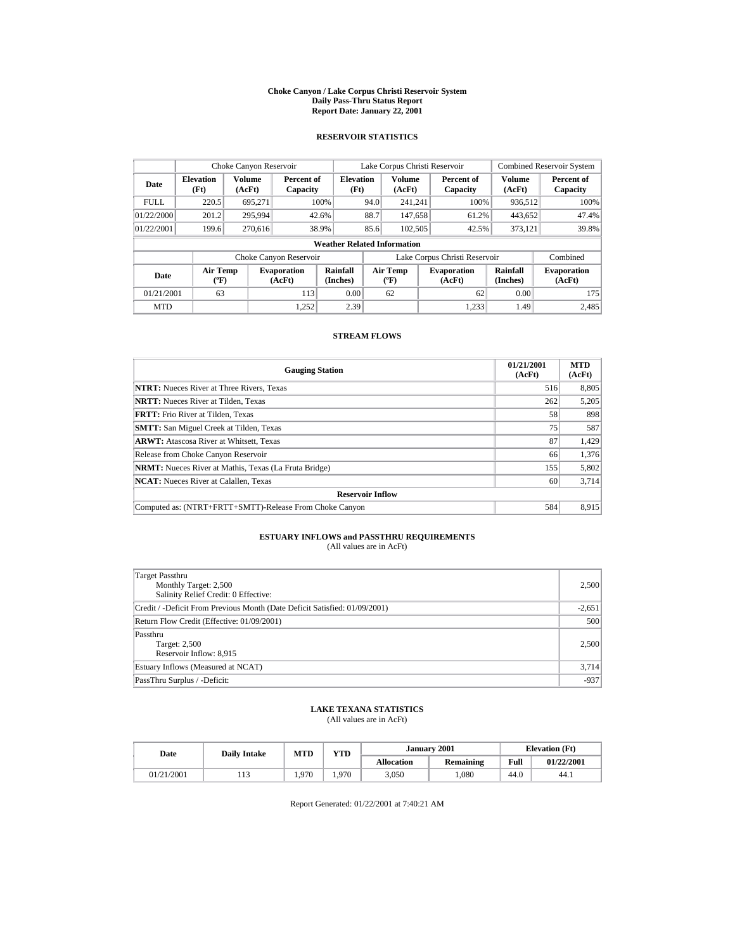#### **Choke Canyon / Lake Corpus Christi Reservoir System Daily Pass-Thru Status Report Report Date: January 22, 2001**

## **RESERVOIR STATISTICS**

|                                            | Choke Canyon Reservoir               |               |                              |                                    |      | Lake Corpus Christi Reservoir        |                               |                         | <b>Combined Reservoir System</b> |
|--------------------------------------------|--------------------------------------|---------------|------------------------------|------------------------------------|------|--------------------------------------|-------------------------------|-------------------------|----------------------------------|
| <b>Elevation</b><br>Date<br>(AcFt)<br>(Ft) |                                      | <b>Volume</b> | Percent of<br>Capacity       | <b>Elevation</b><br>(Ft)           |      | <b>Volume</b><br>(AcFt)              | Percent of<br>Capacity        | <b>Volume</b><br>(AcFt) | Percent of<br>Capacity           |
| <b>FULL</b>                                | 220.5                                | 695,271       |                              | 100%                               | 94.0 | 241.241                              | 100%                          | 936,512                 | 100%                             |
| 01/22/2000                                 | 201.2                                | 295.994       |                              | 42.6%                              | 88.7 | 147,658                              | 61.2%                         | 443,652                 | 47.4%                            |
| 01/22/2001                                 | 199.6                                | 270,616       |                              | 38.9%                              | 85.6 | 102,505                              | 42.5%                         | 373,121                 | 39.8%                            |
|                                            |                                      |               |                              | <b>Weather Related Information</b> |      |                                      |                               |                         |                                  |
|                                            |                                      |               | Choke Canyon Reservoir       |                                    |      |                                      | Lake Corpus Christi Reservoir |                         | Combined                         |
| Date                                       | Air Temp<br>$({}^{\circ}\mathrm{F})$ |               | <b>Evaporation</b><br>(AcFt) | Rainfall<br>(Inches)               |      | Air Temp<br>$({}^{\circ}\mathbf{F})$ | <b>Evaporation</b><br>(AcFt)  | Rainfall<br>(Inches)    | <b>Evaporation</b><br>(AcFt)     |
| 01/21/2001                                 | 63                                   |               | 113                          | 0.00                               |      | 62                                   | 62                            | 0.00                    | 175                              |
| <b>MTD</b>                                 |                                      |               | 1.252                        | 2.39                               |      |                                      | 1.233                         | 1.49                    | 2,485                            |

## **STREAM FLOWS**

| <b>Gauging Station</b>                                       | 01/21/2001<br>(AcFt) | <b>MTD</b><br>(AcFt) |
|--------------------------------------------------------------|----------------------|----------------------|
| <b>NTRT:</b> Nueces River at Three Rivers, Texas             | 516                  | 8,805                |
| <b>NRTT:</b> Nueces River at Tilden, Texas                   | 262                  | 5,205                |
| <b>FRTT:</b> Frio River at Tilden, Texas                     | 58                   | 898                  |
| <b>SMTT:</b> San Miguel Creek at Tilden, Texas               | 75                   | 587                  |
| <b>ARWT:</b> Atascosa River at Whitsett, Texas               | 87                   | 1,429                |
| Release from Choke Canyon Reservoir                          | 66                   | 1,376                |
| <b>NRMT:</b> Nueces River at Mathis, Texas (La Fruta Bridge) | 155                  | 5,802                |
| <b>NCAT:</b> Nueces River at Calallen, Texas                 | 60                   | 3,714                |
| <b>Reservoir Inflow</b>                                      |                      |                      |
| Computed as: (NTRT+FRTT+SMTT)-Release From Choke Canyon      | 584                  | 8,915                |

# **ESTUARY INFLOWS and PASSTHRU REQUIREMENTS**<br>(All values are in AcFt)

| Target Passthru<br>Monthly Target: 2,500<br>Salinity Relief Credit: 0 Effective: | 2,500    |
|----------------------------------------------------------------------------------|----------|
| Credit / -Deficit From Previous Month (Date Deficit Satisfied: 01/09/2001)       | $-2,651$ |
| Return Flow Credit (Effective: 01/09/2001)                                       | 500      |
| Passthru<br>Target: 2,500<br>Reservoir Inflow: 8,915                             | 2,500    |
| Estuary Inflows (Measured at NCAT)                                               | 3,714    |
| PassThru Surplus / -Deficit:                                                     | $-937$   |

## **LAKE TEXANA STATISTICS**

(All values are in AcFt)

| Date |            | <b>Daily Intake</b> | <b>MTD</b> | VTD- |                   | January 2001 |      | <b>Elevation</b> (Ft) |
|------|------------|---------------------|------------|------|-------------------|--------------|------|-----------------------|
|      |            |                     |            |      | <b>Allocation</b> | Remaining    | Full | 01/22/2001            |
|      | 01/21/2001 | 1 I J               | .970       | .970 | 3,050             | ,080         | 44.0 | 44.1                  |

Report Generated: 01/22/2001 at 7:40:21 AM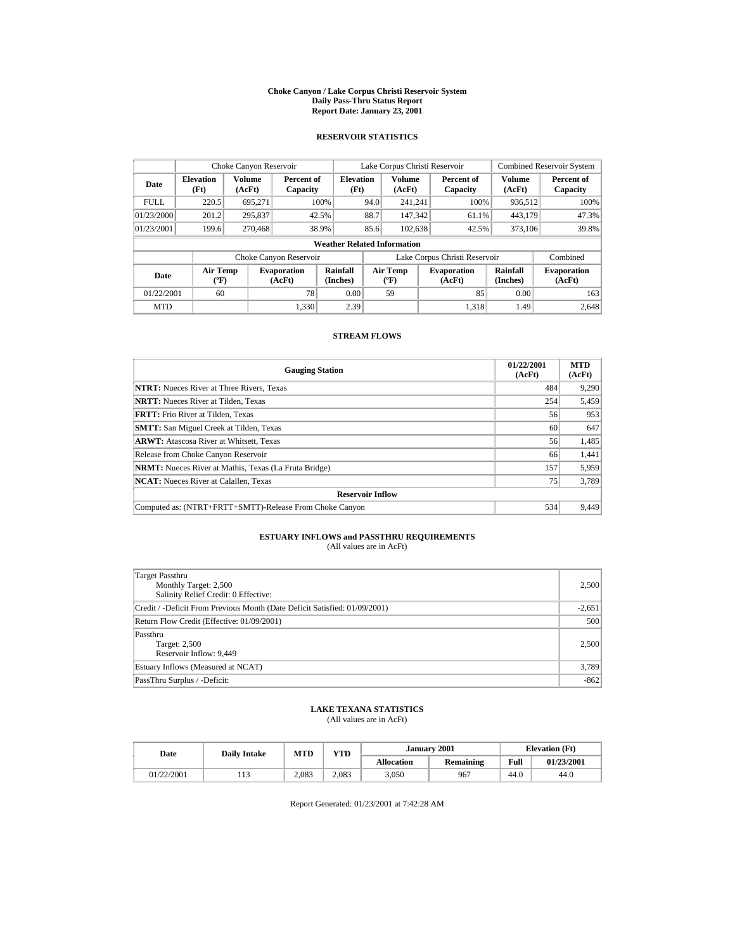#### **Choke Canyon / Lake Corpus Christi Reservoir System Daily Pass-Thru Status Report Report Date: January 23, 2001**

## **RESERVOIR STATISTICS**

| Choke Canyon Reservoir |                                             |                  |                              |                                    |      | Lake Corpus Christi Reservoir            |                               |                      | <b>Combined Reservoir System</b> |
|------------------------|---------------------------------------------|------------------|------------------------------|------------------------------------|------|------------------------------------------|-------------------------------|----------------------|----------------------------------|
| Date                   | <b>Elevation</b><br>(Ft)                    | Volume<br>(AcFt) | Percent of<br>Capacity       | <b>Elevation</b><br>(Ft)           |      | <b>Volume</b><br>(AcFt)                  | Percent of<br>Capacity        | Volume<br>(AcFt)     | Percent of<br>Capacity           |
| <b>FULL</b>            | 220.5                                       | 695.271          |                              | 100%                               | 94.0 | 241.241                                  | 100%                          | 936.512              | 100%                             |
| 01/23/2000             | 201.2                                       | 295,837          |                              | 42.5%                              | 88.7 | 147.342                                  | 61.1%                         | 443,179              | 47.3%                            |
| 01/23/2001             | 199.6                                       | 270,468          |                              | 38.9%                              | 85.6 | 102,638                                  | 42.5%                         | 373,106              | 39.8%                            |
|                        |                                             |                  |                              | <b>Weather Related Information</b> |      |                                          |                               |                      |                                  |
|                        |                                             |                  | Choke Canyon Reservoir       |                                    |      |                                          | Lake Corpus Christi Reservoir |                      | Combined                         |
| Date                   | <b>Air Temp</b><br>$({}^{\circ}\mathrm{F})$ |                  | <b>Evaporation</b><br>(AcFt) | Rainfall<br>(Inches)               |      | <b>Air Temp</b><br>$({}^{\circ}{\rm F})$ | <b>Evaporation</b><br>(AcFt)  | Rainfall<br>(Inches) | <b>Evaporation</b><br>(AcFt)     |
| 01/22/2001             | 60                                          |                  | 78                           | 0.00                               |      | 59                                       | 85                            | 0.00                 | 163                              |
| <b>MTD</b>             |                                             |                  | 1.330                        | 2.39                               |      |                                          | 1.318                         | 1.49                 | 2.648                            |

## **STREAM FLOWS**

| <b>Gauging Station</b>                                       | 01/22/2001<br>(AcFt) | <b>MTD</b><br>(AcFt) |
|--------------------------------------------------------------|----------------------|----------------------|
| <b>NTRT:</b> Nueces River at Three Rivers, Texas             | 484                  | 9,290                |
| <b>NRTT:</b> Nueces River at Tilden, Texas                   | 254                  | 5,459                |
| <b>FRTT:</b> Frio River at Tilden. Texas                     | 56                   | 953                  |
| <b>SMTT:</b> San Miguel Creek at Tilden, Texas               | 60                   | 647                  |
| <b>ARWT:</b> Atascosa River at Whitsett, Texas               | 56                   | 1,485                |
| Release from Choke Canyon Reservoir                          | 66                   | 1,441                |
| <b>NRMT:</b> Nueces River at Mathis, Texas (La Fruta Bridge) | 157                  | 5,959                |
| <b>NCAT:</b> Nueces River at Calallen, Texas                 | 75                   | 3,789                |
| <b>Reservoir Inflow</b>                                      |                      |                      |
| Computed as: (NTRT+FRTT+SMTT)-Release From Choke Canyon      | 534                  | 9.449                |

# **ESTUARY INFLOWS and PASSTHRU REQUIREMENTS**<br>(All values are in AcFt)

| Target Passthru<br>Monthly Target: 2,500<br>Salinity Relief Credit: 0 Effective: | 2,500    |
|----------------------------------------------------------------------------------|----------|
| Credit / -Deficit From Previous Month (Date Deficit Satisfied: 01/09/2001)       | $-2,651$ |
| Return Flow Credit (Effective: 01/09/2001)                                       | 500      |
| Passthru<br>Target: 2,500<br>Reservoir Inflow: 9,449                             | 2,500    |
| Estuary Inflows (Measured at NCAT)                                               | 3,789    |
| PassThru Surplus / -Deficit:                                                     | $-862$   |

## **LAKE TEXANA STATISTICS**

(All values are in AcFt)

| Date       | <b>Daily Intake</b> | <b>MTD</b> | <b>YTD</b> |                   | January 2001 | <b>Elevation</b> (Ft) |            |
|------------|---------------------|------------|------------|-------------------|--------------|-----------------------|------------|
|            |                     |            |            | <b>Allocation</b> | Remaining    | Full                  | 01/23/2001 |
| 01/22/2001 | .                   | 2.083      | 2.083      | 3,050             | 967          | 44.0                  | 44.0       |

Report Generated: 01/23/2001 at 7:42:28 AM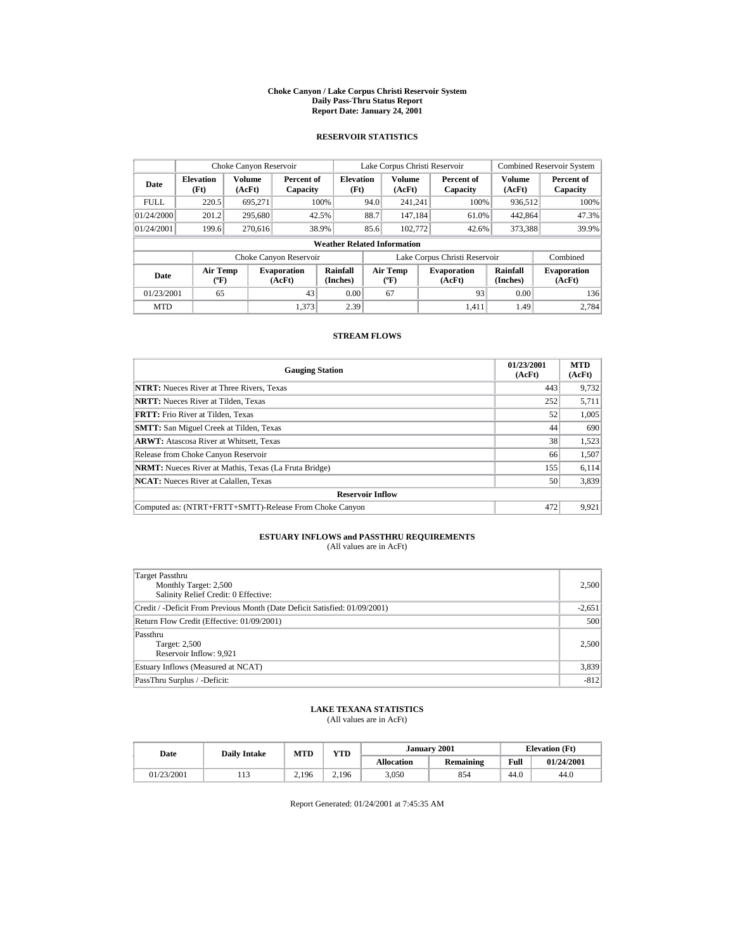#### **Choke Canyon / Lake Corpus Christi Reservoir System Daily Pass-Thru Status Report Report Date: January 24, 2001**

## **RESERVOIR STATISTICS**

| Choke Canyon Reservoir                     |                                             |         |                              |                                    |      | Lake Corpus Christi Reservoir            |                               |                      | <b>Combined Reservoir System</b> |
|--------------------------------------------|---------------------------------------------|---------|------------------------------|------------------------------------|------|------------------------------------------|-------------------------------|----------------------|----------------------------------|
| <b>Elevation</b><br>Date<br>(AcFt)<br>(Ft) |                                             | Volume  | Percent of<br>Capacity       | <b>Elevation</b><br>(Ft)           |      | <b>Volume</b><br>(AcFt)                  | Percent of<br>Capacity        | Volume<br>(AcFt)     | Percent of<br>Capacity           |
| <b>FULL</b>                                | 220.5                                       | 695.271 |                              | 100%                               | 94.0 | 241.241                                  | 100%                          | 936.512              | 100%                             |
| 01/24/2000                                 | 201.2                                       | 295,680 |                              | 42.5%                              | 88.7 | 147.184                                  | 61.0%                         | 442,864              | 47.3%                            |
| 01/24/2001                                 | 199.6                                       | 270,616 |                              | 38.9%                              | 85.6 | 102,772                                  | 42.6%                         | 373,388              | 39.9%                            |
|                                            |                                             |         |                              | <b>Weather Related Information</b> |      |                                          |                               |                      |                                  |
|                                            |                                             |         | Choke Canyon Reservoir       |                                    |      |                                          | Lake Corpus Christi Reservoir |                      | Combined                         |
| Date                                       | <b>Air Temp</b><br>$({}^{\circ}\mathrm{F})$ |         | <b>Evaporation</b><br>(AcFt) | Rainfall<br>(Inches)               |      | <b>Air Temp</b><br>$({}^{\circ}{\rm F})$ | <b>Evaporation</b><br>(AcFt)  | Rainfall<br>(Inches) | <b>Evaporation</b><br>(AcFt)     |
| 01/23/2001                                 | 65                                          |         | 43                           | 0.00                               |      | 67                                       | 93                            | 0.00                 | 136                              |
| <b>MTD</b>                                 |                                             |         | 1.373                        | 2.39                               |      |                                          | 1.411                         | 1.49                 | 2.784                            |

## **STREAM FLOWS**

| <b>Gauging Station</b>                                       | 01/23/2001<br>(AcFt) | <b>MTD</b><br>(AcFt) |
|--------------------------------------------------------------|----------------------|----------------------|
| <b>NTRT:</b> Nueces River at Three Rivers, Texas             | 443                  | 9,732                |
| <b>NRTT:</b> Nueces River at Tilden. Texas                   | 252                  | 5,711                |
| <b>FRTT:</b> Frio River at Tilden. Texas                     | 52                   | 1,005                |
| <b>SMTT:</b> San Miguel Creek at Tilden, Texas               | 44                   | 690                  |
| <b>ARWT:</b> Atascosa River at Whitsett, Texas               | 38                   | 1,523                |
| Release from Choke Canyon Reservoir                          | 66                   | 1,507                |
| <b>NRMT:</b> Nueces River at Mathis, Texas (La Fruta Bridge) | 155                  | 6,114                |
| <b>NCAT:</b> Nueces River at Calallen, Texas                 | 50                   | 3,839                |
| <b>Reservoir Inflow</b>                                      |                      |                      |
| Computed as: (NTRT+FRTT+SMTT)-Release From Choke Canyon      | 472                  | 9.921                |

# **ESTUARY INFLOWS and PASSTHRU REQUIREMENTS**<br>(All values are in AcFt)

| Target Passthru<br>Monthly Target: 2,500<br>Salinity Relief Credit: 0 Effective: | 2,500    |
|----------------------------------------------------------------------------------|----------|
| Credit / -Deficit From Previous Month (Date Deficit Satisfied: 01/09/2001)       | $-2,651$ |
| Return Flow Credit (Effective: 01/09/2001)                                       | 500      |
| Passthru<br>Target: 2,500<br>Reservoir Inflow: 9,921                             | 2,500    |
| Estuary Inflows (Measured at NCAT)                                               | 3,839    |
| PassThru Surplus / -Deficit:                                                     | $-812$   |

## **LAKE TEXANA STATISTICS**

(All values are in AcFt)

|            | <b>Daily Intake</b> |       | <b>YTD</b><br>MTD<br>Date |                   |           | January 2001 | <b>Elevation</b> (Ft) |  |
|------------|---------------------|-------|---------------------------|-------------------|-----------|--------------|-----------------------|--|
|            |                     |       |                           | <b>Allocation</b> | Remaining | Full         | 01/24/2001            |  |
| 01/23/2001 | .                   | 2,196 | 2.196                     | 3,050             | 854       | 44.0         | 44.0                  |  |

Report Generated: 01/24/2001 at 7:45:35 AM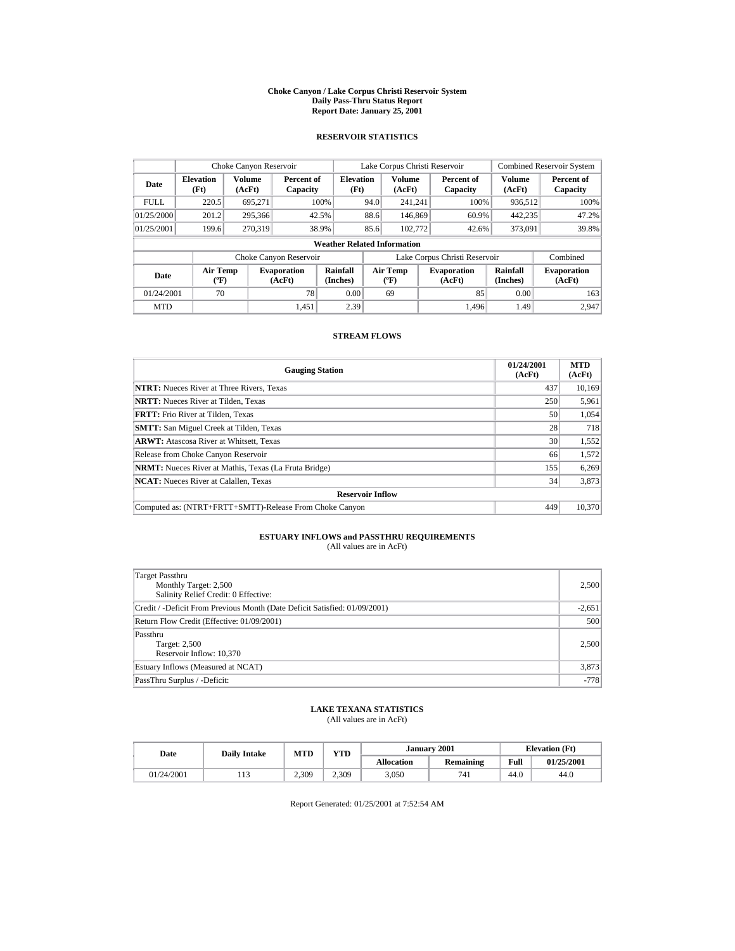#### **Choke Canyon / Lake Corpus Christi Reservoir System Daily Pass-Thru Status Report Report Date: January 25, 2001**

## **RESERVOIR STATISTICS**

|                                                                                     | Choke Canyon Reservoir |                      |                                          |                                    |       | Lake Corpus Christi Reservoir |                      |                               |                  | <b>Combined Reservoir System</b> |  |  |         |  |       |
|-------------------------------------------------------------------------------------|------------------------|----------------------|------------------------------------------|------------------------------------|-------|-------------------------------|----------------------|-------------------------------|------------------|----------------------------------|--|--|---------|--|-------|
| <b>Elevation</b><br>Date<br>(Ft)                                                    |                        | Volume<br>(AcFt)     | Percent of<br>Capacity                   | <b>Elevation</b><br>(Ft)           |       | <b>Volume</b><br>(AcFt)       |                      | Percent of<br>Capacity        | Volume<br>(AcFt) | Percent of<br>Capacity           |  |  |         |  |       |
| <b>FULL</b>                                                                         | 220.5                  | 695.271              |                                          | 100%                               | 94.0  | 241.241                       |                      | 100%                          | 936.512          | 100%                             |  |  |         |  |       |
| 01/25/2000                                                                          | 201.2                  | 295,366              |                                          | 88.6<br>146,869<br>60.9%           | 42.5% |                               |                      |                               |                  |                                  |  |  | 442,235 |  | 47.2% |
| 01/25/2001                                                                          | 199.6                  | 270,319              |                                          | 38.9%                              | 85.6  | 102,772                       |                      | 42.6%                         | 373,091          | 39.8%                            |  |  |         |  |       |
|                                                                                     |                        |                      |                                          | <b>Weather Related Information</b> |       |                               |                      |                               |                  |                                  |  |  |         |  |       |
|                                                                                     |                        |                      | Choke Canyon Reservoir                   |                                    |       |                               |                      | Lake Corpus Christi Reservoir |                  | Combined                         |  |  |         |  |       |
| <b>Air Temp</b><br><b>Evaporation</b><br>Date<br>$({}^{\circ}\mathrm{F})$<br>(AcFt) |                        | Rainfall<br>(Inches) | <b>Air Temp</b><br>$({}^{\circ}{\rm F})$ |                                    |       | <b>Evaporation</b><br>(AcFt)  | Rainfall<br>(Inches) | <b>Evaporation</b><br>(AcFt)  |                  |                                  |  |  |         |  |       |
| 70<br>78<br>01/24/2001                                                              |                        |                      | 0.00                                     |                                    | 69    |                               | 85                   | 0.00                          | 163              |                                  |  |  |         |  |       |
| <b>MTD</b>                                                                          |                        |                      | 1.451                                    | 2.39                               |       |                               |                      | 1.496                         | 1.49             | 2.947                            |  |  |         |  |       |

## **STREAM FLOWS**

| <b>Gauging Station</b>                                       | 01/24/2001<br>(AcFt) | <b>MTD</b><br>(AcFt) |
|--------------------------------------------------------------|----------------------|----------------------|
| <b>NTRT:</b> Nueces River at Three Rivers, Texas             | 437                  | 10,169               |
| <b>NRTT:</b> Nueces River at Tilden, Texas                   | 250                  | 5,961                |
| <b>FRTT:</b> Frio River at Tilden. Texas                     | 50                   | 1,054                |
| <b>SMTT:</b> San Miguel Creek at Tilden, Texas               | 28                   | 718                  |
| <b>ARWT:</b> Atascosa River at Whitsett, Texas               | 30                   | 1,552                |
| Release from Choke Canyon Reservoir                          | 66                   | 1,572                |
| <b>NRMT:</b> Nueces River at Mathis, Texas (La Fruta Bridge) | 155                  | 6,269                |
| <b>NCAT:</b> Nueces River at Calallen, Texas                 | 34                   | 3,873                |
| <b>Reservoir Inflow</b>                                      |                      |                      |
| Computed as: (NTRT+FRTT+SMTT)-Release From Choke Canyon      | 449                  | 10,370               |

# **ESTUARY INFLOWS and PASSTHRU REQUIREMENTS**<br>(All values are in AcFt)

| Target Passthru<br>Monthly Target: 2,500<br>Salinity Relief Credit: 0 Effective: | 2,500    |
|----------------------------------------------------------------------------------|----------|
| Credit / -Deficit From Previous Month (Date Deficit Satisfied: 01/09/2001)       | $-2,651$ |
| Return Flow Credit (Effective: 01/09/2001)                                       | 500      |
| Passthru<br>Target: 2,500<br>Reservoir Inflow: 10,370                            | 2,500    |
| Estuary Inflows (Measured at NCAT)                                               | 3,873    |
| PassThru Surplus / -Deficit:                                                     | $-778$   |

## **LAKE TEXANA STATISTICS**

(All values are in AcFt)

| Date       | <b>Daily Intake</b> | <b>VTD</b><br>MTD |       |                   | January 2001 | <b>Elevation</b> (Ft) |            |
|------------|---------------------|-------------------|-------|-------------------|--------------|-----------------------|------------|
|            |                     |                   |       | <b>Allocation</b> | Remaining    | Full                  | 01/25/2001 |
| 01/24/2001 | .                   | 2.309             | 2.309 | 3,050             | 741          | 44.0                  | 44.0       |

Report Generated: 01/25/2001 at 7:52:54 AM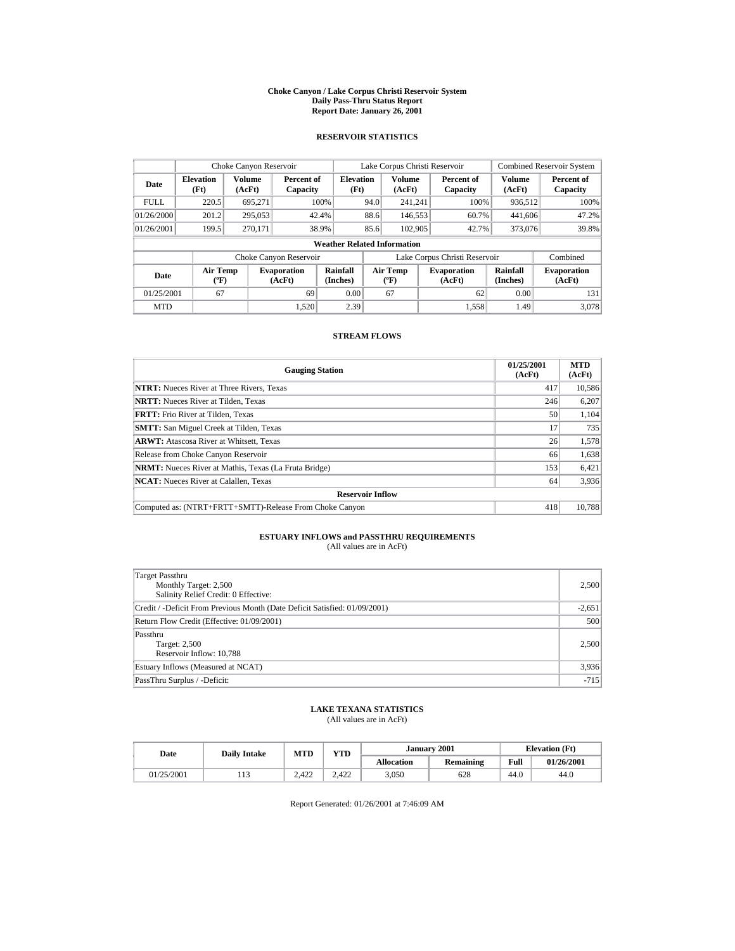#### **Choke Canyon / Lake Corpus Christi Reservoir System Daily Pass-Thru Status Report Report Date: January 26, 2001**

## **RESERVOIR STATISTICS**

|                                                                                     | Choke Canyon Reservoir |                      |                                          |                                    |      | Lake Corpus Christi Reservoir |                      |                               |                  | <b>Combined Reservoir System</b> |
|-------------------------------------------------------------------------------------|------------------------|----------------------|------------------------------------------|------------------------------------|------|-------------------------------|----------------------|-------------------------------|------------------|----------------------------------|
| <b>Elevation</b><br>Date<br>(Ft)                                                    |                        | Volume<br>(AcFt)     | Percent of<br>Capacity                   | <b>Elevation</b><br>(Ft)           |      | <b>Volume</b><br>(AcFt)       |                      | Percent of<br>Capacity        | Volume<br>(AcFt) | Percent of<br>Capacity           |
| <b>FULL</b>                                                                         | 220.5                  | 695.271              |                                          | 100%                               | 94.0 | 241.241                       |                      | 100%                          | 936.512          | 100%                             |
| 01/26/2000                                                                          | 201.2                  | 295,053              |                                          | 42.4%                              | 88.6 | 146,553                       |                      | 60.7%                         | 441,606          | 47.2%                            |
| 01/26/2001                                                                          | 199.5                  | 270.171              |                                          | 38.9%                              | 85.6 | 102,905                       |                      | 42.7%                         | 373,076          | 39.8%                            |
|                                                                                     |                        |                      |                                          | <b>Weather Related Information</b> |      |                               |                      |                               |                  |                                  |
|                                                                                     |                        |                      | Choke Canyon Reservoir                   |                                    |      |                               |                      | Lake Corpus Christi Reservoir |                  | Combined                         |
| <b>Air Temp</b><br><b>Evaporation</b><br>Date<br>$({}^{\circ}\mathrm{F})$<br>(AcFt) |                        | Rainfall<br>(Inches) | <b>Air Temp</b><br>$({}^{\circ}{\rm F})$ |                                    |      | <b>Evaporation</b><br>(AcFt)  | Rainfall<br>(Inches) | <b>Evaporation</b><br>(AcFt)  |                  |                                  |
| 01/25/2001<br>67<br>69                                                              |                        | 0.00                 |                                          | 67                                 |      | 62                            | 0.00                 | 131                           |                  |                                  |
| <b>MTD</b>                                                                          |                        |                      | 1.520                                    | 2.39                               |      |                               |                      | 1.558                         | 1.49             | 3.078                            |

## **STREAM FLOWS**

| <b>Gauging Station</b>                                       | 01/25/2001<br>(AcFt) | <b>MTD</b><br>(AcFt) |
|--------------------------------------------------------------|----------------------|----------------------|
| <b>NTRT:</b> Nueces River at Three Rivers, Texas             | 417                  | 10,586               |
| <b>NRTT:</b> Nueces River at Tilden. Texas                   | 246                  | 6,207                |
| <b>FRTT:</b> Frio River at Tilden. Texas                     | 50                   | 1.104                |
| <b>SMTT:</b> San Miguel Creek at Tilden, Texas               | 17                   | 735                  |
| <b>ARWT:</b> Atascosa River at Whitsett, Texas               | 26                   | 1,578                |
| Release from Choke Canyon Reservoir                          | 66                   | 1,638                |
| <b>NRMT:</b> Nueces River at Mathis, Texas (La Fruta Bridge) | 153                  | 6,421                |
| <b>NCAT:</b> Nueces River at Calallen, Texas                 | 64                   | 3,936                |
| <b>Reservoir Inflow</b>                                      |                      |                      |
| Computed as: (NTRT+FRTT+SMTT)-Release From Choke Canyon      | 418                  | 10.788               |

# **ESTUARY INFLOWS and PASSTHRU REQUIREMENTS**<br>(All values are in AcFt)

| Target Passthru<br>Monthly Target: 2,500<br>Salinity Relief Credit: 0 Effective: | 2,500    |
|----------------------------------------------------------------------------------|----------|
| Credit / -Deficit From Previous Month (Date Deficit Satisfied: 01/09/2001)       | $-2,651$ |
| Return Flow Credit (Effective: 01/09/2001)                                       | 500      |
| Passthru<br>Target: 2,500<br>Reservoir Inflow: 10,788                            | 2,500    |
| Estuary Inflows (Measured at NCAT)                                               | 3,936    |
| PassThru Surplus / -Deficit:                                                     | $-715$   |

## **LAKE TEXANA STATISTICS**

(All values are in AcFt)

| Date       | MTD<br><b>Daily Intake</b> |       | VTD   |                   | January 2001 | <b>Elevation</b> (Ft) |            |
|------------|----------------------------|-------|-------|-------------------|--------------|-----------------------|------------|
|            |                            |       |       | <b>Allocation</b> | Remaining    | Full                  | 01/26/2001 |
| 01/25/2001 | .                          | 2.422 | 2.422 | 3,050             | 628          | 44.0                  | 44.0       |

Report Generated: 01/26/2001 at 7:46:09 AM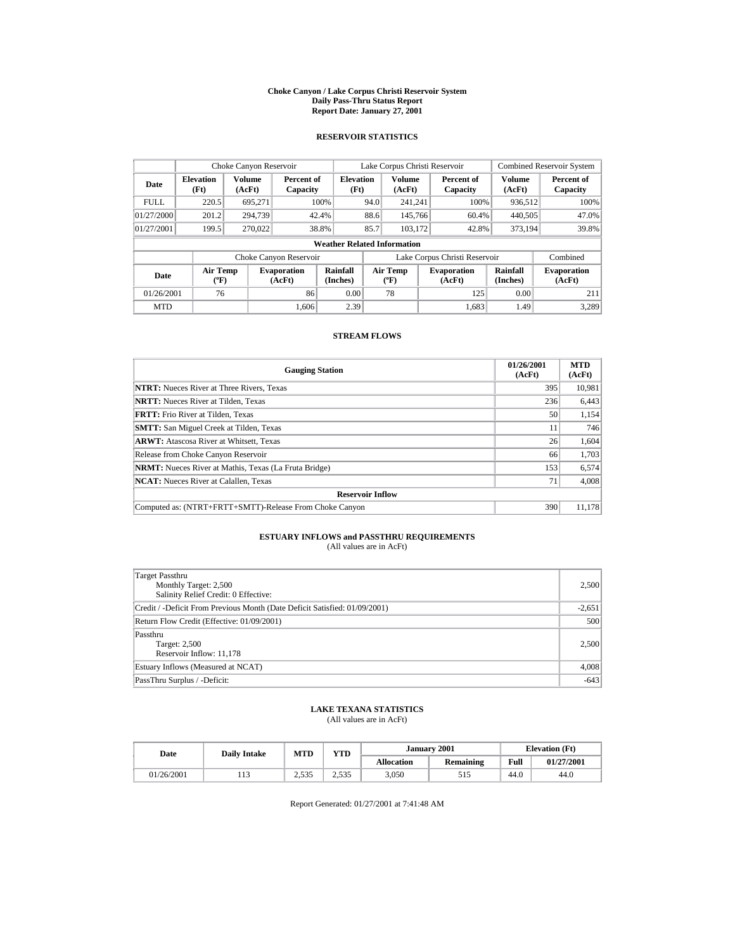#### **Choke Canyon / Lake Corpus Christi Reservoir System Daily Pass-Thru Status Report Report Date: January 27, 2001**

## **RESERVOIR STATISTICS**

|                                  | Choke Canyon Reservoir                           |                  |                              |                          |      |                                           | Lake Corpus Christi Reservoir |       |                      | <b>Combined Reservoir System</b> |
|----------------------------------|--------------------------------------------------|------------------|------------------------------|--------------------------|------|-------------------------------------------|-------------------------------|-------|----------------------|----------------------------------|
| <b>Elevation</b><br>Date<br>(Ft) |                                                  | Volume<br>(AcFt) | Percent of<br>Capacity       | <b>Elevation</b><br>(Ft) |      | <b>Volume</b><br>(AcFt)                   | Percent of<br>Capacity        |       | Volume<br>(AcFt)     | Percent of<br>Capacity           |
| <b>FULL</b>                      | 220.5                                            | 695.271          |                              | 100%                     | 94.0 | 241.241                                   |                               | 100%  | 936.512              | 100%                             |
| 01/27/2000                       | 201.2                                            | 294,739          |                              | 42.4%                    | 88.6 | 145,766                                   |                               | 60.4% | 440,505              | 47.0%                            |
| 01/27/2001                       | 199.5                                            | 270,022          |                              | 38.8%                    | 85.7 | 103.172                                   |                               | 42.8% | 373.194              | 39.8%                            |
|                                  | <b>Weather Related Information</b>               |                  |                              |                          |      |                                           |                               |       |                      |                                  |
|                                  |                                                  |                  | Choke Canyon Reservoir       |                          |      |                                           | Lake Corpus Christi Reservoir |       |                      | Combined                         |
| Date                             | <b>Air Temp</b><br>$({}^{\mathrm{o}}\mathbf{F})$ |                  | <b>Evaporation</b><br>(AcFt) | Rainfall<br>(Inches)     |      | Air Temp<br>$({}^{\mathrm{o}}\mathrm{F})$ | <b>Evaporation</b><br>(AcFt)  |       | Rainfall<br>(Inches) | <b>Evaporation</b><br>(AcFt)     |
| 01/26/2001                       | 76                                               |                  | 86                           | 0.00                     |      | 78                                        |                               | 125   | 0.00                 | 211                              |
| <b>MTD</b>                       |                                                  |                  | 1.606                        | 2.39                     |      |                                           |                               | 1.683 | 1.49                 | 3.289                            |

## **STREAM FLOWS**

| <b>Gauging Station</b>                                       | 01/26/2001<br>(AcFt) | <b>MTD</b><br>(AcFt) |
|--------------------------------------------------------------|----------------------|----------------------|
| <b>NTRT:</b> Nueces River at Three Rivers, Texas             | 395                  | 10,981               |
| <b>NRTT:</b> Nueces River at Tilden, Texas                   | 236                  | 6,443                |
| <b>FRTT:</b> Frio River at Tilden. Texas                     | 50                   | 1.154                |
| <b>SMTT:</b> San Miguel Creek at Tilden, Texas               | 11                   | 746                  |
| <b>ARWT:</b> Atascosa River at Whitsett, Texas               | 26                   | 1,604                |
| Release from Choke Canyon Reservoir                          | 66                   | 1,703                |
| <b>NRMT:</b> Nueces River at Mathis, Texas (La Fruta Bridge) | 153                  | 6,574                |
| <b>NCAT:</b> Nueces River at Calallen, Texas                 | 71                   | 4,008                |
| <b>Reservoir Inflow</b>                                      |                      |                      |
| Computed as: (NTRT+FRTT+SMTT)-Release From Choke Canyon      | 390                  | 11,178               |

# **ESTUARY INFLOWS and PASSTHRU REQUIREMENTS**<br>(All values are in AcFt)

| Target Passthru<br>Monthly Target: 2,500<br>Salinity Relief Credit: 0 Effective: | 2.500    |
|----------------------------------------------------------------------------------|----------|
| Credit / -Deficit From Previous Month (Date Deficit Satisfied: 01/09/2001)       | $-2,651$ |
| Return Flow Credit (Effective: 01/09/2001)                                       | 500      |
| Passthru<br>Target: 2,500<br>Reservoir Inflow: 11,178                            | 2.500    |
| Estuary Inflows (Measured at NCAT)                                               | 4,008    |
| PassThru Surplus / -Deficit:                                                     | $-643$   |

## **LAKE TEXANA STATISTICS**

(All values are in AcFt)

| Date       | <b>Daily Intake</b> | <b>MTD</b>       | YTD   |                   | January 2001 |      | <b>Elevation</b> (Ft) |
|------------|---------------------|------------------|-------|-------------------|--------------|------|-----------------------|
|            |                     |                  |       | <b>Allocation</b> | Remaining    | Full | 01/27/2001            |
| 01/26/2001 | .                   | 535<br>ر ر ر ر ر | 2.535 | 3,050             | 515          | 44.0 | 44.0                  |

Report Generated: 01/27/2001 at 7:41:48 AM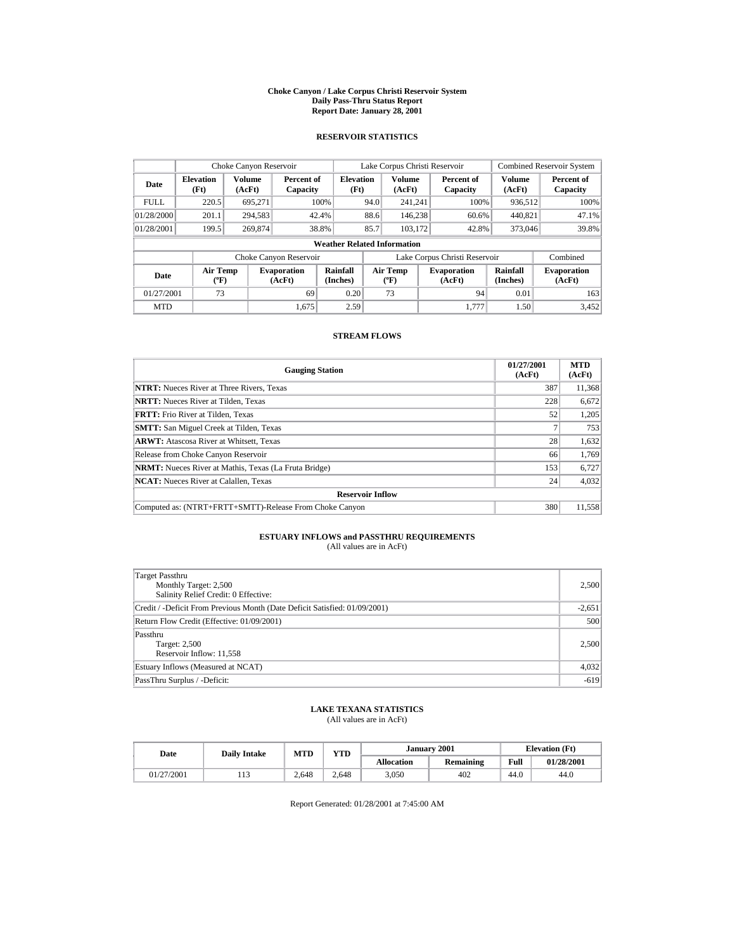#### **Choke Canyon / Lake Corpus Christi Reservoir System Daily Pass-Thru Status Report Report Date: January 28, 2001**

## **RESERVOIR STATISTICS**

|             | Choke Canyon Reservoir               |                         |                              |                          |                               | Lake Corpus Christi Reservoir     |  |                              |                         | <b>Combined Reservoir System</b> |  |
|-------------|--------------------------------------|-------------------------|------------------------------|--------------------------|-------------------------------|-----------------------------------|--|------------------------------|-------------------------|----------------------------------|--|
| Date        | <b>Elevation</b><br>(Ft)             | <b>Volume</b><br>(AcFt) | Percent of<br>Capacity       | <b>Elevation</b><br>(Ft) |                               | <b>Volume</b><br>(AcFt)           |  | Percent of<br>Capacity       | <b>Volume</b><br>(AcFt) | Percent of<br>Capacity           |  |
| <b>FULL</b> | 220.5                                | 695,271                 |                              | 100%                     | 94.0                          | 241.241                           |  | 100%                         | 936,512                 | 100%                             |  |
| 01/28/2000  | 201.1                                | 294,583                 |                              | 42.4%                    | 88.6                          | 146.238                           |  | 60.6%                        | 440,821                 | 47.1%                            |  |
| 01/28/2001  | 199.5                                | 269,874                 |                              | 38.8%                    | 85.7                          | 103,172                           |  | 42.8%                        | 373,046                 | 39.8%                            |  |
|             | <b>Weather Related Information</b>   |                         |                              |                          |                               |                                   |  |                              |                         |                                  |  |
|             |                                      |                         | Choke Canyon Reservoir       |                          | Lake Corpus Christi Reservoir |                                   |  |                              | Combined                |                                  |  |
| Date        | Air Temp<br>$({}^{\circ}\mathrm{F})$ |                         | <b>Evaporation</b><br>(AcFt) | Rainfall<br>(Inches)     |                               | Air Temp<br>$({}^{\circ}{\rm F})$ |  | <b>Evaporation</b><br>(AcFt) | Rainfall<br>(Inches)    | <b>Evaporation</b><br>(AcFt)     |  |
| 01/27/2001  | 73                                   |                         | 69                           | 0.20                     |                               | 73                                |  | 94                           | 0.01                    | 163                              |  |
| <b>MTD</b>  |                                      |                         | 1.675                        | 2.59                     |                               |                                   |  | 1.777                        | 1.50                    | 3.452                            |  |

## **STREAM FLOWS**

| <b>Gauging Station</b>                                       | 01/27/2001<br>(AcFt) | <b>MTD</b><br>(AcFt) |
|--------------------------------------------------------------|----------------------|----------------------|
| <b>NTRT:</b> Nueces River at Three Rivers, Texas             | 387                  | 11,368               |
| <b>NRTT:</b> Nueces River at Tilden. Texas                   | 228                  | 6,672                |
| <b>FRTT:</b> Frio River at Tilden. Texas                     | 52                   | 1.205                |
| <b>SMTT:</b> San Miguel Creek at Tilden, Texas               |                      | 753                  |
| <b>ARWT:</b> Atascosa River at Whitsett, Texas               | 28                   | 1,632                |
| Release from Choke Canyon Reservoir                          | 66                   | 1,769                |
| <b>NRMT:</b> Nueces River at Mathis, Texas (La Fruta Bridge) | 153                  | 6,727                |
| <b>NCAT:</b> Nueces River at Calallen, Texas                 | 24                   | 4,032                |
| <b>Reservoir Inflow</b>                                      |                      |                      |
| Computed as: (NTRT+FRTT+SMTT)-Release From Choke Canyon      | 380                  | 11,558               |

# **ESTUARY INFLOWS and PASSTHRU REQUIREMENTS**<br>(All values are in AcFt)

| Target Passthru<br>Monthly Target: 2,500<br>Salinity Relief Credit: 0 Effective: | 2,500    |
|----------------------------------------------------------------------------------|----------|
| Credit / -Deficit From Previous Month (Date Deficit Satisfied: 01/09/2001)       | $-2,651$ |
| Return Flow Credit (Effective: 01/09/2001)                                       | 500      |
| Passthru<br>Target: 2,500<br>Reservoir Inflow: 11,558                            | 2,500    |
| Estuary Inflows (Measured at NCAT)                                               | 4,032    |
| PassThru Surplus / -Deficit:                                                     | $-619$   |

## **LAKE TEXANA STATISTICS**

(All values are in AcFt)

| Date       | <b>Daily Intake</b> | MTD   | <b>YTD</b> |                   | January 2001 |      | <b>Elevation</b> (Ft) |
|------------|---------------------|-------|------------|-------------------|--------------|------|-----------------------|
|            |                     |       |            | <b>Allocation</b> | Remaining    | Full | 01/28/2001            |
| 01/27/2001 | .                   | 2.648 | 2.648      | 3,050             | 402          | 44.0 | 44.0                  |

Report Generated: 01/28/2001 at 7:45:00 AM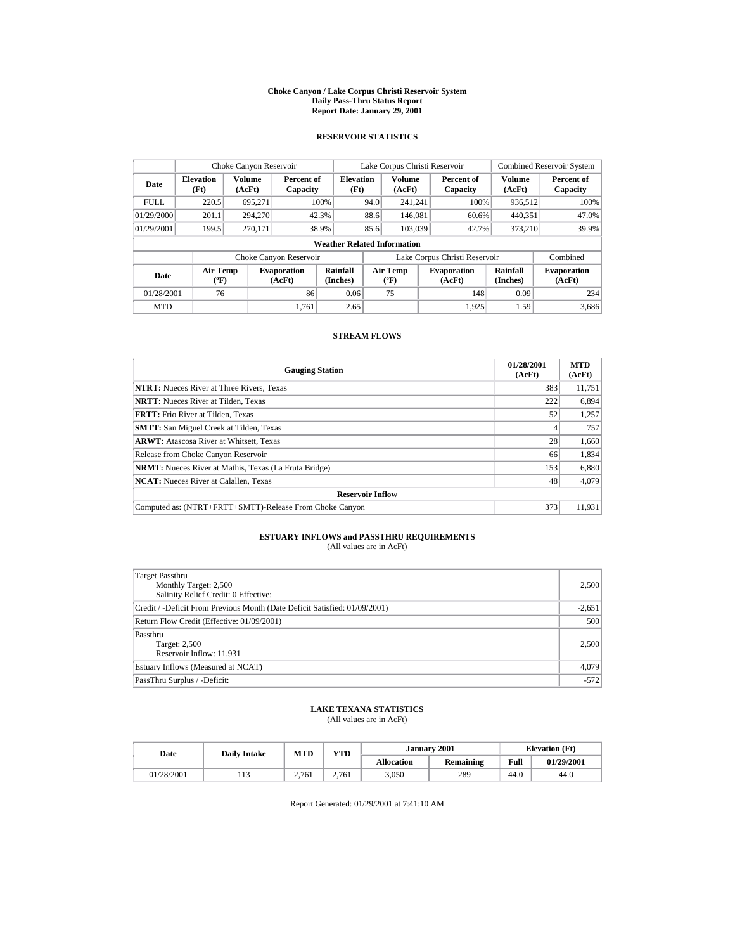#### **Choke Canyon / Lake Corpus Christi Reservoir System Daily Pass-Thru Status Report Report Date: January 29, 2001**

## **RESERVOIR STATISTICS**

| Choke Canyon Reservoir |                                             |                  |                              |                          |                               | Lake Corpus Christi Reservoir            |  |                              |                      | <b>Combined Reservoir System</b> |  |  |
|------------------------|---------------------------------------------|------------------|------------------------------|--------------------------|-------------------------------|------------------------------------------|--|------------------------------|----------------------|----------------------------------|--|--|
| Date                   | <b>Elevation</b><br>(Ft)                    | Volume<br>(AcFt) | Percent of<br>Capacity       | <b>Elevation</b><br>(Ft) |                               | <b>Volume</b><br>(AcFt)                  |  | Percent of<br>Capacity       | Volume<br>(AcFt)     | Percent of<br>Capacity           |  |  |
| <b>FULL</b>            | 220.5                                       | 695.271          |                              | 100%                     | 94.0                          | 241.241                                  |  | 100%                         | 936.512              | 100%                             |  |  |
| 01/29/2000             | 201.1                                       | 294,270          |                              | 42.3%                    | 88.6                          | 146.081                                  |  | 60.6%                        | 440.351              | 47.0%                            |  |  |
| 01/29/2001             | 199.5                                       | 270.171          |                              | 38.9%                    | 85.6                          | 103.039                                  |  | 42.7%                        | 373,210              | 39.9%                            |  |  |
|                        | <b>Weather Related Information</b>          |                  |                              |                          |                               |                                          |  |                              |                      |                                  |  |  |
|                        |                                             |                  | Choke Canyon Reservoir       |                          | Lake Corpus Christi Reservoir |                                          |  |                              |                      | Combined                         |  |  |
| Date                   | <b>Air Temp</b><br>$({}^{\circ}\mathrm{F})$ |                  | <b>Evaporation</b><br>(AcFt) | Rainfall<br>(Inches)     |                               | <b>Air Temp</b><br>$({}^{\circ}{\rm F})$ |  | <b>Evaporation</b><br>(AcFt) | Rainfall<br>(Inches) | <b>Evaporation</b><br>(AcFt)     |  |  |
| 01/28/2001             | 76                                          |                  | 86                           | 0.06                     |                               | 75                                       |  | 148                          | 0.09                 | 234                              |  |  |
| <b>MTD</b>             |                                             |                  | 1.761                        | 2.65                     |                               |                                          |  | 1.925                        | 1.59                 | 3.686                            |  |  |

## **STREAM FLOWS**

| <b>Gauging Station</b>                                       | 01/28/2001<br>(AcFt) | <b>MTD</b><br>(AcFt) |
|--------------------------------------------------------------|----------------------|----------------------|
| <b>NTRT:</b> Nueces River at Three Rivers, Texas             | 383                  | 11,751               |
| <b>NRTT:</b> Nueces River at Tilden, Texas                   | 222                  | 6,894                |
| <b>FRTT:</b> Frio River at Tilden. Texas                     | 52                   | 1,257                |
| <b>SMTT:</b> San Miguel Creek at Tilden, Texas               |                      | 757                  |
| <b>ARWT:</b> Atascosa River at Whitsett, Texas               | 28                   | 1,660                |
| Release from Choke Canyon Reservoir                          | 66                   | 1,834                |
| <b>NRMT:</b> Nueces River at Mathis, Texas (La Fruta Bridge) | 153                  | 6,880                |
| <b>NCAT:</b> Nueces River at Calallen, Texas                 | 48                   | 4.079                |
| <b>Reservoir Inflow</b>                                      |                      |                      |
| Computed as: (NTRT+FRTT+SMTT)-Release From Choke Canyon      | 373                  | 11.931               |

# **ESTUARY INFLOWS and PASSTHRU REQUIREMENTS**<br>(All values are in AcFt)

| Target Passthru<br>Monthly Target: 2,500<br>Salinity Relief Credit: 0 Effective: | 2,500    |
|----------------------------------------------------------------------------------|----------|
| Credit / -Deficit From Previous Month (Date Deficit Satisfied: 01/09/2001)       | $-2,651$ |
| Return Flow Credit (Effective: 01/09/2001)                                       | 500      |
| Passthru<br>Target: 2,500<br>Reservoir Inflow: 11,931                            | 2,500    |
| Estuary Inflows (Measured at NCAT)                                               | 4,079    |
| PassThru Surplus / -Deficit:                                                     | $-572$   |

## **LAKE TEXANA STATISTICS**

(All values are in AcFt)

| Date       | <b>Daily Intake</b>     | MTD   | VTD   | <b>January 2001</b> |           |      | <b>Elevation</b> (Ft) |
|------------|-------------------------|-------|-------|---------------------|-----------|------|-----------------------|
|            |                         |       |       | <b>Allocation</b>   | Remaining | Full | 01/29/2001            |
| 01/28/2001 | 1 <sub>2</sub><br>1 I J | 2.761 | 2.761 | 3,050               | 289       | 44.0 | 44.0                  |

Report Generated: 01/29/2001 at 7:41:10 AM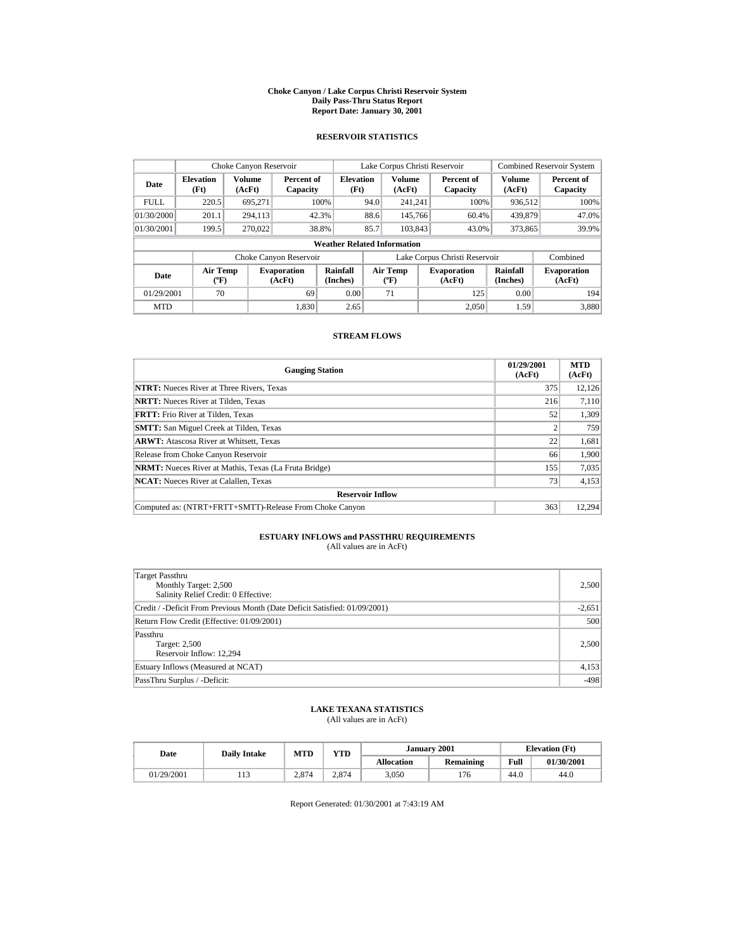#### **Choke Canyon / Lake Corpus Christi Reservoir System Daily Pass-Thru Status Report Report Date: January 30, 2001**

## **RESERVOIR STATISTICS**

|             | Choke Canyon Reservoir                |                         |                              |                          |      | Lake Corpus Christi Reservoir     |  |                               |                      | <b>Combined Reservoir System</b> |  |
|-------------|---------------------------------------|-------------------------|------------------------------|--------------------------|------|-----------------------------------|--|-------------------------------|----------------------|----------------------------------|--|
| Date        | <b>Elevation</b><br>(Ft)              | <b>Volume</b><br>(AcFt) | Percent of<br>Capacity       | <b>Elevation</b><br>(Ft) |      | <b>Volume</b><br>(AcFt)           |  | Percent of<br>Capacity        | Volume<br>(AcFt)     | Percent of<br>Capacity           |  |
| <b>FULL</b> | 220.5                                 | 695,271                 |                              | 100%                     | 94.0 | 241.241                           |  | 100%                          | 936,512              | 100%                             |  |
| 01/30/2000  | 201.1                                 | 294,113                 |                              | 42.3%                    | 88.6 | 145,766                           |  | 60.4%                         | 439,879              | 47.0%                            |  |
| 01/30/2001  | 199.5                                 | 270,022                 |                              | 38.8%                    | 85.7 | 103,843                           |  | 43.0%                         | 373,865              | 39.9%                            |  |
|             | <b>Weather Related Information</b>    |                         |                              |                          |      |                                   |  |                               |                      |                                  |  |
|             |                                       |                         | Choke Canyon Reservoir       |                          |      |                                   |  | Lake Corpus Christi Reservoir |                      | Combined                         |  |
| Date        | <b>Air Temp</b><br>$({}^o\mathrm{F})$ |                         | <b>Evaporation</b><br>(AcFt) | Rainfall<br>(Inches)     |      | Air Temp<br>$({}^{\circ}{\rm F})$ |  | <b>Evaporation</b><br>(AcFt)  | Rainfall<br>(Inches) | <b>Evaporation</b><br>(AcFt)     |  |
| 01/29/2001  | 70                                    |                         | 69                           | 0.00                     |      | 71                                |  | 125                           | 0.00                 | 194                              |  |
| <b>MTD</b>  |                                       |                         | 1.830                        | 2.65                     |      |                                   |  | 2.050                         | 1.59                 | 3,880                            |  |

## **STREAM FLOWS**

| <b>Gauging Station</b>                                       | 01/29/2001<br>(AcFt) | <b>MTD</b><br>(AcFt) |
|--------------------------------------------------------------|----------------------|----------------------|
| <b>NTRT:</b> Nueces River at Three Rivers, Texas             | 375                  | 12,126               |
| <b>NRTT:</b> Nueces River at Tilden. Texas                   | 216                  | 7.110                |
| <b>FRTT:</b> Frio River at Tilden. Texas                     | 52                   | 1.309                |
| <b>SMTT:</b> San Miguel Creek at Tilden, Texas               |                      | 759                  |
| <b>ARWT:</b> Atascosa River at Whitsett, Texas               | 22                   | 1,681                |
| Release from Choke Canyon Reservoir                          | 66                   | 1,900                |
| <b>NRMT:</b> Nueces River at Mathis, Texas (La Fruta Bridge) | 155                  | 7,035                |
| <b>NCAT:</b> Nueces River at Calallen, Texas                 | 73                   | 4,153                |
| <b>Reservoir Inflow</b>                                      |                      |                      |
| Computed as: (NTRT+FRTT+SMTT)-Release From Choke Canyon      | 363                  | 12.294               |

# **ESTUARY INFLOWS and PASSTHRU REQUIREMENTS**<br>(All values are in AcFt)

| Target Passthru<br>Monthly Target: 2,500<br>Salinity Relief Credit: 0 Effective: | 2,500    |
|----------------------------------------------------------------------------------|----------|
| Credit / -Deficit From Previous Month (Date Deficit Satisfied: 01/09/2001)       | $-2,651$ |
| Return Flow Credit (Effective: 01/09/2001)                                       | 500      |
| Passthru<br>Target: 2,500<br>Reservoir Inflow: 12.294                            | 2,500    |
| Estuary Inflows (Measured at NCAT)                                               | 4,153    |
| PassThru Surplus / -Deficit:                                                     | $-498$   |

## **LAKE TEXANA STATISTICS**

(All values are in AcFt)

| Date       | <b>Daily Intake</b> | MTD   | <b>YTD</b> |                   | January 2001 |      | <b>Elevation</b> (Ft) |
|------------|---------------------|-------|------------|-------------------|--------------|------|-----------------------|
|            |                     |       |            | <b>Allocation</b> | Remaining    | Full | 01/30/2001            |
| 01/29/2001 | .                   | 2.874 | 2.874      | 3,050             | '76          | 44.0 | 44.0                  |

Report Generated: 01/30/2001 at 7:43:19 AM